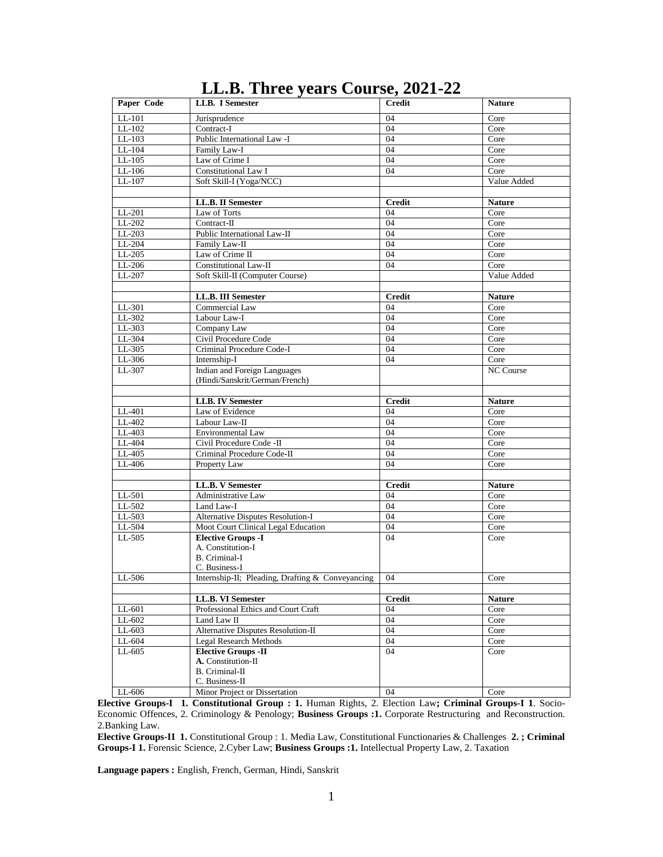| Paper Code | LLB. I Semester                                  | - 7 -<br><b>Credit</b> | <b>Nature</b> |
|------------|--------------------------------------------------|------------------------|---------------|
| LL-101     | Jurisprudence                                    | 04                     | Core          |
| $LL-102$   | Contract-I                                       | 04                     | Core          |
| $LL-103$   | Public International Law -I                      | 04                     | Core          |
| $LL-104$   | Family Law-I                                     | 04                     | Core          |
| $LL-105$   | Law of Crime I                                   | 04                     | Core          |
| $LL-106$   | Constitutional Law I                             | 04                     | Core          |
| LL-107     | Soft Skill-I (Yoga/NCC)                          |                        | Value Added   |
|            |                                                  |                        |               |
|            | <b>LL.B. II Semester</b>                         | <b>Credit</b>          | <b>Nature</b> |
| LL-201     | Law of Torts                                     | 04                     | Core          |
| $LL-202$   | Contract-II                                      | 04                     | Core          |
| $LL-203$   | Public International Law-II                      | 04                     | Core          |
| LL-204     | Family Law-II                                    | 04                     | Core          |
| LL-205     | Law of Crime II                                  | 04                     | Core          |
| $LL-206$   | Constitutional Law-II                            | 04                     | Core          |
| LL-207     | Soft Skill-II (Computer Course)                  |                        | Value Added   |
|            |                                                  |                        |               |
|            | LL.B. III Semester                               | <b>Credit</b>          | <b>Nature</b> |
| LL-301     | Commercial Law                                   | 04                     | Core          |
| LL-302     | Labour Law-I                                     | 04                     | Core          |
| LL-303     | Company Law                                      | 04                     | Core          |
| $LL-304$   | Civil Procedure Code                             | 04                     | Core          |
| LL-305     | Criminal Procedure Code-I                        | 04                     | Core          |
| LL-306     | Internship-I                                     | 04                     | Core          |
| LL-307     | Indian and Foreign Languages                     |                        | NC Course     |
|            | (Hindi/Sanskrit/German/French)                   |                        |               |
|            |                                                  |                        |               |
|            | <b>LLB. IV Semester</b>                          | <b>Credit</b>          | <b>Nature</b> |
| LL-401     | Law of Evidence                                  | 04                     | Core          |
| LL-402     | Labour Law-II                                    | 04                     | Core          |
| LL-403     | Environmental Law                                | 04                     | Core          |
| LL-404     | Civil Procedure Code -II                         | 04                     | Core          |
| $LL-405$   | Criminal Procedure Code-II                       | 04                     | Core          |
| LL-406     | Property Law                                     | 04                     | Core          |
|            |                                                  |                        |               |
|            | LL.B. V Semester                                 | <b>Credit</b>          | <b>Nature</b> |
| LL-501     | Administrative Law                               | 04                     | Core          |
| LL-502     | Land Law-I                                       | 04                     | Core          |
| LL-503     | Alternative Disputes Resolution-I                | 04                     | Core          |
| $LL-504$   | Moot Court Clinical Legal Education              | 04                     | Core          |
| LL-505     | <b>Elective Groups -I</b>                        | 04                     | Core          |
|            | A. Constitution-I                                |                        |               |
|            | <b>B.</b> Criminal-I                             |                        |               |
|            | C. Business-I                                    |                        |               |
| LL-506     | Internship-II; Pleading, Drafting & Conveyancing | 04                     | Core          |
|            |                                                  |                        |               |
|            | LL.B. VI Semester                                | <b>Credit</b>          | <b>Nature</b> |
| LL-601     | Professional Ethics and Court Craft              | 04                     | Core          |
| LL-602     | Land Law II                                      | 04                     | Core          |
| $LL-603$   | Alternative Disputes Resolution-II               | 04                     | Core          |
| LL-604     | Legal Research Methods                           | 04                     | Core          |
| LL-605     | <b>Elective Groups - II</b>                      | 04                     | Core          |
|            | A. Constitution-II                               |                        |               |
|            | B. Criminal-II                                   |                        |               |
|            | C. Business-II                                   |                        |               |
| LL-606     | Minor Project or Dissertation                    | 04                     | Core          |

# **LL.B. Three years Course, 2021-22**

**Elective Groups-I 1. Constitutional Group : 1.** Human Rights, 2. Election Law**; Criminal Groups-I 1**. Socio-Economic Offences, 2. Criminology & Penology; **Business Groups :1.** Corporate Restructuring and Reconstruction. 2.Banking Law.

**Elective Groups-II 1.** Constitutional Group : 1. Media Law, Constitutional Functionaries & Challenges **2. ; Criminal Groups-I 1.** Forensic Science, 2.Cyber Law; **Business Groups :1.** Intellectual Property Law, 2. Taxation

**Language papers :** English, French, German, Hindi, Sanskrit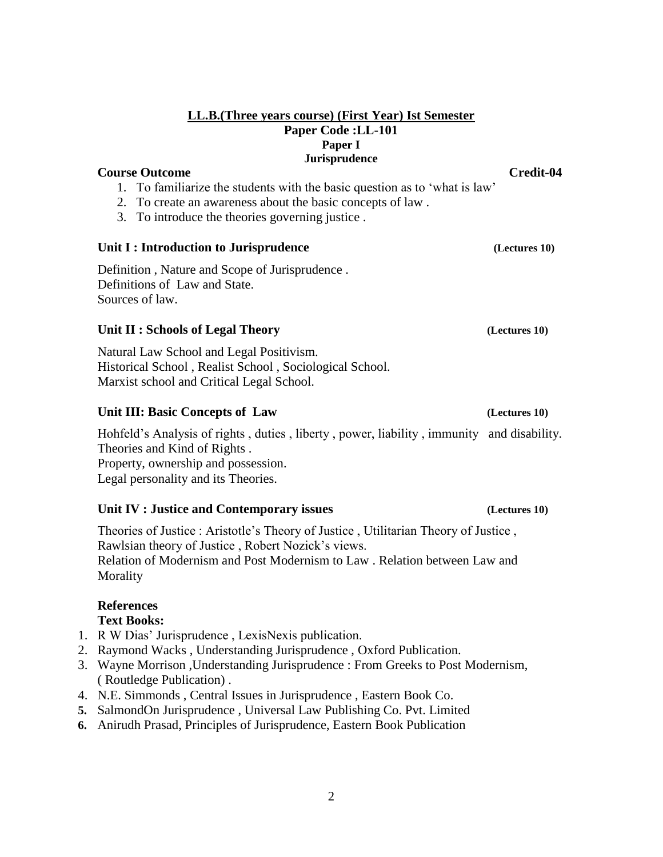# **LL.B.(Three years course) (First Year) Ist Semester Paper Code :LL-101 Paper I Jurisprudence**

# **Course Outcome Credit-04**

- 1. To familiarize the students with the basic question as to 'what is law'
- 2. To create an awareness about the basic concepts of law .
- 3. To introduce the theories governing justice .

# **Unit I : Introduction to Jurisprudence** *(Lectures 10)*

Definition , Nature and Scope of Jurisprudence . Definitions of Law and State. Sources of law.

# Unit II : Schools of Legal Theory **(Lectures 10)** (Lectures 10)

Natural Law School and Legal Positivism. Historical School , Realist School , Sociological School. Marxist school and Critical Legal School.

# **Unit III: Basic Concepts of Law**  (Lectures 10)

Hohfeld's Analysis of rights , duties , liberty , power, liability , immunity and disability. Theories and Kind of Rights .

Property, ownership and possession. Legal personality and its Theories.

# **Unit IV : Justice and Contemporary issues (Lectures 10)**

Theories of Justice : Aristotle's Theory of Justice , Utilitarian Theory of Justice , Rawlsian theory of Justice , Robert Nozick's views. Relation of Modernism and Post Modernism to Law . Relation between Law and Morality

# **References**

# **Text Books:**

- 1. R W Dias' Jurisprudence , LexisNexis publication.
- 2. Raymond Wacks , Understanding Jurisprudence , Oxford Publication.
- 3. Wayne Morrison ,Understanding Jurisprudence : From Greeks to Post Modernism, ( Routledge Publication) .
- 4. N.E. Simmonds , Central Issues in Jurisprudence , Eastern Book Co.
- **5.** SalmondOn Jurisprudence , Universal Law Publishing Co. Pvt. Limited
- **6.** Anirudh Prasad, Principles of Jurisprudence, Eastern Book Publication

# 2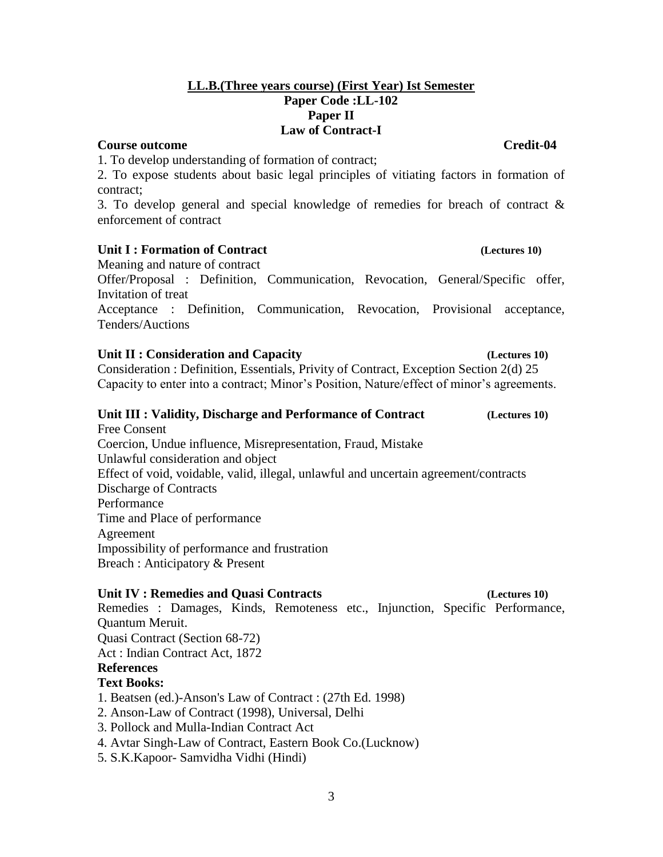# **LL.B.(Three years course) (First Year) Ist Semester Paper Code :LL-102 Paper II Law of Contract-I**

# **Course outcome Credit-04**

1. To develop understanding of formation of contract;

2. To expose students about basic legal principles of vitiating factors in formation of contract;

3. To develop general and special knowledge of remedies for breach of contract & enforcement of contract

# **Unit I : Formation of Contract (Lectures 10)**

Meaning and nature of contract

Offer/Proposal : Definition, Communication, Revocation, General/Specific offer, Invitation of treat

Acceptance : Definition, Communication, Revocation, Provisional acceptance, Tenders/Auctions

# Unit II : Consideration and Capacity *(Lectures 10)*

Consideration : Definition, Essentials, Privity of Contract, Exception Section 2(d) 25 Capacity to enter into a contract; Minor's Position, Nature/effect of minor's agreements.

# **Unit III : Validity, Discharge and Performance of Contract (Lectures 10)**

Free Consent Coercion, Undue influence, Misrepresentation, Fraud, Mistake Unlawful consideration and object Effect of void, voidable, valid, illegal, unlawful and uncertain agreement/contracts Discharge of Contracts Performance Time and Place of performance Agreement Impossibility of performance and frustration Breach : Anticipatory & Present

# **Unit IV : Remedies and Quasi Contracts (Lectures 10)**

Remedies : Damages, Kinds, Remoteness etc., Injunction, Specific Performance, Quantum Meruit. Quasi Contract (Section 68-72)

Act : Indian Contract Act, 1872

# **References**

# **Text Books:**

1. Beatsen (ed.)-Anson's Law of Contract : (27th Ed. 1998)

- 2. Anson-Law of Contract (1998), Universal, Delhi
- 3. Pollock and Mulla-Indian Contract Act
- 4. Avtar Singh-Law of Contract, Eastern Book Co.(Lucknow)
- 5. S.K.Kapoor- Samvidha Vidhi (Hindi)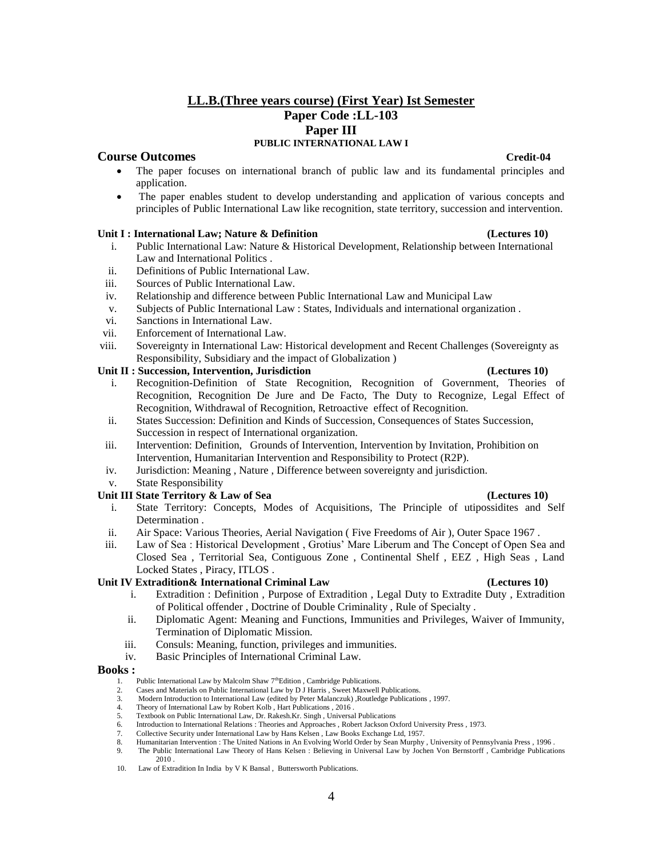# **LL.B.(Three years course) (First Year) Ist Semester Paper Code :LL-103 Paper III PUBLIC INTERNATIONAL LAW I**

### **Course Outcomes Credit-04**

- The paper focuses on international branch of public law and its fundamental principles and application.
- The paper enables student to develop understanding and application of various concepts and principles of Public International Law like recognition, state territory, succession and intervention.

### Unit I : International Law; Nature & Definition **the example of the Contract Contract Contract Contract Contract Contract Contract Contract Contract Contract Contract Contract Contract Contract Contract Contract Contract C**

- i. Public International Law: Nature & Historical Development, Relationship between International Law and International Politics .
- ii. Definitions of Public International Law.
- iii. Sources of Public International Law.
- iv. Relationship and difference between Public International Law and Municipal Law
- v. Subjects of Public International Law : States, Individuals and international organization .
- vi. Sanctions in International Law.
- vii. Enforcement of International Law.
- viii. Sovereignty in International Law: Historical development and Recent Challenges (Sovereignty as Responsibility, Subsidiary and the impact of Globalization )

### **Unit II : Succession, Intervention, Jurisdiction (Lectures 10)** (Lectures 10)

- i. Recognition-Definition of State Recognition, Recognition of Government, Theories of Recognition, Recognition De Jure and De Facto, The Duty to Recognize, Legal Effect of Recognition, Withdrawal of Recognition, Retroactive effect of Recognition.
- ii. States Succession: Definition and Kinds of Succession, Consequences of States Succession, Succession in respect of International organization.
- iii. Intervention: Definition, Grounds of Intervention, Intervention by Invitation, Prohibition on Intervention, Humanitarian Intervention and Responsibility to Protect (R2P).
- iv. Jurisdiction: Meaning , Nature , Difference between sovereignty and jurisdiction.
- v. State Responsibility

## **Unit III State Territory & Law of Sea (Lectures 10)**

- i. State Territory: Concepts, Modes of Acquisitions, The Principle of utipossidites and Self Determination .
- ii. Air Space: Various Theories, Aerial Navigation ( Five Freedoms of Air ), Outer Space 1967 .
- iii. Law of Sea : Historical Development , Grotius' Mare Liberum and The Concept of Open Sea and Closed Sea , Territorial Sea, Contiguous Zone , Continental Shelf , EEZ , High Seas , Land Locked States , Piracy, ITLOS .

### **Unit IV Extradition& International Criminal Law (Lectures 10)**

- i. Extradition : Definition , Purpose of Extradition , Legal Duty to Extradite Duty , Extradition of Political offender , Doctrine of Double Criminality , Rule of Specialty .
- ii. Diplomatic Agent: Meaning and Functions, Immunities and Privileges, Waiver of Immunity, Termination of Diplomatic Mission.
- iii. Consuls: Meaning, function, privileges and immunities.
- iv. Basic Principles of International Criminal Law.

### **Books :**

- 1. Public International Law by Malcolm Shaw 7<sup>th</sup>Edition, Cambridge Publications.
- 2. Cases and Materials on Public International Law by D J Harris , Sweet Maxwell Publications.
- 3. Modern Introduction to International Law (edited by Peter Malanczuk) ,Routledge Publications , 1997.
- 4. Theory of International Law by Robert Kolb , Hart Publications , 2016 . 5. Textbook on Public International Law, Dr. Rakesh.Kr. Singh , Universal Publications
- 6. Introduction to International Relations : Theories and Approaches , Robert Jackson Oxford University Press , 1973.
- 7. Collective Security under International Law by Hans Kelsen , Law Books Exchange Ltd, 1957.
- 8. Humanitarian Intervention : The United Nations in An Evolving World Order by Sean Murphy, University of Pennsylvania Press, 1996.<br>9. The Public International Law Theory of Hans Kelsen : Believing in Universal Law by Joc
- 9. The Public International Law Theory of Hans Kelsen : Believing in Universal Law by Jochen Von Bernstorff , Cambridge Publications 2010 .

4

10. Law of Extradition In India by V K Bansal , Buttersworth Publications.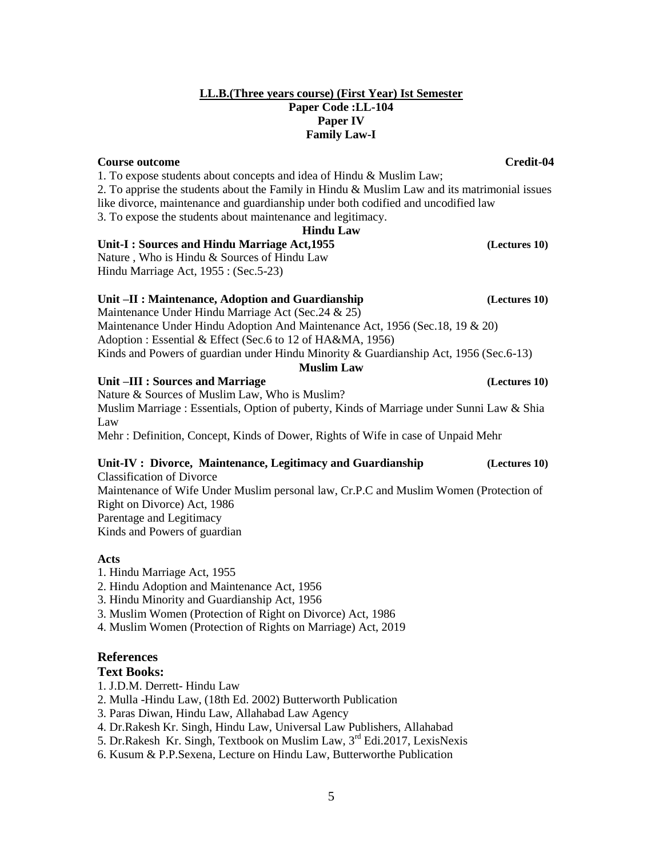# 5

## **LL.B.(Three years course) (First Year) Ist Semester Paper Code :LL-104 Paper IV Family Law-I**

# **Course outcome Credit-04 Credit-04**

1. To expose students about concepts and idea of Hindu & Muslim Law; 2. To apprise the students about the Family in Hindu  $\&$  Muslim Law and its matrimonial issues like divorce, maintenance and guardianship under both codified and uncodified law 3. To expose the students about maintenance and legitimacy.

# **Hindu Law**

**Unit-I : Sources and Hindu Marriage Act,1955 (Lectures 10)** Nature , Who is Hindu & Sources of Hindu Law Hindu Marriage Act, 1955 : (Sec.5-23)

# **Unit –II : Maintenance, Adoption and Guardianship (Lectures 10)**

Maintenance Under Hindu Marriage Act (Sec.24 & 25) Maintenance Under Hindu Adoption And Maintenance Act, 1956 (Sec.18, 19 & 20) Adoption : Essential & Effect (Sec.6 to 12 of HA&MA, 1956) Kinds and Powers of guardian under Hindu Minority & Guardianship Act, 1956 (Sec.6-13) **Muslim Law**

# **Unit –III : Sources and Marriage (Lectures 10)**

Nature & Sources of Muslim Law, Who is Muslim? Muslim Marriage : Essentials, Option of puberty, Kinds of Marriage under Sunni Law & Shia Law Mehr : Definition, Concept, Kinds of Dower, Rights of Wife in case of Unpaid Mehr

## **Unit-IV : Divorce, Maintenance, Legitimacy and Guardianship (Lectures 10)** Classification of Divorce

Maintenance of Wife Under Muslim personal law, Cr.P.C and Muslim Women (Protection of Right on Divorce) Act, 1986 Parentage and Legitimacy Kinds and Powers of guardian

# **Acts**

1. Hindu Marriage Act, 1955

2. Hindu Adoption and Maintenance Act, 1956

- 3. Hindu Minority and Guardianship Act, 1956
- 3. Muslim Women (Protection of Right on Divorce) Act, 1986
- 4. Muslim Women (Protection of Rights on Marriage) Act, 2019

# **References**

# **Text Books:**

- 1. J.D.M. Derrett- Hindu Law
- 2. Mulla -Hindu Law, (18th Ed. 2002) Butterworth Publication
- 3. Paras Diwan, Hindu Law, Allahabad Law Agency
- 4. Dr.Rakesh Kr. Singh, Hindu Law, Universal Law Publishers, Allahabad
- 5. Dr.Rakesh Kr. Singh, Textbook on Muslim Law, 3rd Edi.2017, LexisNexis
- 6. Kusum & P.P.Sexena, Lecture on Hindu Law, Butterworthe Publication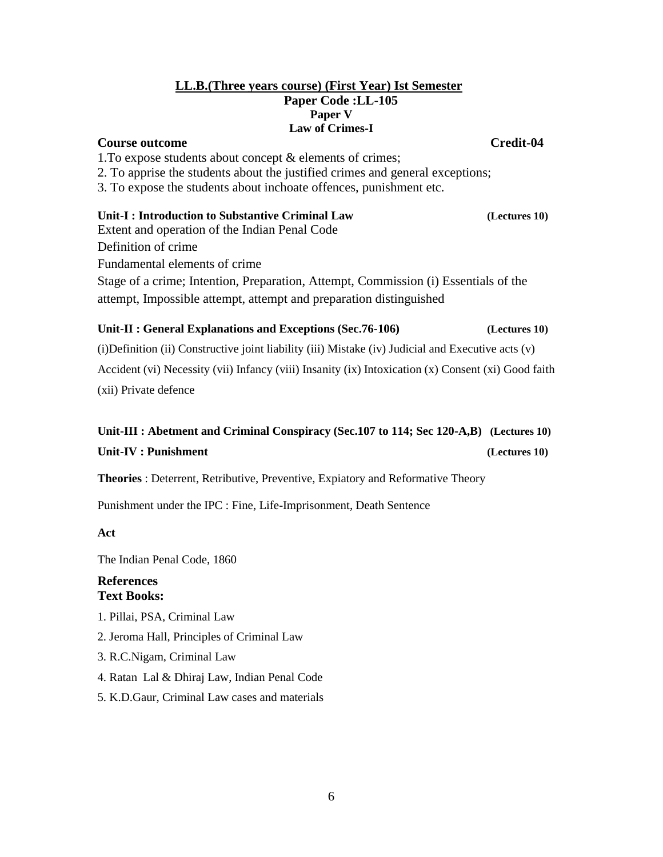# **LL.B.(Three years course) (First Year) Ist Semester Paper Code :LL-105 Paper V Law of Crimes-I**

# **Course outcome Credit-04**

1.To expose students about concept & elements of crimes;

2. To apprise the students about the justified crimes and general exceptions;

3. To expose the students about inchoate offences, punishment etc.

# **Unit-I : Introduction to Substantive Criminal Law**  (Lectures 10)

Extent and operation of the Indian Penal Code

Definition of crime

Fundamental elements of crime

Stage of a crime; Intention, Preparation, Attempt, Commission (i) Essentials of the attempt, Impossible attempt, attempt and preparation distinguished

# **Unit-II : General Explanations and Exceptions (Sec.76-106) (Lectures 10)**

(i)Definition (ii) Constructive joint liability (iii) Mistake (iv) Judicial and Executive acts (v) Accident (vi) Necessity (vii) Infancy (viii) Insanity (ix) Intoxication (x) Consent (xi) Good faith (xii) Private defence

# **Unit-III : Abetment and Criminal Conspiracy (Sec.107 to 114; Sec 120-A,B) (Lectures 10) Unit-IV : Punishment (Lectures 10)**

**Theories** : Deterrent, Retributive, Preventive, Expiatory and Reformative Theory

Punishment under the IPC : Fine, Life-Imprisonment, Death Sentence

**Act**

The Indian Penal Code, 1860

# **References Text Books:**

1. Pillai, PSA, Criminal Law

2. Jeroma Hall, Principles of Criminal Law

- 3. R.C.Nigam, Criminal Law
- 4. Ratan Lal & Dhiraj Law, Indian Penal Code
- 5. K.D.Gaur, Criminal Law cases and materials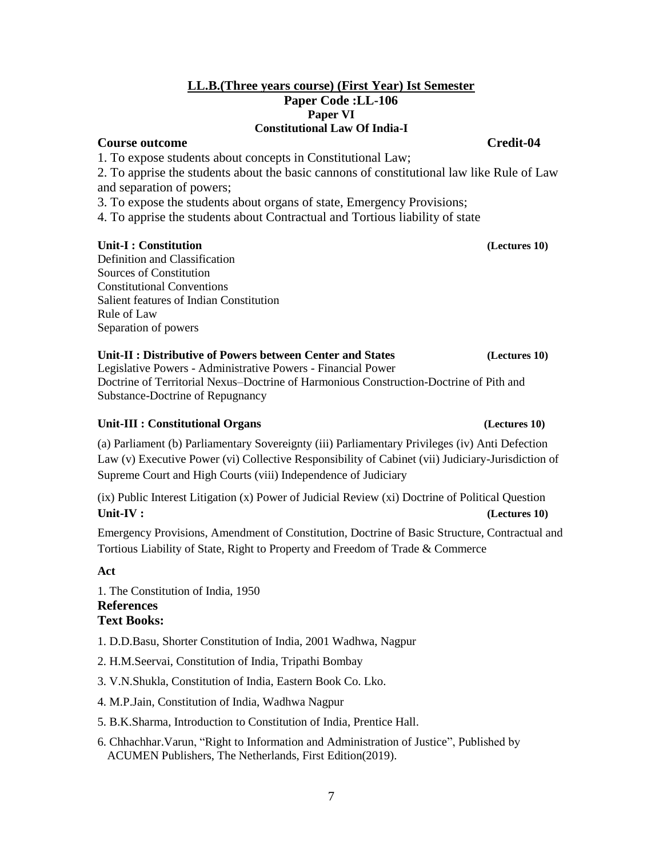# **LL.B.(Three years course) (First Year) Ist Semester Paper Code :LL-106 Paper VI Constitutional Law Of India-I**

# **Course outcome Credit-04**

1. To expose students about concepts in Constitutional Law;

2. To apprise the students about the basic cannons of constitutional law like Rule of Law and separation of powers;

3. To expose the students about organs of state, Emergency Provisions;

4. To apprise the students about Contractual and Tortious liability of state

# **Unit-I : Constitution (Lectures 10)**

Definition and Classification Sources of Constitution Constitutional Conventions Salient features of Indian Constitution Rule of Law Separation of powers

**Unit-II : Distributive of Powers between Center and States (Lectures 10)**

Legislative Powers - Administrative Powers - Financial Power Doctrine of Territorial Nexus–Doctrine of Harmonious Construction-Doctrine of Pith and Substance-Doctrine of Repugnancy

# **Unit-III : Constitutional Organs (Lectures 10)**

(a) Parliament (b) Parliamentary Sovereignty (iii) Parliamentary Privileges (iv) Anti Defection Law (v) Executive Power (vi) Collective Responsibility of Cabinet (vii) Judiciary-Jurisdiction of Supreme Court and High Courts (viii) Independence of Judiciary

(ix) Public Interest Litigation (x) Power of Judicial Review (xi) Doctrine of Political Question **Unit-IV : (Lectures 10)**

Emergency Provisions, Amendment of Constitution, Doctrine of Basic Structure, Contractual and Tortious Liability of State, Right to Property and Freedom of Trade & Commerce

**Act** 

1. The Constitution of India, 1950 **References Text Books:** 

1. D.D.Basu, Shorter Constitution of India, 2001 Wadhwa, Nagpur

2. H.M.Seervai, Constitution of India, Tripathi Bombay

3. V.N.Shukla, Constitution of India, Eastern Book Co. Lko.

- 4. M.P.Jain, Constitution of India, Wadhwa Nagpur
- 5. B.K.Sharma, Introduction to Constitution of India, Prentice Hall.
- 6. Chhachhar. Varun, "Right to Information and Administration of Justice", Published by ACUMEN Publishers, The Netherlands, First Edition(2019).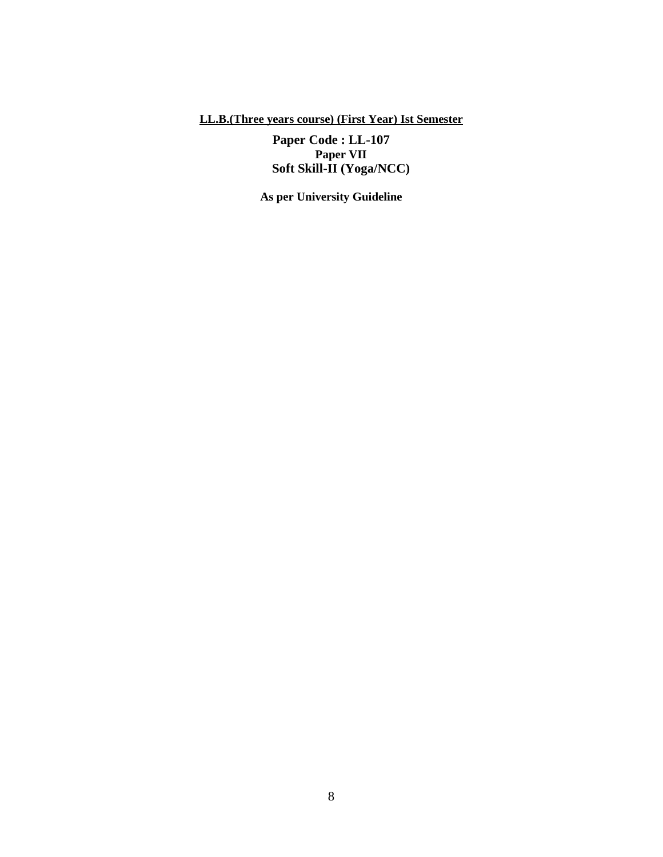# **LL.B.(Three years course) (First Year) Ist Semester**

**Paper Code : LL-107 Paper VII Soft Skill-II (Yoga/NCC)**

**As per University Guideline**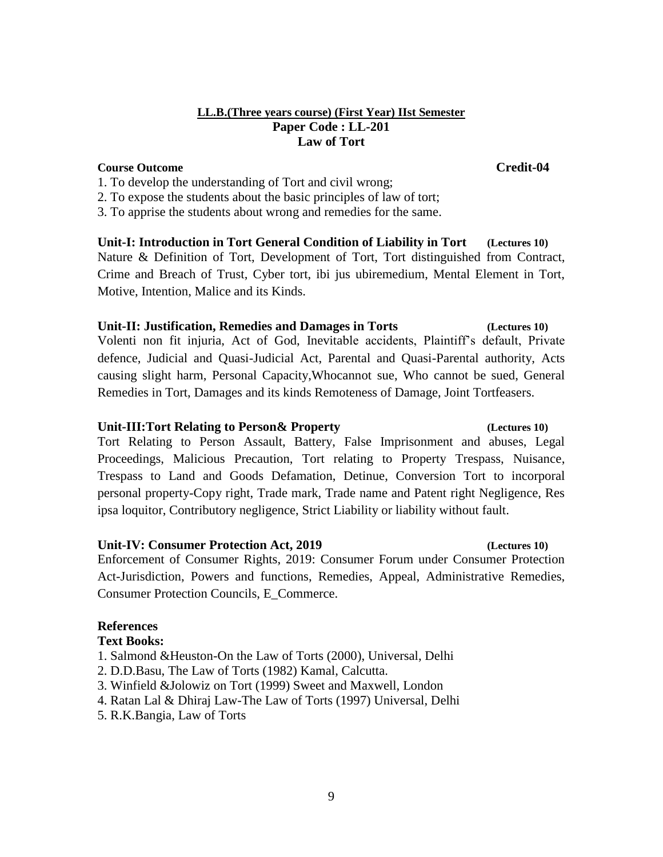# **LL.B.(Three years course) (First Year) IIst Semester Paper Code : LL-201 Law of Tort**

# **Course Outcome Credit-04**

- 1. To develop the understanding of Tort and civil wrong;
- 2. To expose the students about the basic principles of law of tort;

3. To apprise the students about wrong and remedies for the same.

**Unit-I: Introduction in Tort General Condition of Liability in Tort (Lectures 10)** Nature & Definition of Tort, Development of Tort, Tort distinguished from Contract, Crime and Breach of Trust, Cyber tort, ibi jus ubiremedium, Mental Element in Tort, Motive, Intention, Malice and its Kinds.

# **Unit-II: Justification, Remedies and Damages in Torts (Lectures 10)**

Volenti non fit injuria, Act of God, Inevitable accidents, Plaintiff's default, Private defence, Judicial and Quasi-Judicial Act, Parental and Quasi-Parental authority, Acts causing slight harm, Personal Capacity,Whocannot sue, Who cannot be sued, General Remedies in Tort, Damages and its kinds Remoteness of Damage, Joint Tortfeasers.

# **Unit-III:Tort Relating to Person& Property (Lectures 10)**

Tort Relating to Person Assault, Battery, False Imprisonment and abuses, Legal Proceedings, Malicious Precaution, Tort relating to Property Trespass, Nuisance, Trespass to Land and Goods Defamation, Detinue, Conversion Tort to incorporal personal property-Copy right, Trade mark, Trade name and Patent right Negligence, Res ipsa loquitor, Contributory negligence, Strict Liability or liability without fault.

# **Unit-IV: Consumer Protection Act, 2019 (Lectures 10)**

# Enforcement of Consumer Rights, 2019: Consumer Forum under Consumer Protection Act-Jurisdiction, Powers and functions, Remedies, Appeal, Administrative Remedies, Consumer Protection Councils, E\_Commerce.

# **References**

# **Text Books:**

- 1. Salmond &Heuston-On the Law of Torts (2000), Universal, Delhi
- 2. D.D.Basu, The Law of Torts (1982) Kamal, Calcutta.
- 3. Winfield &Jolowiz on Tort (1999) Sweet and Maxwell, London
- 4. Ratan Lal & Dhiraj Law-The Law of Torts (1997) Universal, Delhi
- 5. R.K.Bangia, Law of Torts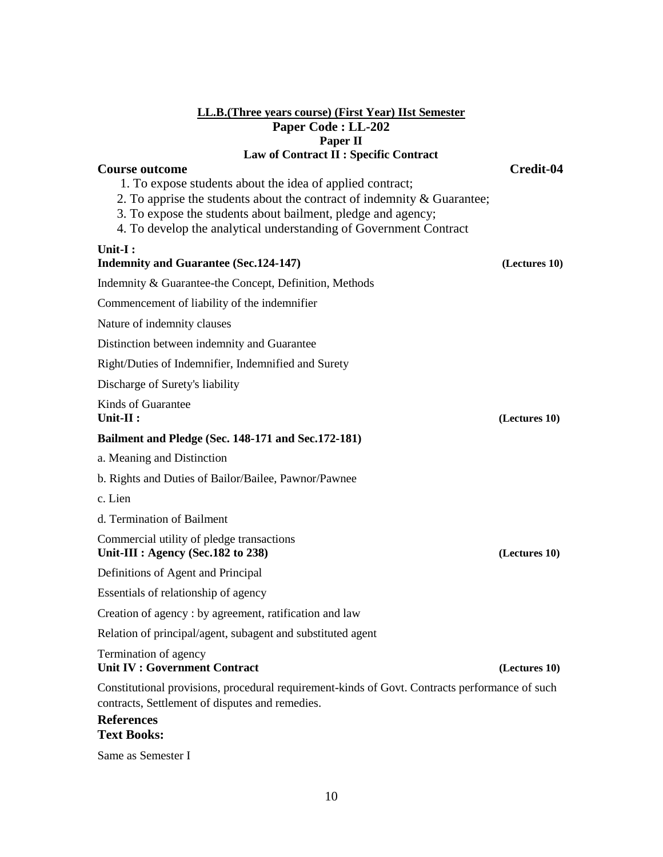# **LL.B.(Three years course) (First Year) IIst Semester Paper Code : LL-202 Paper II Law of Contract II : Specific Contract**

# **Course outcome Credit-04**

- 1. To expose students about the idea of applied contract;
- 2. To apprise the students about the contract of indemnity & Guarantee;
- 3. To expose the students about bailment, pledge and agency;
- 4. To develop the analytical understanding of Government Contract

# **Unit-I :**

# **Indemnity and Guarantee (Sec.124-147) (Lectures 10)**

Indemnity & Guarantee-the Concept, Definition, Methods

Commencement of liability of the indemnifier

Nature of indemnity clauses

Distinction between indemnity and Guarantee

Right/Duties of Indemnifier, Indemnified and Surety

Discharge of Surety's liability

Kinds of Guarantee **Unit-II : (Lectures 10)**

# **Bailment and Pledge (Sec. 148-171 and Sec.172-181)**

a. Meaning and Distinction

b. Rights and Duties of Bailor/Bailee, Pawnor/Pawnee

c. Lien

d. Termination of Bailment

Commercial utility of pledge transactions **Unit-III : Agency (Sec.182 to 238) (Lectures 10)**

Definitions of Agent and Principal

Essentials of relationship of agency

Creation of agency : by agreement, ratification and law

Relation of principal/agent, subagent and substituted agent

### Termination of agency **Unit IV : Government Contract (Lectures 10)**

Constitutional provisions, procedural requirement-kinds of Govt. Contracts performance of such contracts, Settlement of disputes and remedies.

## **References Text Books:**

Same as Semester I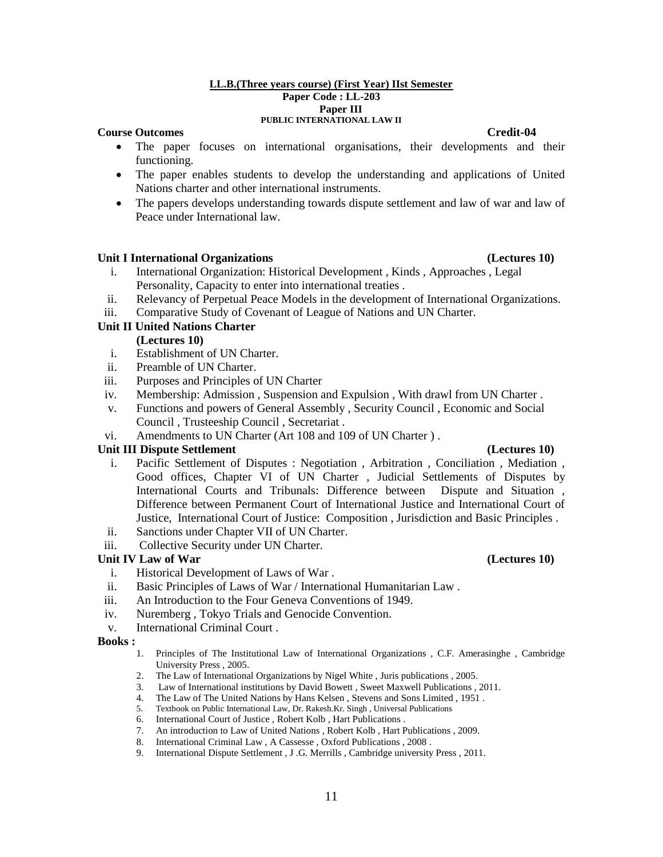### **LL.B.(Three years course) (First Year) IIst Semester Paper Code : LL-203 Paper III PUBLIC INTERNATIONAL LAW II**

# **Course Outcomes Credit-04**

- The paper focuses on international organisations, their developments and their functioning.
- The paper enables students to develop the understanding and applications of United Nations charter and other international instruments.
- The papers develops understanding towards dispute settlement and law of war and law of Peace under International law.

## **Unit I International Organizations (Lectures 10)**

- i. International Organization: Historical Development , Kinds , Approaches , Legal Personality, Capacity to enter into international treaties .
- ii. Relevancy of Perpetual Peace Models in the development of International Organizations.
- iii. Comparative Study of Covenant of League of Nations and UN Charter.

# **Unit II United Nations Charter**

## **(Lectures 10)**

- i. Establishment of UN Charter.
- ii. Preamble of UN Charter.
- iii. Purposes and Principles of UN Charter
- iv. Membership: Admission , Suspension and Expulsion , With drawl from UN Charter .
- v. Functions and powers of General Assembly , Security Council , Economic and Social Council , Trusteeship Council , Secretariat .
- vi. Amendments to UN Charter (Art 108 and 109 of UN Charter ) .

# Unit III Dispute Settlement **(Lectures 10)** (Lectures 10)

- i. Pacific Settlement of Disputes : Negotiation , Arbitration , Conciliation , Mediation , Good offices, Chapter VI of UN Charter , Judicial Settlements of Disputes by International Courts and Tribunals: Difference between Dispute and Situation , Difference between Permanent Court of International Justice and International Court of Justice, International Court of Justice: Composition , Jurisdiction and Basic Principles .
- ii. Sanctions under Chapter VII of UN Charter.
- iii. Collective Security under UN Charter.

## Unit IV Law of War (Lectures 10)

- i. Historical Development of Laws of War .
- ii. Basic Principles of Laws of War / International Humanitarian Law .
- iii. An Introduction to the Four Geneva Conventions of 1949.
- iv. Nuremberg , Tokyo Trials and Genocide Convention.
- v. International Criminal Court .

### **Books :**

- 1. Principles of The Institutional Law of International Organizations , C.F. Amerasinghe , Cambridge University Press , 2005.
- 2. The Law of International Organizations by Nigel White , Juris publications , 2005.
- 3. Law of International institutions by David Bowett , Sweet Maxwell Publications , 2011.
- 4. The Law of The United Nations by Hans Kelsen , Stevens and Sons Limited , 1951 .
- 5. Textbook on Public International Law, Dr. Rakesh.Kr. Singh , Universal Publications
- 6. International Court of Justice , Robert Kolb , Hart Publications .
- 7. An introduction to Law of United Nations , Robert Kolb , Hart Publications , 2009.
- 8. International Criminal Law, A Cassesse, Oxford Publications, 2008.
- 9. International Dispute Settlement , J .G. Merrills , Cambridge university Press , 2011.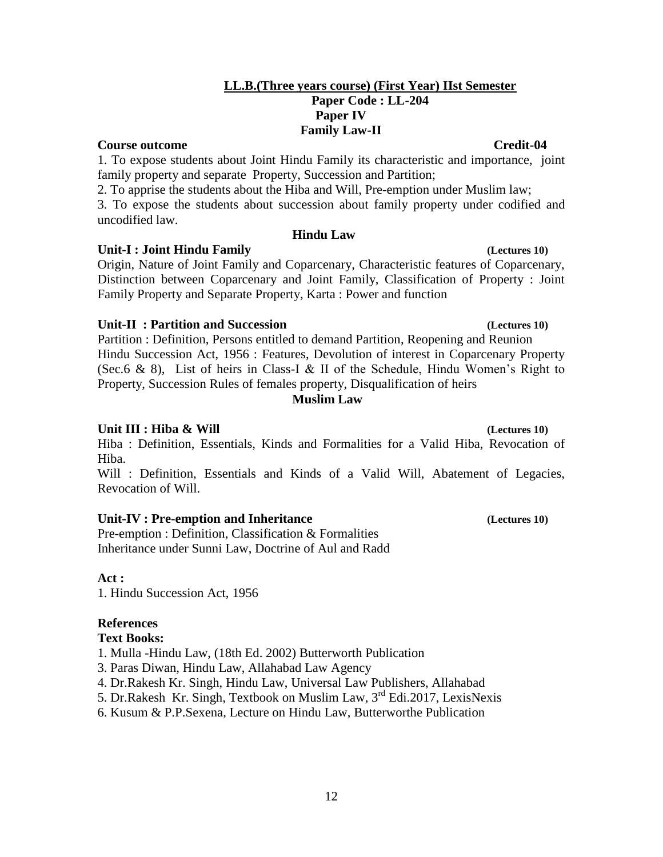# **LL.B.(Three years course) (First Year) IIst Semester Paper Code : LL-204 Paper IV Family Law-II**

**Course outcome Credit-04** 1. To expose students about Joint Hindu Family its characteristic and importance, joint

family property and separate Property, Succession and Partition; 2. To apprise the students about the Hiba and Will, Pre-emption under Muslim law;

3. To expose the students about succession about family property under codified and uncodified law.

# **Hindu Law**

# **Unit-I : Joint Hindu Family (Lectures 10)**

Origin, Nature of Joint Family and Coparcenary, Characteristic features of Coparcenary, Distinction between Coparcenary and Joint Family, Classification of Property : Joint Family Property and Separate Property, Karta : Power and function

# **Unit-II : Partition and Succession (Lectures 10)**

Partition : Definition, Persons entitled to demand Partition, Reopening and Reunion Hindu Succession Act, 1956 : Features, Devolution of interest in Coparcenary Property (Sec.6 & 8), List of heirs in Class-I & II of the Schedule, Hindu Women's Right to Property, Succession Rules of females property, Disqualification of heirs

# **Muslim Law**

# **Unit III : Hiba & Will (Lectures 10)**

Hiba : Definition, Essentials, Kinds and Formalities for a Valid Hiba, Revocation of Hiba.

Will : Definition, Essentials and Kinds of a Valid Will, Abatement of Legacies, Revocation of Will.

# **Unit-IV : Pre-emption and Inheritance (Lectures 10)**

Pre-emption : Definition, Classification & Formalities Inheritance under Sunni Law, Doctrine of Aul and Radd

# **Act :**

1. Hindu Succession Act, 1956

# **References**

# **Text Books:**

- 1. Mulla -Hindu Law, (18th Ed. 2002) Butterworth Publication
- 3. Paras Diwan, Hindu Law, Allahabad Law Agency
- 4. Dr.Rakesh Kr. Singh, Hindu Law, Universal Law Publishers, Allahabad
- 5. Dr.Rakesh Kr. Singh, Textbook on Muslim Law, 3rd Edi.2017, LexisNexis
- 6. Kusum & P.P.Sexena, Lecture on Hindu Law, Butterworthe Publication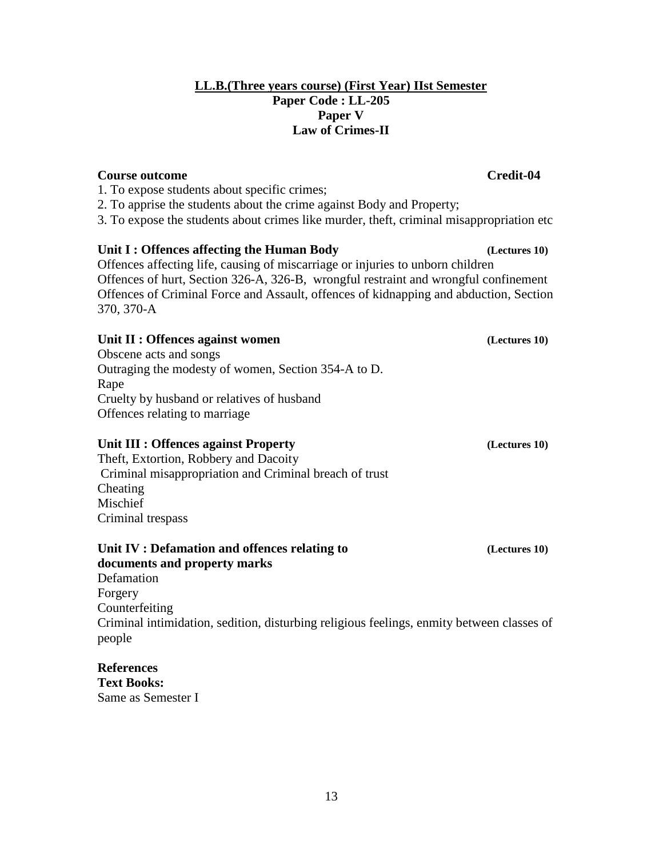# **LL.B.(Three years course) (First Year) IIst Semester Paper Code : LL-205 Paper V Law of Crimes-II**

# **Course outcome Credit-04**

- 1. To expose students about specific crimes;
- 2. To apprise the students about the crime against Body and Property;
- 3. To expose the students about crimes like murder, theft, criminal misappropriation etc

# **Unit I : Offences affecting the Human Body (Lectures 10)**

Offences affecting life, causing of miscarriage or injuries to unborn children Offences of hurt, Section 326-A, 326-B, wrongful restraint and wrongful confinement Offences of Criminal Force and Assault, offences of kidnapping and abduction, Section 370, 370-A

# Unit II : Offences against women *(Lectures 10)*

Obscene acts and songs Outraging the modesty of women, Section 354-A to D. Rape Cruelty by husband or relatives of husband Offences relating to marriage

# **Unit III : Offences against Property (Lectures 10)**

Theft, Extortion, Robbery and Dacoity Criminal misappropriation and Criminal breach of trust Cheating Mischief Criminal trespass

# **Unit IV : Defamation and offences relating to (Lectures 10)**

**documents and property marks** Defamation Forgery Counterfeiting Criminal intimidation, sedition, disturbing religious feelings, enmity between classes of people

# **References**

**Text Books:**  Same as Semester I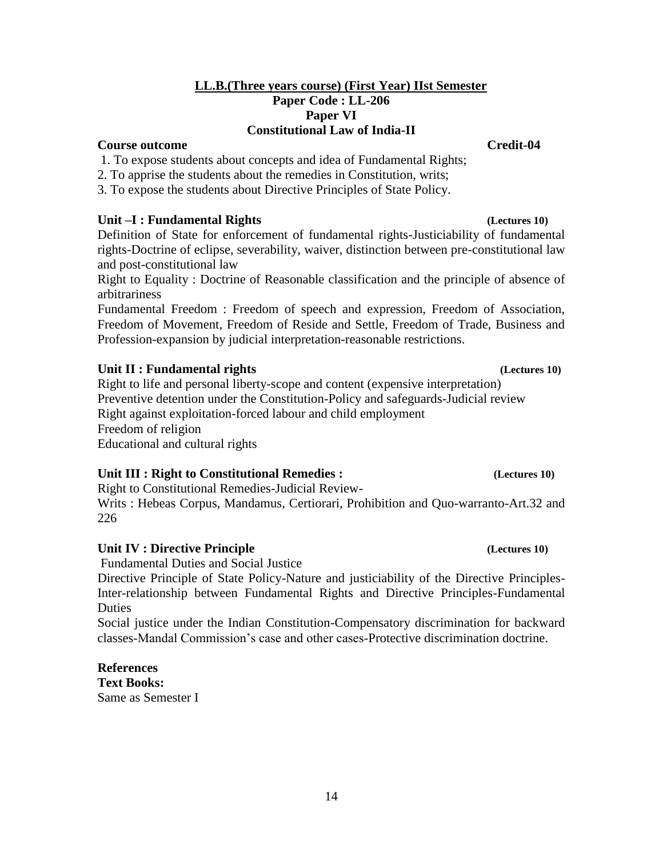# **LL.B.(Three years course) (First Year) IIst Semester Paper Code : LL-206 Paper VI Constitutional Law of India-II**

# **Course outcome Credit-04**

- 1. To expose students about concepts and idea of Fundamental Rights;
- 2. To apprise the students about the remedies in Constitution, writs;
- 3. To expose the students about Directive Principles of State Policy.

# **Unit –I : Fundamental Rights (Lectures 10)**

Definition of State for enforcement of fundamental rights-Justiciability of fundamental rights-Doctrine of eclipse, severability, waiver, distinction between pre-constitutional law and post-constitutional law

Right to Equality : Doctrine of Reasonable classification and the principle of absence of arbitrariness

Fundamental Freedom : Freedom of speech and expression, Freedom of Association, Freedom of Movement, Freedom of Reside and Settle, Freedom of Trade, Business and Profession-expansion by judicial interpretation-reasonable restrictions.

# **Unit II : Fundamental rights (Lectures 10)**

Right to life and personal liberty-scope and content (expensive interpretation) Preventive detention under the Constitution-Policy and safeguards-Judicial review Right against exploitation-forced labour and child employment Freedom of religion Educational and cultural rights

# **Unit III : Right to Constitutional Remedies :**  $\qquad \qquad$  **(Lectures 10)**

Right to Constitutional Remedies-Judicial Review-

Writs : Hebeas Corpus, Mandamus, Certiorari, Prohibition and Quo-warranto-Art.32 and 226

# **Unit IV : Directive Principle (Lectures 10)**

Fundamental Duties and Social Justice

Directive Principle of State Policy-Nature and justiciability of the Directive Principles-Inter-relationship between Fundamental Rights and Directive Principles-Fundamental Duties

Social justice under the Indian Constitution-Compensatory discrimination for backward classes-Mandal Commission's case and other cases-Protective discrimination doctrine.

# **References**

**Text Books:**  Same as Semester I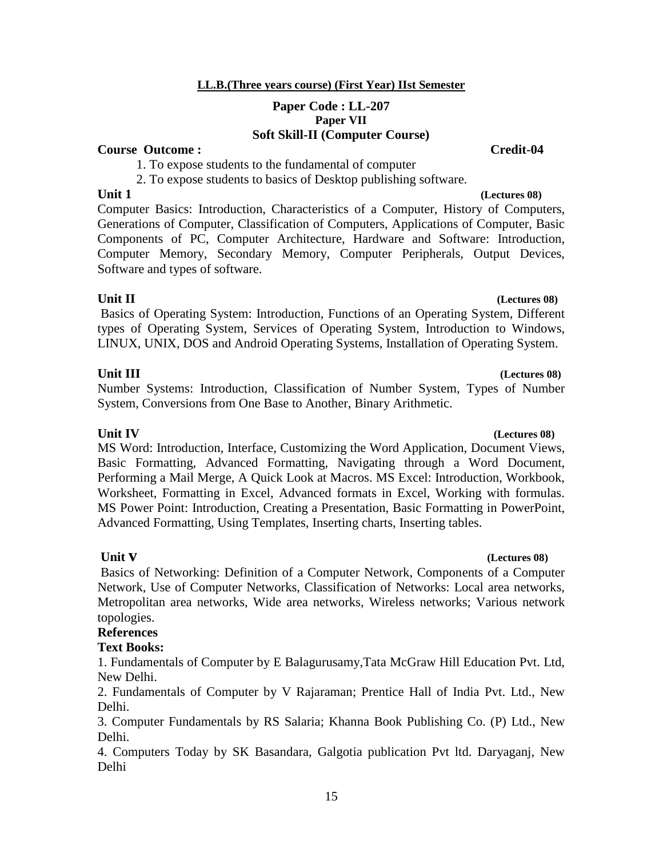# **LL.B.(Three years course) (First Year) IIst Semester**

# **Paper Code : LL-207 Paper VII Soft Skill-II (Computer Course)**

# **Course Outcome : Credit-04**

1. To expose students to the fundamental of computer

2. To expose students to basics of Desktop publishing software.

Computer Basics: Introduction, Characteristics of a Computer, History of Computers, Generations of Computer, Classification of Computers, Applications of Computer, Basic Components of PC, Computer Architecture, Hardware and Software: Introduction, Computer Memory, Secondary Memory, Computer Peripherals, Output Devices, Software and types of software.

**Unit II (Lectures 08)** Basics of Operating System: Introduction, Functions of an Operating System, Different types of Operating System, Services of Operating System, Introduction to Windows, LINUX, UNIX, DOS and Android Operating Systems, Installation of Operating System.

Number Systems: Introduction, Classification of Number System, Types of Number System, Conversions from One Base to Another, Binary Arithmetic.

# **Unit IV (Lectures 08)**

MS Word: Introduction, Interface, Customizing the Word Application, Document Views, Basic Formatting, Advanced Formatting, Navigating through a Word Document, Performing a Mail Merge, A Quick Look at Macros. MS Excel: Introduction, Workbook, Worksheet, Formatting in Excel, Advanced formats in Excel, Working with formulas. MS Power Point: Introduction, Creating a Presentation, Basic Formatting in PowerPoint, Advanced Formatting, Using Templates, Inserting charts, Inserting tables.

# **Unit v (Lectures 08)**

Basics of Networking: Definition of a Computer Network, Components of a Computer Network, Use of Computer Networks, Classification of Networks: Local area networks, Metropolitan area networks, Wide area networks, Wireless networks; Various network topologies.

# **References**

# **Text Books:**

1. Fundamentals of Computer by E Balagurusamy,Tata McGraw Hill Education Pvt. Ltd, New Delhi.

2. Fundamentals of Computer by V Rajaraman; Prentice Hall of India Pvt. Ltd., New Delhi.

3. Computer Fundamentals by RS Salaria; Khanna Book Publishing Co. (P) Ltd., New Delhi.

4. Computers Today by SK Basandara, Galgotia publication Pvt ltd. Daryaganj, New Delhi

# **Unit III (Lectures 08)**

# **Unit 1** *Construction 1**Construction 1**Construction 1**Construction 1**Construction 1**Construction 1**Construction 1**Construction 1**Construction 1**Construction 1**Construction 1**Construction 1**Constru*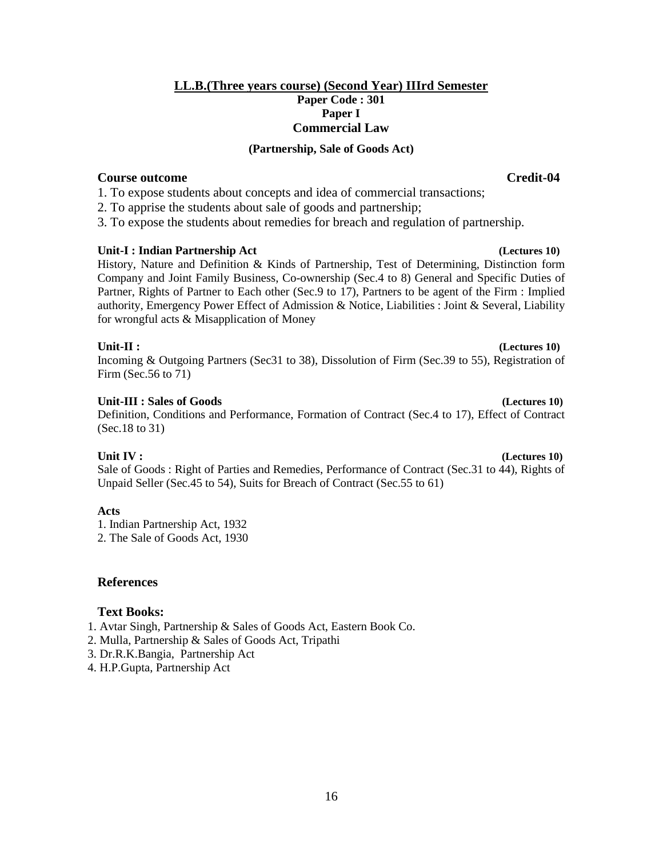# **LL.B.(Three years course) (Second Year) IIIrd Semester Paper Code : 301 Paper I Commercial Law**

## **(Partnership, Sale of Goods Act)**

# **Course outcome Credit-04**

1. To expose students about concepts and idea of commercial transactions;

2. To apprise the students about sale of goods and partnership;

3. To expose the students about remedies for breach and regulation of partnership.

## **Unit-I : Indian Partnership Act (Lectures 10)**

History, Nature and Definition & Kinds of Partnership, Test of Determining, Distinction form Company and Joint Family Business, Co-ownership (Sec.4 to 8) General and Specific Duties of Partner, Rights of Partner to Each other (Sec.9 to 17), Partners to be agent of the Firm : Implied authority, Emergency Power Effect of Admission & Notice, Liabilities : Joint & Several, Liability for wrongful acts & Misapplication of Money

## **Unit-II : (Lectures 10)**

Incoming & Outgoing Partners (Sec31 to 38), Dissolution of Firm (Sec.39 to 55), Registration of Firm (Sec.56 to 71)

# **Unit-III : Sales of Goods (Lectures 10)**

Definition, Conditions and Performance, Formation of Contract (Sec.4 to 17), Effect of Contract (Sec.18 to 31)

**Unit IV : (Lectures 10) (** Sale of Goods : Right of Parties and Remedies, Performance of Contract (Sec.31 to 44), Rights of Unpaid Seller (Sec.45 to 54), Suits for Breach of Contract (Sec.55 to 61)

# **Acts**

1. Indian Partnership Act, 1932 2. The Sale of Goods Act, 1930

# **References**

# **Text Books:**

- 1. Avtar Singh, Partnership & Sales of Goods Act, Eastern Book Co.
- 2. Mulla, Partnership & Sales of Goods Act, Tripathi
- 3. Dr.R.K.Bangia, Partnership Act
- 4. H.P.Gupta, Partnership Act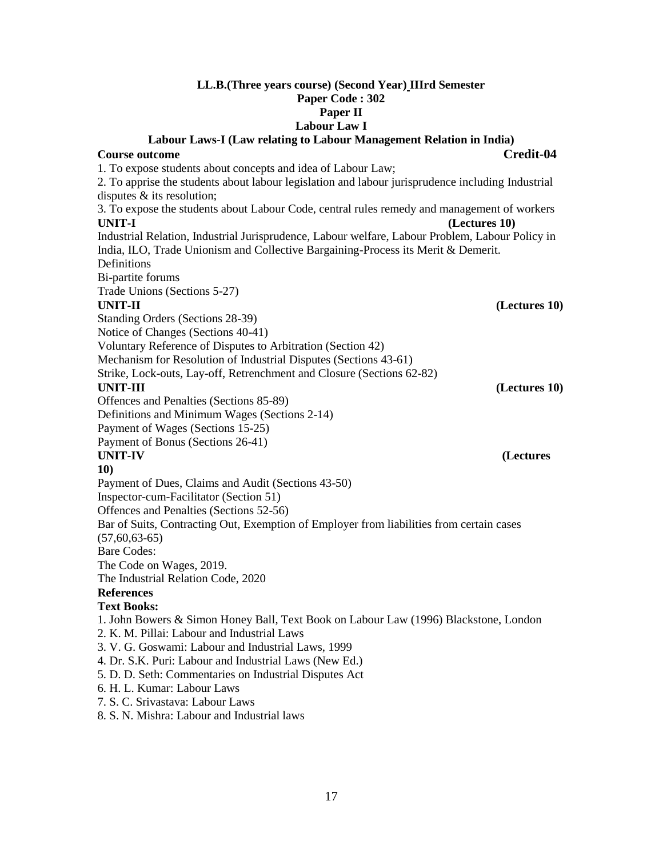# **LL.B.(Three years course) (Second Year) IIIrd Semester Paper Code : 302 Paper II**

# **Labour Law I**

**Labour Laws-I (Law relating to Labour Management Relation in India) Course outcome Credit-04** 1. To expose students about concepts and idea of Labour Law; 2. To apprise the students about labour legislation and labour jurisprudence including Industrial disputes & its resolution; 3. To expose the students about Labour Code, central rules remedy and management of workers **UNIT-I (Lectures 10)** Industrial Relation, Industrial Jurisprudence, Labour welfare, Labour Problem, Labour Policy in India, ILO, Trade Unionism and Collective Bargaining-Process its Merit & Demerit. Definitions Bi-partite forums Trade Unions (Sections 5-27) **UNIT-II (Lectures 10)** Standing Orders (Sections 28-39) Notice of Changes (Sections 40-41) Voluntary Reference of Disputes to Arbitration (Section 42) Mechanism for Resolution of Industrial Disputes (Sections 43-61) Strike, Lock-outs, Lay-off, Retrenchment and Closure (Sections 62-82) **UNIT-III (Lectures 10)** Offences and Penalties (Sections 85-89) Definitions and Minimum Wages (Sections 2-14) Payment of Wages (Sections 15-25) Payment of Bonus (Sections 26-41) **UNIT-IV** (Lectures **10)** Payment of Dues, Claims and Audit (Sections 43-50) Inspector-cum-Facilitator (Section 51) Offences and Penalties (Sections 52-56) Bar of Suits, Contracting Out, Exemption of Employer from liabilities from certain cases  $(57,60,63-65)$ Bare Codes: The Code on Wages, 2019. The Industrial Relation Code, 2020 **References Text Books:**  1. John Bowers & Simon Honey Ball, Text Book on Labour Law (1996) Blackstone, London 2. K. M. Pillai: Labour and Industrial Laws 3. V. G. Goswami: Labour and Industrial Laws, 1999 4. Dr. S.K. Puri: Labour and Industrial Laws (New Ed.) 5. D. D. Seth: Commentaries on Industrial Disputes Act 6. H. L. Kumar: Labour Laws 7. S. C. Srivastava: Labour Laws 8. S. N. Mishra: Labour and Industrial laws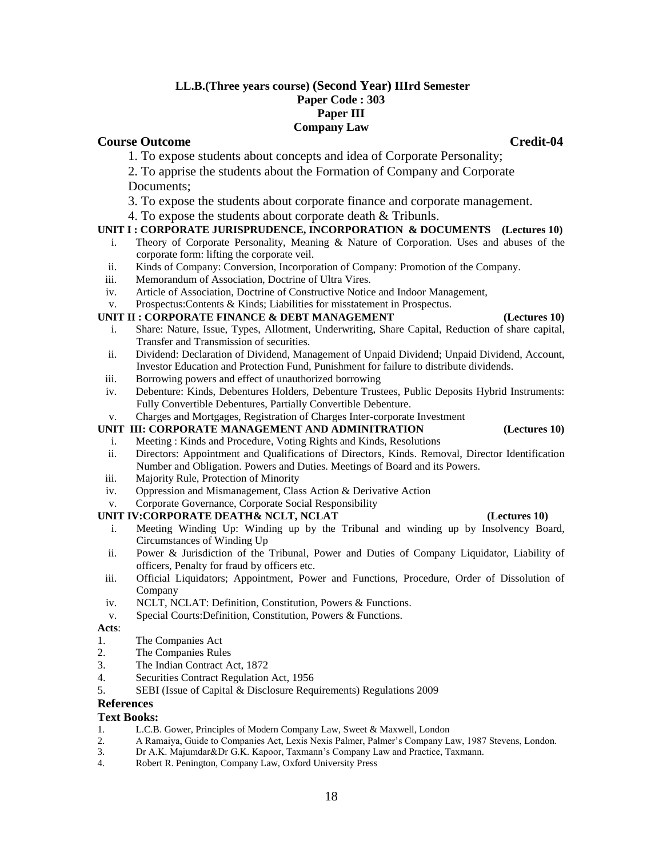## **LL.B.(Three years course) (Second Year) IIIrd Semester Paper Code : 303 Paper III Company Law**

# **Course Outcome Credit-04 Credit-04**

- 1. To expose students about concepts and idea of Corporate Personality;
- 2. To apprise the students about the Formation of Company and Corporate Documents;
- 3. To expose the students about corporate finance and corporate management.
- 4. To expose the students about corporate death & Tribunls.

# **UNIT I : CORPORATE JURISPRUDENCE, INCORPORATION & DOCUMENTS (Lectures 10)**

- i. Theory of Corporate Personality, Meaning & Nature of Corporation. Uses and abuses of the corporate form: lifting the corporate veil.
- ii. Kinds of Company: Conversion, Incorporation of Company: Promotion of the Company.
- iii. Memorandum of Association, Doctrine of Ultra Vires.
- iv. Article of Association, Doctrine of Constructive Notice and Indoor Management,
- v. Prospectus:Contents & Kinds; Liabilities for misstatement in Prospectus.

### **UNIT II : CORPORATE FINANCE & DEBT MANAGEMENT** (Lectures 10)

- i. Share: Nature, Issue, Types, Allotment, Underwriting, Share Capital, Reduction of share capital, Transfer and Transmission of securities.
- ii. Dividend: Declaration of Dividend, Management of Unpaid Dividend; Unpaid Dividend, Account, Investor Education and Protection Fund, Punishment for failure to distribute dividends.
- iii. Borrowing powers and effect of unauthorized borrowing
- iv. Debenture: Kinds, Debentures Holders, Debenture Trustees, Public Deposits Hybrid Instruments: Fully Convertible Debentures, Partially Convertible Debenture.
- v. Charges and Mortgages, Registration of Charges Inter-corporate Investment

## **UNIT III: CORPORATE MANAGEMENT AND ADMINITRATION (Lectures 10)**

## i. Meeting : Kinds and Procedure, Voting Rights and Kinds, Resolutions

- ii. Directors: Appointment and Qualifications of Directors, Kinds. Removal, Director Identification Number and Obligation. Powers and Duties. Meetings of Board and its Powers.
- iii. Majority Rule, Protection of Minority
- iv. Oppression and Mismanagement, Class Action & Derivative Action
- v. Corporate Governance, Corporate Social Responsibility

### **UNIT IV:CORPORATE DEATH& NCLT, NCLAT (Lectures 10)**

- i. Meeting Winding Up: Winding up by the Tribunal and winding up by Insolvency Board, Circumstances of Winding Up
- ii. Power & Jurisdiction of the Tribunal, Power and Duties of Company Liquidator, Liability of officers, Penalty for fraud by officers etc.
- iii. Official Liquidators; Appointment, Power and Functions, Procedure, Order of Dissolution of Company
- iv. NCLT, NCLAT: Definition, Constitution, Powers & Functions.
- v. Special Courts:Definition, Constitution, Powers & Functions.

### **Acts**:

- 1. The Companies Act
- 2. The Companies Rules
- 3. The Indian Contract Act, 1872
- 4. Securities Contract Regulation Act, 1956
- 5. SEBI (Issue of Capital & Disclosure Requirements) Regulations 2009

# **References**

# **Text Books:**

- 1. L.C.B. Gower, Principles of Modern Company Law, Sweet & Maxwell, London
- 2. A Ramaiya, Guide to Companies Act, Lexis Nexis Palmer, Palmer's Company Law, 1987 Stevens, London.
- 3. Dr A.K. Majumdar&Dr G.K. Kapoor, Taxmann's Company Law and Practice, Taxmann.
- 4. Robert R. Penington, Company Law, Oxford University Press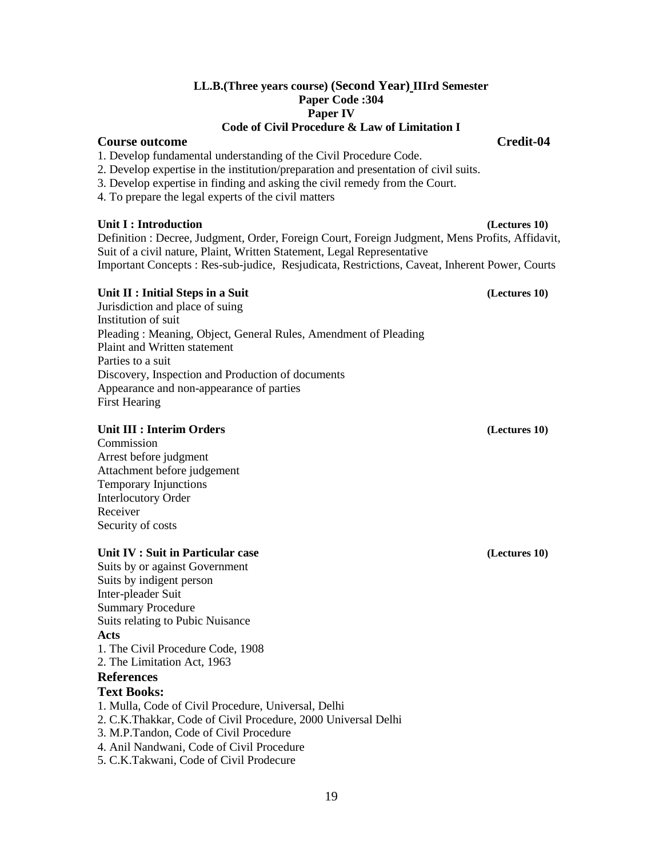# **LL.B.(Three years course) (Second Year) IIIrd Semester Paper Code :304 Paper IV**

# **Code of Civil Procedure & Law of Limitation I**

# **Course outcome Credit-04**

1. Develop fundamental understanding of the Civil Procedure Code.

- 2. Develop expertise in the institution/preparation and presentation of civil suits.
- 3. Develop expertise in finding and asking the civil remedy from the Court.
- 4. To prepare the legal experts of the civil matters

## **Unit I : Introduction (Lectures 10)**

Definition : Decree, Judgment, Order, Foreign Court, Foreign Judgment, Mens Profits, Affidavit, Suit of a civil nature, Plaint, Written Statement, Legal Representative Important Concepts : Res-sub-judice, Resjudicata, Restrictions, Caveat, Inherent Power, Courts

# Unit II : Initial Steps in a Suit

Jurisdiction and place of suing Institution of suit Pleading : Meaning, Object, General Rules, Amendment of Pleading Plaint and Written statement Parties to a suit Discovery, Inspection and Production of documents Appearance and non-appearance of parties First Hearing

# **Unit III : Interim Orders (Lectures 10)**

**Commission** Arrest before judgment Attachment before judgement Temporary Injunctions Interlocutory Order Receiver Security of costs

# **Unit IV : Suit in Particular case (Lectures 10)**

Suits by or against Government Suits by indigent person Inter-pleader Suit Summary Procedure Suits relating to Pubic Nuisance **Acts** 1. The Civil Procedure Code, 1908 2. The Limitation Act, 1963 **References Text Books:**  1. Mulla, Code of Civil Procedure, Universal, Delhi 2. C.K.Thakkar, Code of Civil Procedure, 2000 Universal Delhi 3. M.P.Tandon, Code of Civil Procedure 4. Anil Nandwani, Code of Civil Procedure 5. C.K.Takwani, Code of Civil Prodecure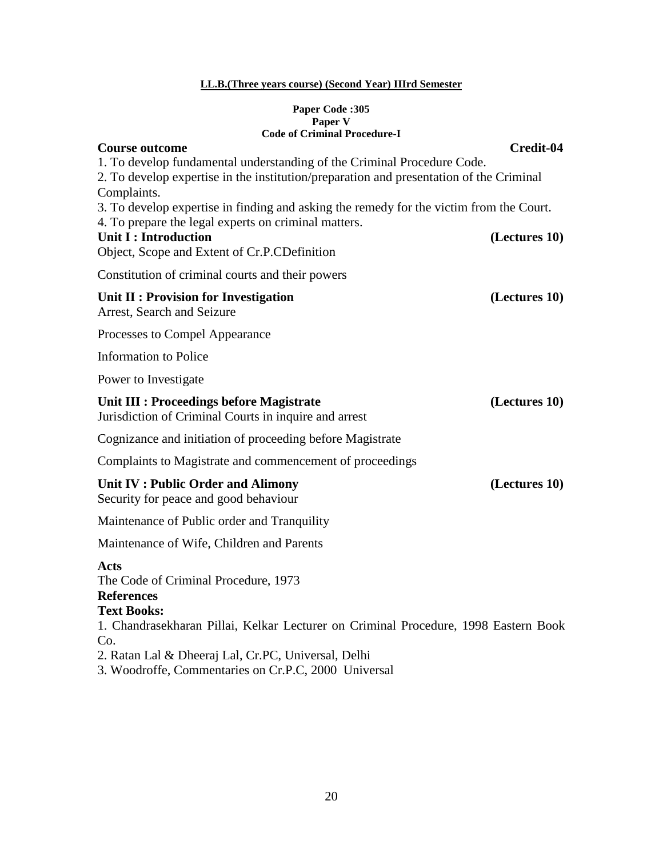# **LL.B.(Three years course) (Second Year) IIIrd Semester**

## **Paper Code :305 Paper V Code of Criminal Procedure-I**

| <b>Course outcome</b>                                                                                                                                                             | Credit-04     |
|-----------------------------------------------------------------------------------------------------------------------------------------------------------------------------------|---------------|
| 1. To develop fundamental understanding of the Criminal Procedure Code.<br>2. To develop expertise in the institution/preparation and presentation of the Criminal<br>Complaints. |               |
| 3. To develop expertise in finding and asking the remedy for the victim from the Court.                                                                                           |               |
| 4. To prepare the legal experts on criminal matters.<br><b>Unit I: Introduction</b><br>Object, Scope and Extent of Cr.P.CDefinition                                               | (Lectures 10) |
| Constitution of criminal courts and their powers                                                                                                                                  |               |
| Unit II : Provision for Investigation<br>Arrest, Search and Seizure                                                                                                               | (Lectures 10) |
| Processes to Compel Appearance                                                                                                                                                    |               |
| <b>Information</b> to Police                                                                                                                                                      |               |
| Power to Investigate                                                                                                                                                              |               |
| Unit III : Proceedings before Magistrate<br>Jurisdiction of Criminal Courts in inquire and arrest                                                                                 | (Lectures 10) |
| Cognizance and initiation of proceeding before Magistrate                                                                                                                         |               |
| Complaints to Magistrate and commencement of proceedings                                                                                                                          |               |
| Unit IV : Public Order and Alimony<br>Security for peace and good behaviour                                                                                                       | (Lectures 10) |
| Maintenance of Public order and Tranquility                                                                                                                                       |               |
| Maintenance of Wife, Children and Parents                                                                                                                                         |               |
| <b>Acts</b><br>The Code of Criminal Procedure, 1973<br><b>References</b>                                                                                                          |               |
| <b>Text Books:</b><br>1. Chandrasekharan Pillai, Kelkar Lecturer on Criminal Procedure, 1998 Eastern Book<br>Co.<br>2. Ratan Lal & Dheeraj Lal, Cr.PC, Universal, Delhi           |               |
| 3. Woodroffe, Commentaries on Cr.P.C, 2000 Universal                                                                                                                              |               |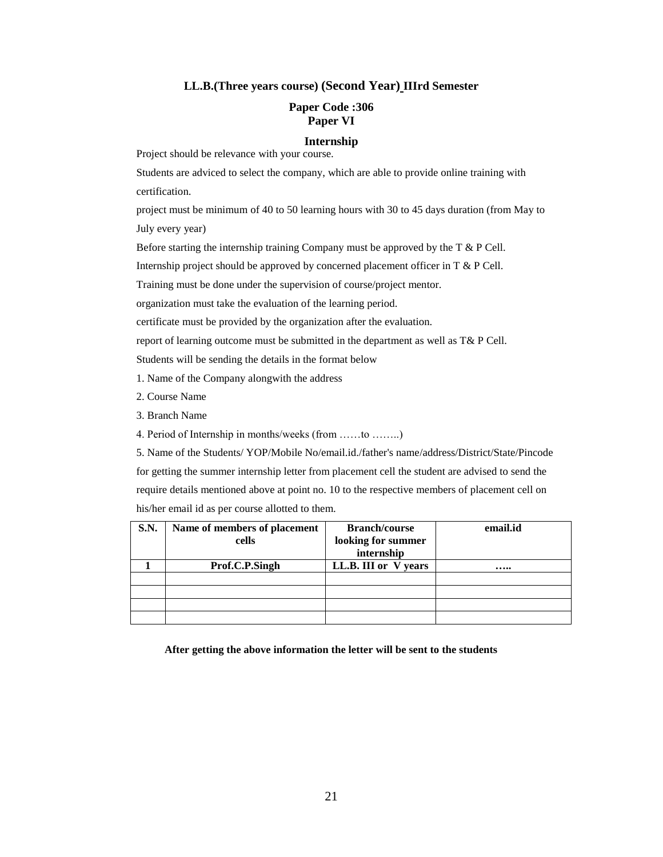### **LL.B.(Three years course) (Second Year) IIIrd Semester**

## **Paper Code :306 Paper VI**

# **Internship**

Project should be relevance with your course.

Students are adviced to select the company, which are able to provide online training with certification.

project must be minimum of 40 to 50 learning hours with 30 to 45 days duration (from May to July every year)

Before starting the internship training Company must be approved by the T & P Cell.

Internship project should be approved by concerned placement officer in T & P Cell.

Training must be done under the supervision of course/project mentor.

organization must take the evaluation of the learning period.

certificate must be provided by the organization after the evaluation.

report of learning outcome must be submitted in the department as well as T& P Cell.

Students will be sending the details in the format below

1. Name of the Company alongwith the address

- 2. Course Name
- 3. Branch Name
- 4. Period of Internship in months/weeks (from ……to ……..)

5. Name of the Students/ YOP/Mobile No/email.id./father's name/address/District/State/Pincode for getting the summer internship letter from placement cell the student are advised to send the require details mentioned above at point no. 10 to the respective members of placement cell on his/her email id as per course allotted to them.

| <b>S.N.</b> | Name of members of placement | <b>Branch/course</b> | email.id |
|-------------|------------------------------|----------------------|----------|
|             | cells                        | looking for summer   |          |
|             |                              | internship           |          |
|             | Prof.C.P.Singh               | LL.B. III or V years |          |
|             |                              |                      |          |
|             |                              |                      |          |
|             |                              |                      |          |
|             |                              |                      |          |

**After getting the above information the letter will be sent to the students**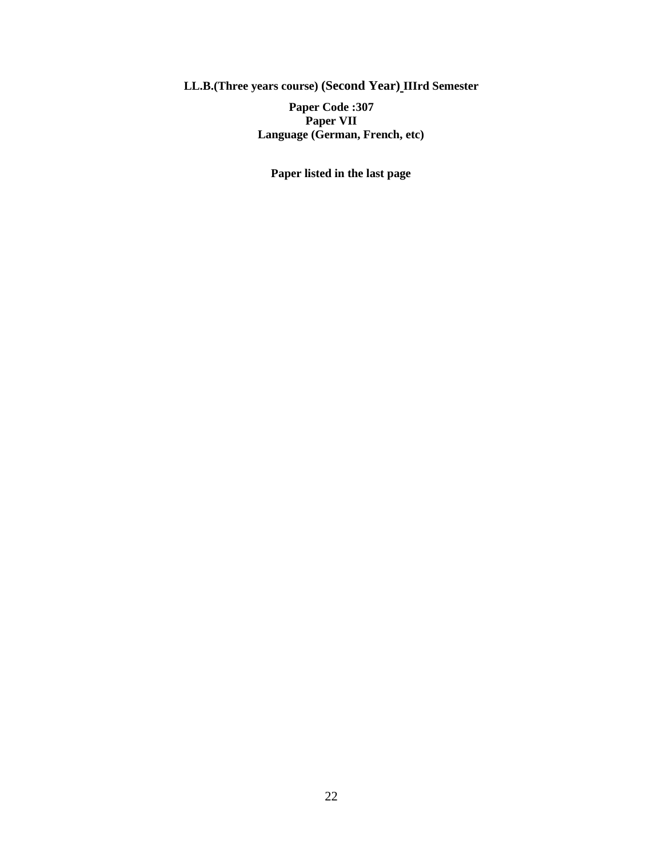**LL.B.(Three years course) (Second Year) IIIrd Semester**

**Paper Code :307 Paper VII Language (German, French, etc)**

**Paper listed in the last page**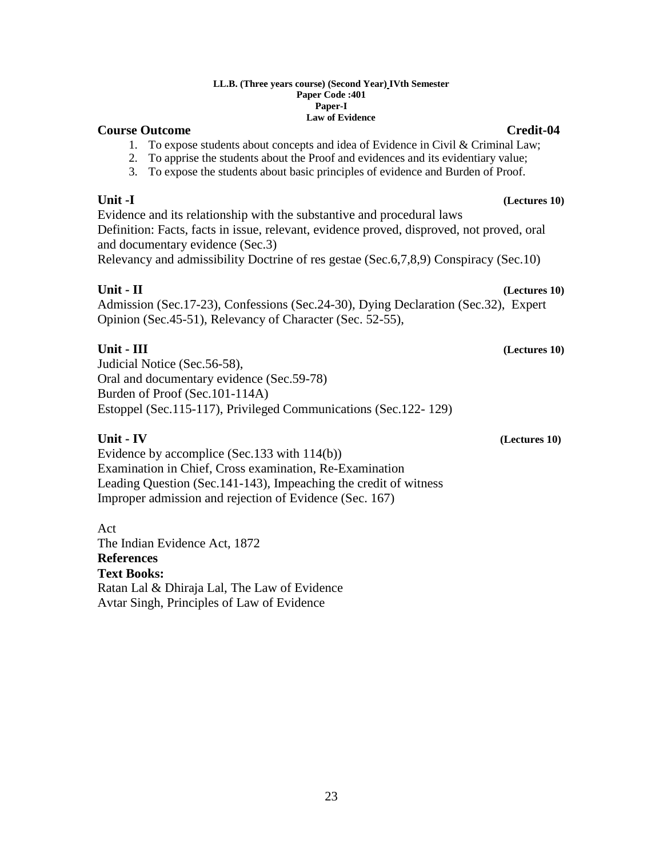### **LL.B. (Three years course) (Second Year) IVth Semester Paper Code :401 Paper-I Law of Evidence**

# **Course Outcome Credit-04**

# 1. To expose students about concepts and idea of Evidence in Civil & Criminal Law;

- 2. To apprise the students about the Proof and evidences and its evidentiary value;
- 3. To expose the students about basic principles of evidence and Burden of Proof.

# **Unit -I (Lectures 10)**

Evidence and its relationship with the substantive and procedural laws Definition: Facts, facts in issue, relevant, evidence proved, disproved, not proved, oral and documentary evidence (Sec.3) Relevancy and admissibility Doctrine of res gestae (Sec.6,7,8,9) Conspiracy (Sec.10)

**Unit - II (Lectures 10)**

Admission (Sec.17-23), Confessions (Sec.24-30), Dying Declaration (Sec.32), Expert Opinion (Sec.45-51), Relevancy of Character (Sec. 52-55),

# **Unit - III (Lectures 10)**

Judicial Notice (Sec.56-58), Oral and documentary evidence (Sec.59-78) Burden of Proof (Sec.101-114A) Estoppel (Sec.115-117), Privileged Communications (Sec.122- 129)

Evidence by accomplice (Sec.133 with 114(b)) Examination in Chief, Cross examination, Re-Examination Leading Question (Sec.141-143), Impeaching the credit of witness Improper admission and rejection of Evidence (Sec. 167)

Act The Indian Evidence Act, 1872 **References Text Books:**  Ratan Lal & Dhiraja Lal, The Law of Evidence Avtar Singh, Principles of Law of Evidence

### **Unit - IV (Lectures 10)**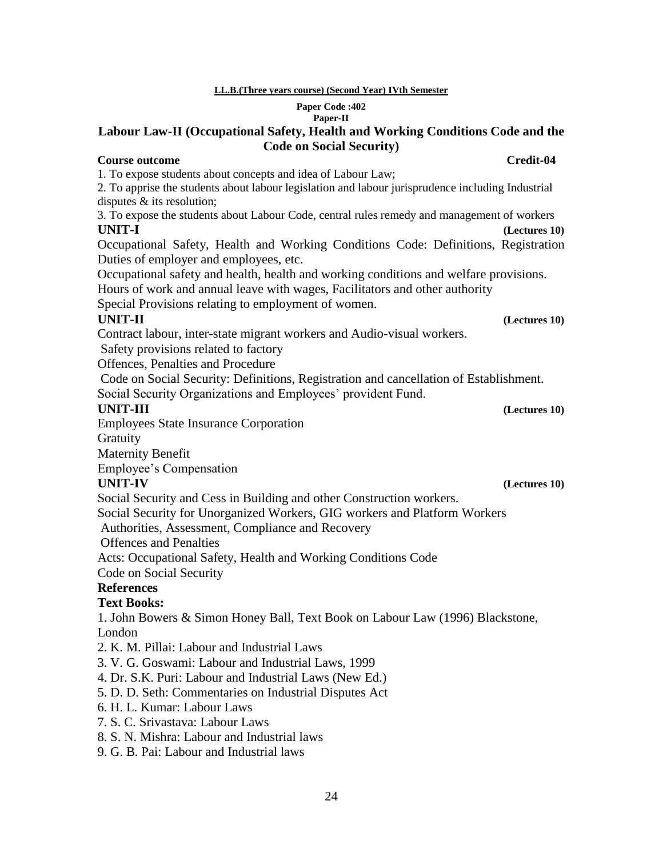# **LL.B.(Three years course) (Second Year) IVth Semester**

### **Paper Code :402 Paper-II**

# **Labour Law-II (Occupational Safety, Health and Working Conditions Code and the Code on Social Security)**

# **Course outcome Credit-04 Credit-04**

1. To expose students about concepts and idea of Labour Law;

2. To apprise the students about labour legislation and labour jurisprudence including Industrial disputes & its resolution;

3. To expose the students about Labour Code, central rules remedy and management of workers **UNIT-I (Lectures 10)**

Occupational Safety, Health and Working Conditions Code: Definitions, Registration Duties of employer and employees, etc.

Occupational safety and health, health and working conditions and welfare provisions.

Hours of work and annual leave with wages, Facilitators and other authority

Special Provisions relating to employment of women.

# **UNIT-II (Lectures 10)**

Contract labour, inter-state migrant workers and Audio-visual workers.

Safety provisions related to factory

Offences, Penalties and Procedure

Code on Social Security: Definitions, Registration and cancellation of Establishment. Social Security Organizations and Employees' provident Fund.

# **UNIT-III (Lectures 10)**

Employees State Insurance Corporation

**Gratuity** 

Maternity Benefit

Employee's Compensation

# **UNIT-IV (Lectures 10)**

Social Security and Cess in Building and other Construction workers.

Social Security for Unorganized Workers, GIG workers and Platform Workers

Authorities, Assessment, Compliance and Recovery

Offences and Penalties

Acts: Occupational Safety, Health and Working Conditions Code

Code on Social Security

# **References**

# **Text Books:**

1. John Bowers & Simon Honey Ball, Text Book on Labour Law (1996) Blackstone, London

- 2. K. M. Pillai: Labour and Industrial Laws
- 3. V. G. Goswami: Labour and Industrial Laws, 1999
- 4. Dr. S.K. Puri: Labour and Industrial Laws (New Ed.)
- 5. D. D. Seth: Commentaries on Industrial Disputes Act
- 6. H. L. Kumar: Labour Laws
- 7. S. C. Srivastava: Labour Laws
- 8. S. N. Mishra: Labour and Industrial laws
- 9. G. B. Pai: Labour and Industrial laws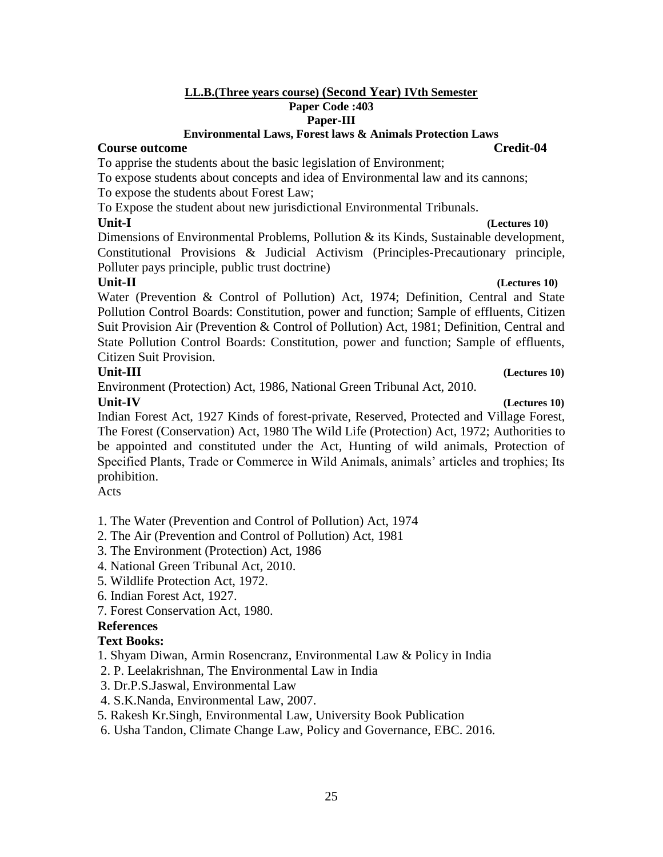# **LL.B.(Three years course) (Second Year) IVth Semester Paper Code :403 Paper-III**

# **Environmental Laws, Forest laws & Animals Protection Laws**

# **Course outcome Credit-04 Credit-04**

To apprise the students about the basic legislation of Environment;

To expose students about concepts and idea of Environmental law and its cannons; To expose the students about Forest Law;

To Expose the student about new jurisdictional Environmental Tribunals.

Dimensions of Environmental Problems, Pollution & its Kinds, Sustainable development, Constitutional Provisions & Judicial Activism (Principles-Precautionary principle, Polluter pays principle, public trust doctrine)

**Unit-II (Lectures 10)** Water (Prevention & Control of Pollution) Act, 1974; Definition, Central and State Pollution Control Boards: Constitution, power and function; Sample of effluents, Citizen Suit Provision Air (Prevention & Control of Pollution) Act, 1981; Definition, Central and State Pollution Control Boards: Constitution, power and function; Sample of effluents, Citizen Suit Provision.

# **Unit-III (Lectures 10)**

Environment (Protection) Act, 1986, National Green Tribunal Act, 2010.

**Unit-IV (Lectures 10)** Indian Forest Act, 1927 Kinds of forest-private, Reserved, Protected and Village Forest, The Forest (Conservation) Act, 1980 The Wild Life (Protection) Act, 1972; Authorities to be appointed and constituted under the Act, Hunting of wild animals, Protection of Specified Plants, Trade or Commerce in Wild Animals, animals' articles and trophies; Its prohibition.

Acts

1. The Water (Prevention and Control of Pollution) Act, 1974

2. The Air (Prevention and Control of Pollution) Act, 1981

- 3. The Environment (Protection) Act, 1986
- 4. National Green Tribunal Act, 2010.
- 5. Wildlife Protection Act, 1972.
- 6. Indian Forest Act, 1927.
- 7. Forest Conservation Act, 1980.

# **References**

# **Text Books:**

1. Shyam Diwan, Armin Rosencranz, Environmental Law & Policy in India

- 2. P. Leelakrishnan, The Environmental Law in India
- 3. Dr.P.S.Jaswal, Environmental Law
- 4. S.K.Nanda, Environmental Law, 2007.
- 5. Rakesh Kr.Singh, Environmental Law, University Book Publication
- 6. Usha Tandon, Climate Change Law, Policy and Governance, EBC. 2016.

# **Unit-I (Lectures 10)**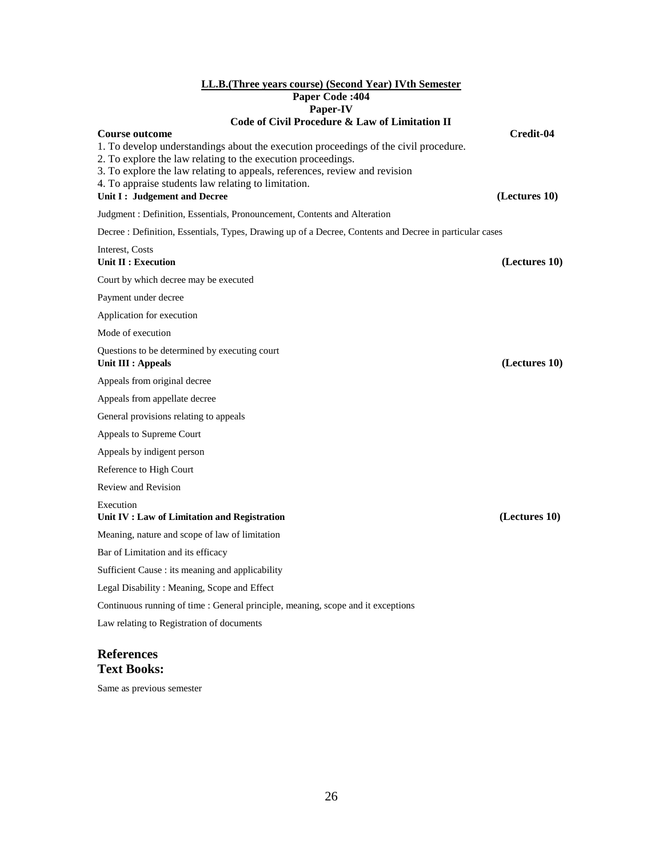# **LL.B.(Three years course) (Second Year) IVth Semester Paper Code :404 Paper-IV**

### **Code of Civil Procedure & Law of Limitation II**

| Code of Civil Procedure & Law of Limitation II                                                                                                                                                                                                                                                                                                     |                            |
|----------------------------------------------------------------------------------------------------------------------------------------------------------------------------------------------------------------------------------------------------------------------------------------------------------------------------------------------------|----------------------------|
| <b>Course outcome</b><br>1. To develop understandings about the execution proceedings of the civil procedure.<br>2. To explore the law relating to the execution proceedings.<br>3. To explore the law relating to appeals, references, review and revision<br>4. To appraise students law relating to limitation.<br>Unit I: Judgement and Decree | Credit-04<br>(Lectures 10) |
| Judgment : Definition, Essentials, Pronouncement, Contents and Alteration                                                                                                                                                                                                                                                                          |                            |
| Decree : Definition, Essentials, Types, Drawing up of a Decree, Contents and Decree in particular cases                                                                                                                                                                                                                                            |                            |
| Interest, Costs<br>Unit II : Execution                                                                                                                                                                                                                                                                                                             | (Lectures 10)              |
| Court by which decree may be executed                                                                                                                                                                                                                                                                                                              |                            |
| Payment under decree                                                                                                                                                                                                                                                                                                                               |                            |
| Application for execution                                                                                                                                                                                                                                                                                                                          |                            |
| Mode of execution                                                                                                                                                                                                                                                                                                                                  |                            |
| Questions to be determined by executing court<br><b>Unit III : Appeals</b>                                                                                                                                                                                                                                                                         | (Lectures 10)              |
| Appeals from original decree                                                                                                                                                                                                                                                                                                                       |                            |
| Appeals from appellate decree                                                                                                                                                                                                                                                                                                                      |                            |
| General provisions relating to appeals                                                                                                                                                                                                                                                                                                             |                            |
| Appeals to Supreme Court                                                                                                                                                                                                                                                                                                                           |                            |
| Appeals by indigent person                                                                                                                                                                                                                                                                                                                         |                            |
| Reference to High Court                                                                                                                                                                                                                                                                                                                            |                            |
| <b>Review and Revision</b>                                                                                                                                                                                                                                                                                                                         |                            |
| Execution<br>Unit IV : Law of Limitation and Registration                                                                                                                                                                                                                                                                                          | (Lectures 10)              |
| Meaning, nature and scope of law of limitation                                                                                                                                                                                                                                                                                                     |                            |
| Bar of Limitation and its efficacy                                                                                                                                                                                                                                                                                                                 |                            |
| Sufficient Cause : its meaning and applicability                                                                                                                                                                                                                                                                                                   |                            |
| Legal Disability: Meaning, Scope and Effect                                                                                                                                                                                                                                                                                                        |                            |
| Continuous running of time : General principle, meaning, scope and it exceptions                                                                                                                                                                                                                                                                   |                            |
| Law relating to Registration of documents                                                                                                                                                                                                                                                                                                          |                            |
|                                                                                                                                                                                                                                                                                                                                                    |                            |

# **References Text Books:**

Same as previous semester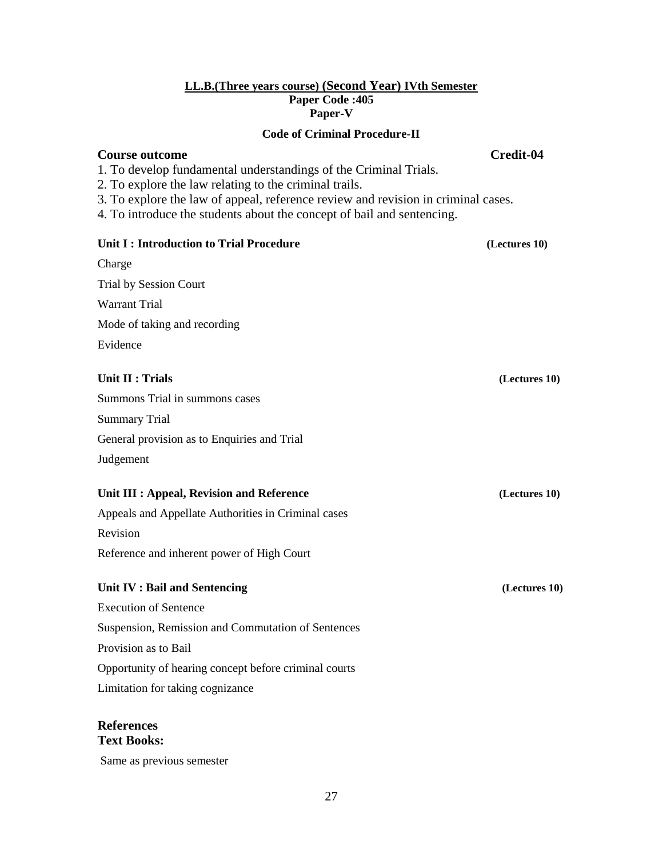## **LL.B.(Three years course) (Second Year) IVth Semester Paper Code :405 Paper-V**

# **Code of Criminal Procedure-II**

# **Course outcome Credit-04**

- 1. To develop fundamental understandings of the Criminal Trials.
- 2. To explore the law relating to the criminal trails.
- 3. To explore the law of appeal, reference review and revision in criminal cases.
- 4. To introduce the students about the concept of bail and sentencing.

# **Unit I : Introduction to Trial Procedure** (Lectures 10)

Charge Trial by Session Court Warrant Trial Mode of taking and recording Evidence

# **Unit II : Trials** (Lectures 10)

Summons Trial in summons cases Summary Trial General provision as to Enquiries and Trial Judgement

# **Unit III : Appeal, Revision and Reference (Lectures 10)**

Appeals and Appellate Authorities in Criminal cases Revision Reference and inherent power of High Court

# **Unit IV : Bail and Sentencing (Lectures 10)**

Execution of Sentence Suspension, Remission and Commutation of Sentences Provision as to Bail Opportunity of hearing concept before criminal courts Limitation for taking cognizance

## **References Text Books:**

Same as previous semester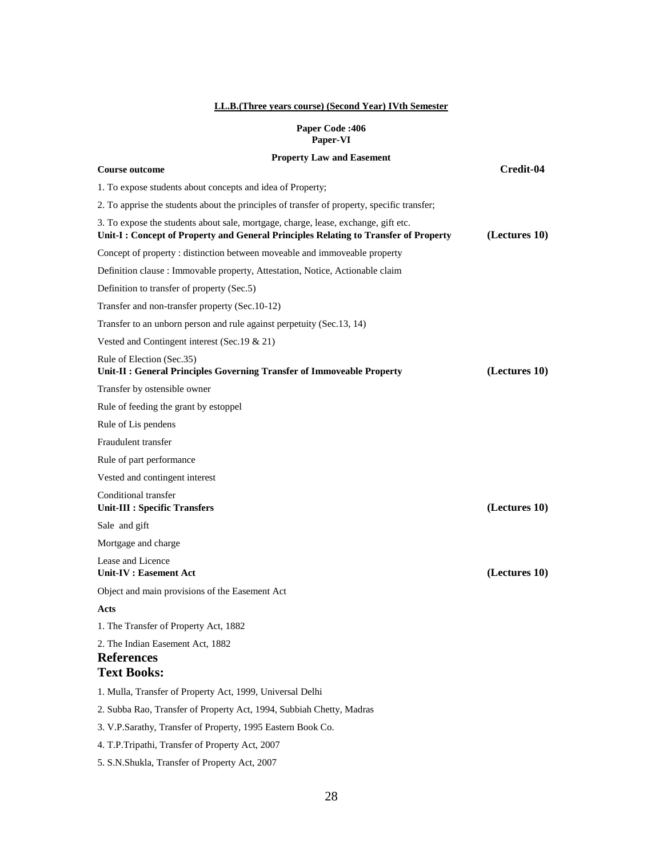### **LL.B.(Three years course) (Second Year) IVth Semester**

### **Paper Code :406 Paper-VI**

# **Property Law and Easement Course outcome Credit-04** 1. To expose students about concepts and idea of Property; 2. To apprise the students about the principles of transfer of property, specific transfer; 3. To expose the students about sale, mortgage, charge, lease, exchange, gift etc. **Unit-I : Concept of Property and General Principles Relating to Transfer of Property (Lectures 10)** Concept of property : distinction between moveable and immoveable property Definition clause : Immovable property, Attestation, Notice, Actionable claim Definition to transfer of property (Sec.5) Transfer and non-transfer property (Sec.10-12) Transfer to an unborn person and rule against perpetuity (Sec.13, 14) Vested and Contingent interest (Sec.19 & 21) Rule of Election (Sec.35) **Unit-II : General Principles Governing Transfer of Immoveable Property (Lectures 10)** Transfer by ostensible owner Rule of feeding the grant by estoppel Rule of Lis pendens Fraudulent transfer Rule of part performance Vested and contingent interest Conditional transfer **Unit-III : Specific Transfers (Lectures 10)** Sale and gift Mortgage and charge Lease and Licence **Unit-IV : Easement Act (Lectures 10)** Object and main provisions of the Easement Act **Acts** 1. The Transfer of Property Act, 1882 2. The Indian Easement Act, 1882 **References Text Books:**  1. Mulla, Transfer of Property Act, 1999, Universal Delhi 2. Subba Rao, Transfer of Property Act, 1994, Subbiah Chetty, Madras 3. V.P.Sarathy, Transfer of Property, 1995 Eastern Book Co. 4. T.P.Tripathi, Transfer of Property Act, 2007 5. S.N.Shukla, Transfer of Property Act, 2007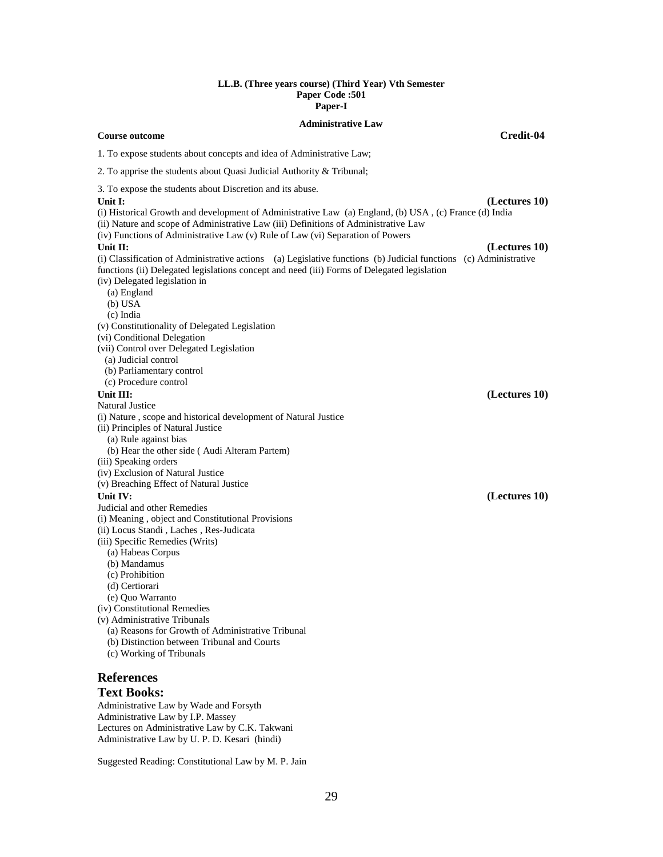### **LL.B. (Three years course) (Third Year) Vth Semester Paper Code :501 Paper-I**

### **Administrative Law**

### **Course outcome Credit-04**

1. To expose students about concepts and idea of Administrative Law;

2. To apprise the students about Quasi Judicial Authority & Tribunal;

3. To expose the students about Discretion and its abuse.

**Unit I: (Lectures 10)** (i) Historical Growth and development of Administrative Law (a) England, (b) USA , (c) France (d) India (ii) Nature and scope of Administrative Law (iii) Definitions of Administrative Law (iv) Functions of Administrative Law (v) Rule of Law (vi) Separation of Powers **Unit II: (Lectures 10)** (i) Classification of Administrative actions (a) Legislative functions (b) Judicial functions (c) Administrative functions (ii) Delegated legislations concept and need (iii) Forms of Delegated legislation (iv) Delegated legislation in (a) England (b) USA (c) India (v) Constitutionality of Delegated Legislation (vi) Conditional Delegation (vii) Control over Delegated Legislation (a) Judicial control (b) Parliamentary control (c) Procedure control **Unit III: (Lectures 10)** Natural Justice (i) Nature , scope and historical development of Natural Justice (ii) Principles of Natural Justice (a) Rule against bias (b) Hear the other side ( Audi Alteram Partem) (iii) Speaking orders (iv) Exclusion of Natural Justice (v) Breaching Effect of Natural Justice **Unit IV: (Lectures 10)** Judicial and other Remedies (i) Meaning , object and Constitutional Provisions (ii) Locus Standi , Laches , Res-Judicata (iii) Specific Remedies (Writs) (a) Habeas Corpus (b) Mandamus (c) Prohibition (d) Certiorari (e) Quo Warranto (iv) Constitutional Remedies (v) Administrative Tribunals (a) Reasons for Growth of Administrative Tribunal (b) Distinction between Tribunal and Courts (c) Working of Tribunals **References**

# **Text Books:**

Administrative Law by Wade and Forsyth Administrative Law by I.P. Massey Lectures on Administrative Law by C.K. Takwani Administrative Law by U. P. D. Kesari (hindi)

Suggested Reading: Constitutional Law by M. P. Jain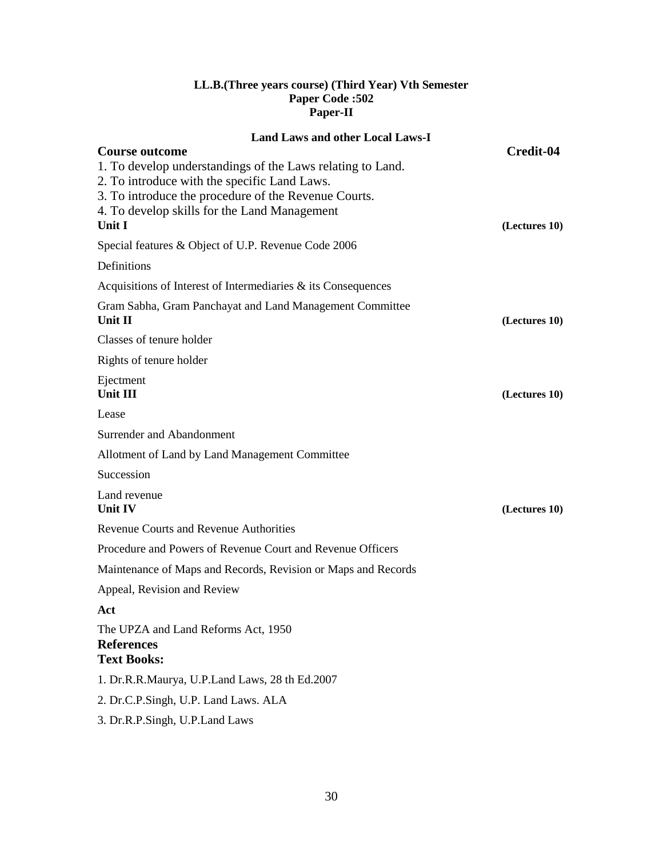# **LL.B.(Three years course) (Third Year) Vth Semester Paper Code :502 Paper-II**

| <b>Land Laws and other Local Laws-I</b>                                                              |               |
|------------------------------------------------------------------------------------------------------|---------------|
| <b>Course outcome</b>                                                                                | Credit-04     |
| 1. To develop understandings of the Laws relating to Land.                                           |               |
| 2. To introduce with the specific Land Laws.<br>3. To introduce the procedure of the Revenue Courts. |               |
| 4. To develop skills for the Land Management                                                         |               |
| <b>Unit I</b>                                                                                        | (Lectures 10) |
| Special features & Object of U.P. Revenue Code 2006                                                  |               |
| Definitions                                                                                          |               |
| Acquisitions of Interest of Intermediaries $\&$ its Consequences                                     |               |
| Gram Sabha, Gram Panchayat and Land Management Committee                                             |               |
| Unit $\mathbf{II}$                                                                                   | (Lectures 10) |
| Classes of tenure holder                                                                             |               |
| Rights of tenure holder                                                                              |               |
| Ejectment                                                                                            |               |
| <b>Unit III</b>                                                                                      | (Lectures 10) |
| Lease                                                                                                |               |
| Surrender and Abandonment                                                                            |               |
| Allotment of Land by Land Management Committee                                                       |               |
| Succession                                                                                           |               |
| Land revenue                                                                                         |               |
| Unit IV                                                                                              | (Lectures 10) |
| <b>Revenue Courts and Revenue Authorities</b>                                                        |               |
| Procedure and Powers of Revenue Court and Revenue Officers                                           |               |
| Maintenance of Maps and Records, Revision or Maps and Records                                        |               |
| Appeal, Revision and Review                                                                          |               |
| Act                                                                                                  |               |
| The UPZA and Land Reforms Act, 1950                                                                  |               |
| <b>References</b>                                                                                    |               |
| <b>Text Books:</b>                                                                                   |               |
| 1. Dr.R.R.Maurya, U.P.Land Laws, 28 th Ed.2007                                                       |               |
| 2. Dr.C.P.Singh, U.P. Land Laws. ALA                                                                 |               |
| 3. Dr.R.P.Singh, U.P.Land Laws                                                                       |               |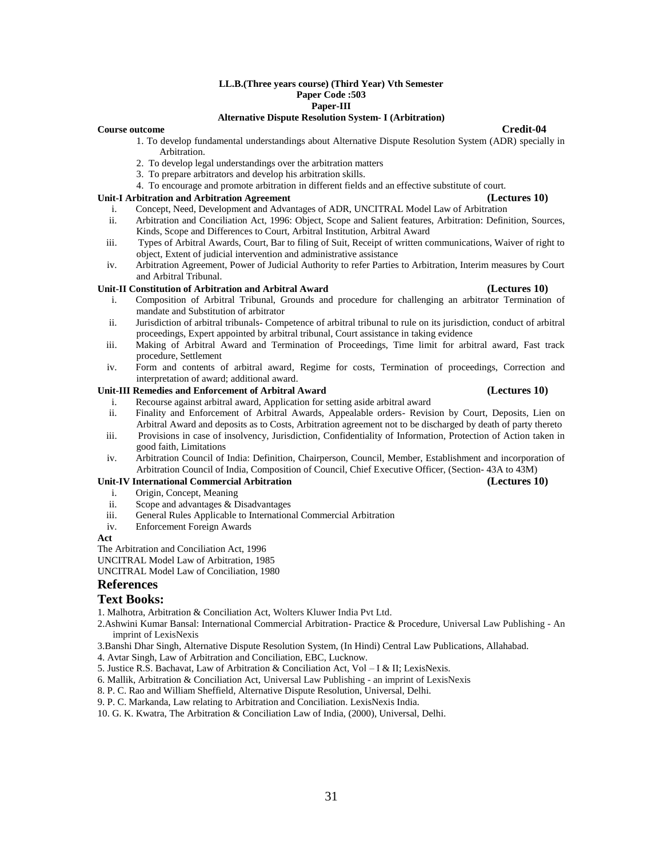### **LL.B.(Three years course) (Third Year) Vth Semester Paper Code :503 Paper-III**

### **Alternative Dispute Resolution System- I (Arbitration)**

### **Course outcome Credit-04**

- 1. To develop fundamental understandings about Alternative Dispute Resolution System (ADR) specially in Arbitration.
- 2. To develop legal understandings over the arbitration matters
- 3. To prepare arbitrators and develop his arbitration skills.
- 4. To encourage and promote arbitration in different fields and an effective substitute of court.

### **Unit-I Arbitration and Arbitration Agreement (Lectures 10)**

- i. Concept, Need, Development and Advantages of ADR, UNCITRAL Model Law of Arbitration
- ii. Arbitration and Conciliation Act, 1996: Object, Scope and Salient features, Arbitration: Definition, Sources, Kinds, Scope and Differences to Court, Arbitral Institution, Arbitral Award
- iii. Types of Arbitral Awards, Court, Bar to filing of Suit, Receipt of written communications, Waiver of right to object, Extent of judicial intervention and administrative assistance
- iv. Arbitration Agreement, Power of Judicial Authority to refer Parties to Arbitration, Interim measures by Court and Arbitral Tribunal.

### **Unit-II Constitution of Arbitration and Arbitral Award (Lectures 10)**

- i. Composition of Arbitral Tribunal, Grounds and procedure for challenging an arbitrator Termination of mandate and Substitution of arbitrator
- ii. Jurisdiction of arbitral tribunals- Competence of arbitral tribunal to rule on its jurisdiction, conduct of arbitral proceedings, Expert appointed by arbitral tribunal, Court assistance in taking evidence
- iii. Making of Arbitral Award and Termination of Proceedings, Time limit for arbitral award, Fast track procedure, Settlement
- iv. Form and contents of arbitral award, Regime for costs, Termination of proceedings, Correction and interpretation of award; additional award.

### **Unit-III Remedies and Enforcement of Arbitral Award (Lectures 10)**

- i. Recourse against arbitral award, Application for setting aside arbitral award ii. Finality and Enforcement of Arbitral Awards, Appealable orders- Revision by Court, Deposits, Lien on Arbitral Award and deposits as to Costs, Arbitration agreement not to be discharged by death of party thereto
- iii. Provisions in case of insolvency, Jurisdiction, Confidentiality of Information, Protection of Action taken in good faith, Limitations
- iv. Arbitration Council of India: Definition, Chairperson, Council, Member, Establishment and incorporation of Arbitration Council of India, Composition of Council, Chief Executive Officer, (Section- 43A to 43M)

### **Unit-IV International Commercial Arbitration (Lectures 10)**

- i. Origin, Concept, Meaning
- ii. Scope and advantages & Disadvantages
- iii. General Rules Applicable to International Commercial Arbitration
- iv. Enforcement Foreign Awards

### **Act**

The Arbitration and Conciliation Act, 1996

UNCITRAL Model Law of Arbitration, 1985

UNCITRAL Model Law of Conciliation, 1980

### **References**

### **Text Books:**

1. Malhotra, Arbitration & Conciliation Act, Wolters Kluwer India Pvt Ltd.

2.Ashwini Kumar Bansal: International Commercial Arbitration- Practice & Procedure, Universal Law Publishing - An imprint of LexisNexis

3.Banshi Dhar Singh, Alternative Dispute Resolution System, (In Hindi) Central Law Publications, Allahabad.

4. Avtar Singh, Law of Arbitration and Conciliation, EBC, Lucknow.

5. Justice R.S. Bachavat, Law of Arbitration & Conciliation Act, Vol – I & II; LexisNexis.

6. Mallik, Arbitration & Conciliation Act, Universal Law Publishing - an imprint of LexisNexis

8. P. C. Rao and William Sheffield, Alternative Dispute Resolution, Universal, Delhi.

9. P. C. Markanda, Law relating to Arbitration and Conciliation. LexisNexis India.

10. G. K. Kwatra, The Arbitration & Conciliation Law of India, (2000), Universal, Delhi.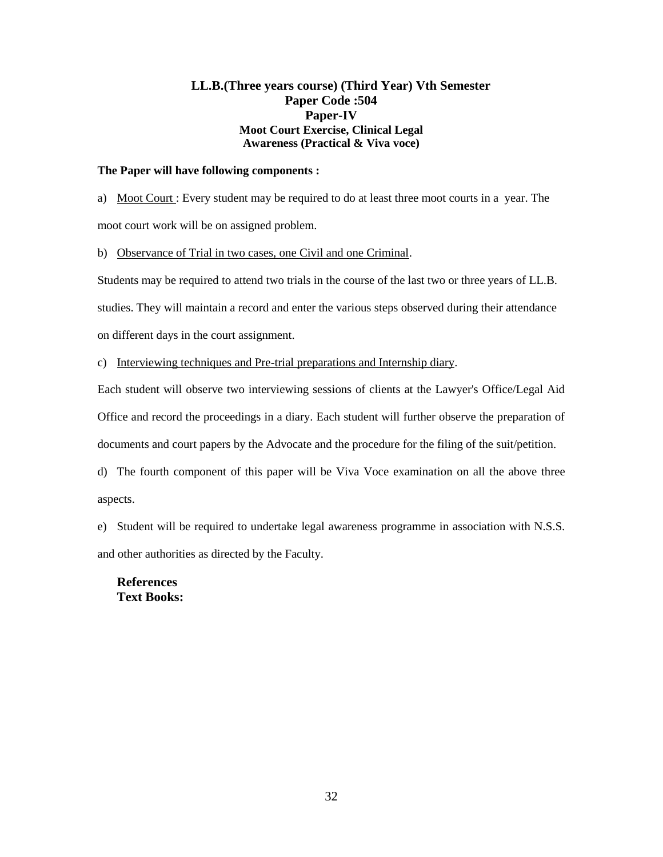# **LL.B.(Three years course) (Third Year) Vth Semester Paper Code :504 Paper-IV Moot Court Exercise, Clinical Legal Awareness (Practical & Viva voce)**

## **The Paper will have following components :**

a) Moot Court : Every student may be required to do at least three moot courts in a year. The moot court work will be on assigned problem.

b) Observance of Trial in two cases, one Civil and one Criminal.

Students may be required to attend two trials in the course of the last two or three years of LL.B. studies. They will maintain a record and enter the various steps observed during their attendance on different days in the court assignment.

c) Interviewing techniques and Pre-trial preparations and Internship diary.

Each student will observe two interviewing sessions of clients at the Lawyer's Office/Legal Aid Office and record the proceedings in a diary. Each student will further observe the preparation of documents and court papers by the Advocate and the procedure for the filing of the suit/petition.

d) The fourth component of this paper will be Viva Voce examination on all the above three aspects.

e) Student will be required to undertake legal awareness programme in association with N.S.S. and other authorities as directed by the Faculty.

**References Text Books:**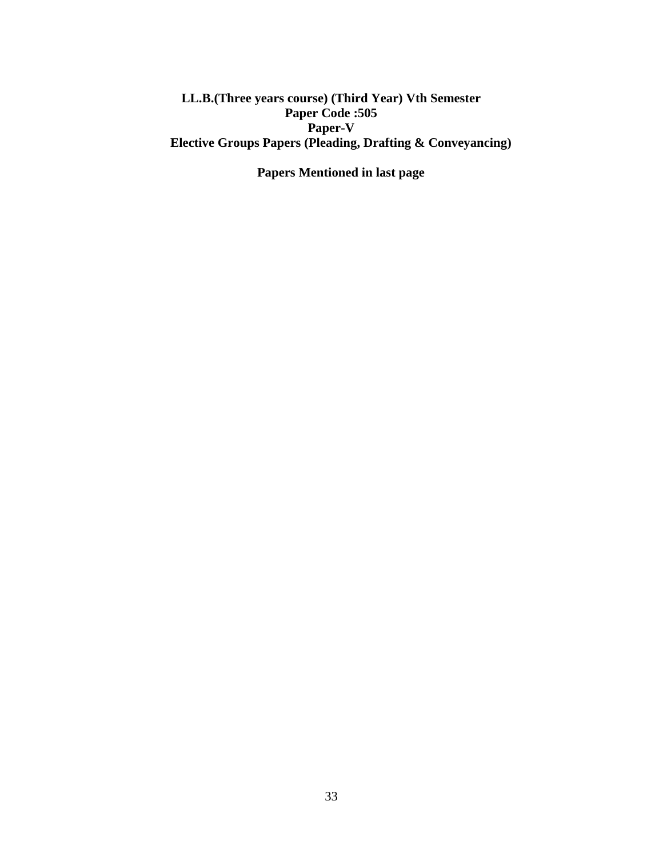**LL.B.(Three years course) (Third Year) Vth Semester Paper Code :505 Paper-V Elective Groups Papers (Pleading, Drafting & Conveyancing)** 

**Papers Mentioned in last page**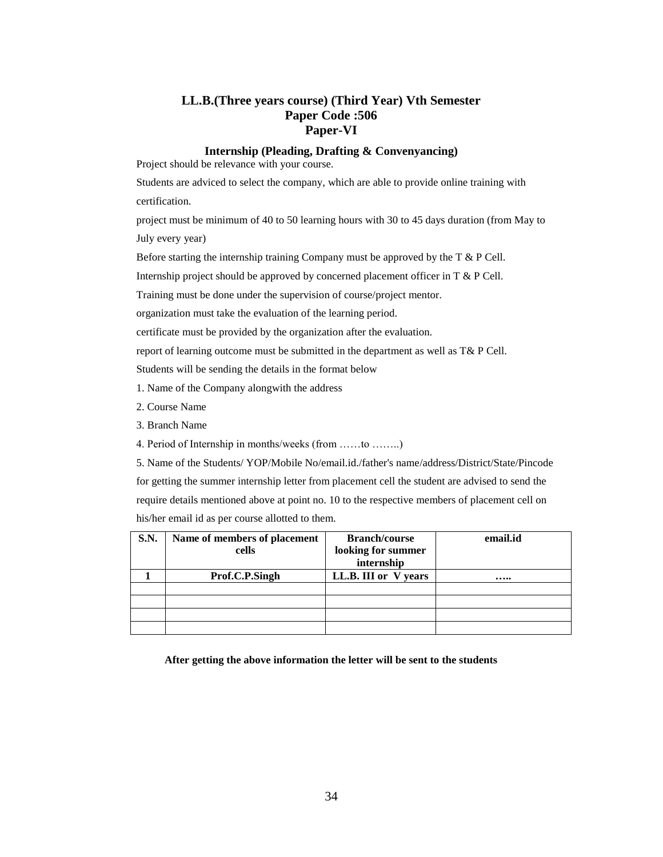# **LL.B.(Three years course) (Third Year) Vth Semester Paper Code :506 Paper-VI**

### **Internship (Pleading, Drafting & Convenyancing)**

Project should be relevance with your course.

Students are adviced to select the company, which are able to provide online training with certification.

project must be minimum of 40 to 50 learning hours with 30 to 45 days duration (from May to July every year)

Before starting the internship training Company must be approved by the  $T \& P$  Cell.

Internship project should be approved by concerned placement officer in T & P Cell.

Training must be done under the supervision of course/project mentor.

organization must take the evaluation of the learning period.

certificate must be provided by the organization after the evaluation.

report of learning outcome must be submitted in the department as well as T& P Cell.

Students will be sending the details in the format below

- 1. Name of the Company alongwith the address
- 2. Course Name
- 3. Branch Name
- 4. Period of Internship in months/weeks (from ……to ……..)
- 5. Name of the Students/ YOP/Mobile No/email.id./father's name/address/District/State/Pincode

for getting the summer internship letter from placement cell the student are advised to send the require details mentioned above at point no. 10 to the respective members of placement cell on his/her email id as per course allotted to them.

| <b>S.N.</b> | Name of members of placement | <b>Branch/course</b> | email.id |
|-------------|------------------------------|----------------------|----------|
|             | cells                        | looking for summer   |          |
|             |                              | internship           |          |
|             | Prof.C.P.Singh               | LL.B. III or V years |          |
|             |                              |                      |          |
|             |                              |                      |          |
|             |                              |                      |          |
|             |                              |                      |          |

**After getting the above information the letter will be sent to the students**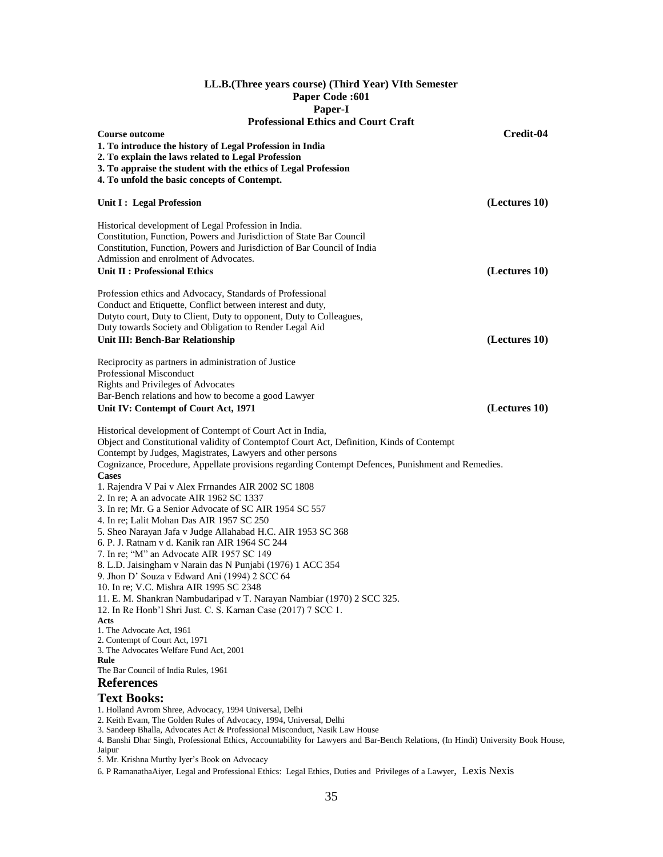| LL.B. (Three years course) (Third Year) VIth Semester |
|-------------------------------------------------------|
| <b>Paper Code:601</b>                                 |
| Paper-I                                               |
| <b>Professional Ethics and Court Craft</b>            |

| <b>Professional Ethics and Court Craft</b>                                                                                                                                                                                                                                                                                                                                                                                                                                                                                                                                                                                                                                                                                                                                                                                                                                                                                                                                                                                                                                                                                                        |               |
|---------------------------------------------------------------------------------------------------------------------------------------------------------------------------------------------------------------------------------------------------------------------------------------------------------------------------------------------------------------------------------------------------------------------------------------------------------------------------------------------------------------------------------------------------------------------------------------------------------------------------------------------------------------------------------------------------------------------------------------------------------------------------------------------------------------------------------------------------------------------------------------------------------------------------------------------------------------------------------------------------------------------------------------------------------------------------------------------------------------------------------------------------|---------------|
| <b>Course outcome</b><br>1. To introduce the history of Legal Profession in India<br>2. To explain the laws related to Legal Profession                                                                                                                                                                                                                                                                                                                                                                                                                                                                                                                                                                                                                                                                                                                                                                                                                                                                                                                                                                                                           | Credit-04     |
| 3. To appraise the student with the ethics of Legal Profession                                                                                                                                                                                                                                                                                                                                                                                                                                                                                                                                                                                                                                                                                                                                                                                                                                                                                                                                                                                                                                                                                    |               |
| 4. To unfold the basic concepts of Contempt.                                                                                                                                                                                                                                                                                                                                                                                                                                                                                                                                                                                                                                                                                                                                                                                                                                                                                                                                                                                                                                                                                                      |               |
|                                                                                                                                                                                                                                                                                                                                                                                                                                                                                                                                                                                                                                                                                                                                                                                                                                                                                                                                                                                                                                                                                                                                                   |               |
| Unit I : Legal Profession                                                                                                                                                                                                                                                                                                                                                                                                                                                                                                                                                                                                                                                                                                                                                                                                                                                                                                                                                                                                                                                                                                                         | (Lectures 10) |
| Historical development of Legal Profession in India.<br>Constitution, Function, Powers and Jurisdiction of State Bar Council<br>Constitution, Function, Powers and Jurisdiction of Bar Council of India<br>Admission and enrolment of Advocates.<br>Unit II: Professional Ethics                                                                                                                                                                                                                                                                                                                                                                                                                                                                                                                                                                                                                                                                                                                                                                                                                                                                  | (Lectures 10) |
| Profession ethics and Advocacy, Standards of Professional<br>Conduct and Etiquette, Conflict between interest and duty,<br>Dutyto court, Duty to Client, Duty to opponent, Duty to Colleagues,<br>Duty towards Society and Obligation to Render Legal Aid<br><b>Unit III: Bench-Bar Relationship</b>                                                                                                                                                                                                                                                                                                                                                                                                                                                                                                                                                                                                                                                                                                                                                                                                                                              | (Lectures 10) |
| Reciprocity as partners in administration of Justice<br>Professional Misconduct<br>Rights and Privileges of Advocates<br>Bar-Bench relations and how to become a good Lawyer<br>Unit IV: Contempt of Court Act, 1971                                                                                                                                                                                                                                                                                                                                                                                                                                                                                                                                                                                                                                                                                                                                                                                                                                                                                                                              | (Lectures 10) |
| Historical development of Contempt of Court Act in India,<br>Object and Constitutional validity of Contemptof Court Act, Definition, Kinds of Contempt<br>Contempt by Judges, Magistrates, Lawyers and other persons<br>Cognizance, Procedure, Appellate provisions regarding Contempt Defences, Punishment and Remedies.<br><b>Cases</b><br>1. Rajendra V Pai v Alex Frrnandes AIR 2002 SC 1808<br>2. In re; A an advocate AIR 1962 SC 1337<br>3. In re; Mr. G a Senior Advocate of SC AIR 1954 SC 557<br>4. In re; Lalit Mohan Das AIR 1957 SC 250<br>5. Sheo Narayan Jafa v Judge Allahabad H.C. AIR 1953 SC 368<br>6. P. J. Ratnam v d. Kanik ran AIR 1964 SC 244<br>7. In re; "M" an Advocate AIR 1957 SC 149<br>8. L.D. Jaisingham v Narain das N Punjabi (1976) 1 ACC 354<br>9. Jhon D' Souza v Edward Ani (1994) 2 SCC 64<br>10. In re; V.C. Mishra AIR 1995 SC 2348<br>11. E. M. Shankran Nambudaripad v T. Narayan Nambiar (1970) 2 SCC 325.<br>12. In Re Honb'l Shri Just. C. S. Karnan Case (2017) 7 SCC 1.<br>Acts<br>1. The Advocate Act, 1961<br>2. Contempt of Court Act, 1971<br>3. The Advocates Welfare Fund Act, 2001<br>Rule |               |
| The Bar Council of India Rules, 1961<br><b>References</b>                                                                                                                                                                                                                                                                                                                                                                                                                                                                                                                                                                                                                                                                                                                                                                                                                                                                                                                                                                                                                                                                                         |               |
|                                                                                                                                                                                                                                                                                                                                                                                                                                                                                                                                                                                                                                                                                                                                                                                                                                                                                                                                                                                                                                                                                                                                                   |               |
| <b>Text Books:</b><br>1. Holland Avrom Shree, Advocacy, 1994 Universal, Delhi<br>2. Keith Evam, The Golden Rules of Advocacy, 1994, Universal, Delhi<br>3. Sandeep Bhalla, Advocates Act & Professional Misconduct, Nasik Law House                                                                                                                                                                                                                                                                                                                                                                                                                                                                                                                                                                                                                                                                                                                                                                                                                                                                                                               |               |

4. Banshi Dhar Singh, Professional Ethics, Accountability for Lawyers and Bar-Bench Relations, (In Hindi) University Book House, Jaipur

5. Mr. Krishna Murthy Iyer's Book on Advocacy

6. P RamanathaAiyer, Legal and Professional Ethics: Legal Ethics, Duties and Privileges of a Lawyer, Lexis Nexis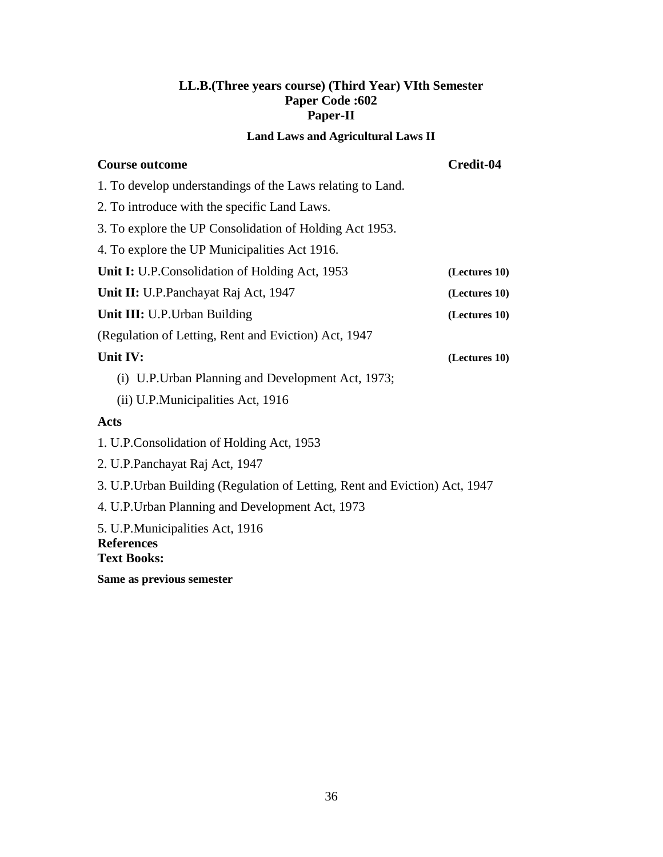# **LL.B.(Three years course) (Third Year) VIth Semester Paper Code :602 Paper-II**

# **Land Laws and Agricultural Laws II**

| <b>Course outcome</b>                                                       | Credit-04     |  |
|-----------------------------------------------------------------------------|---------------|--|
| 1. To develop understandings of the Laws relating to Land.                  |               |  |
| 2. To introduce with the specific Land Laws.                                |               |  |
| 3. To explore the UP Consolidation of Holding Act 1953.                     |               |  |
| 4. To explore the UP Municipalities Act 1916.                               |               |  |
| Unit I: U.P.Consolidation of Holding Act, 1953                              | (Lectures 10) |  |
| Unit II: U.P.Panchayat Raj Act, 1947                                        | (Lectures 10) |  |
| Unit III: U.P. Urban Building                                               | (Lectures 10) |  |
| (Regulation of Letting, Rent and Eviction) Act, 1947                        |               |  |
| Unit IV:                                                                    | (Lectures 10) |  |
| (i) U.P. Urban Planning and Development Act, 1973;                          |               |  |
| (ii) U.P.Municipalities Act, 1916                                           |               |  |
| <b>Acts</b>                                                                 |               |  |
| 1. U.P.Consolidation of Holding Act, 1953                                   |               |  |
| 2. U.P. Panchayat Raj Act, 1947                                             |               |  |
| 3. U.P. Urban Building (Regulation of Letting, Rent and Eviction) Act, 1947 |               |  |
| 4. U.P. Urban Planning and Development Act, 1973                            |               |  |
| 5. U.P.Municipalities Act, 1916<br><b>References</b><br><b>Text Books:</b>  |               |  |
|                                                                             |               |  |

**Same as previous semester**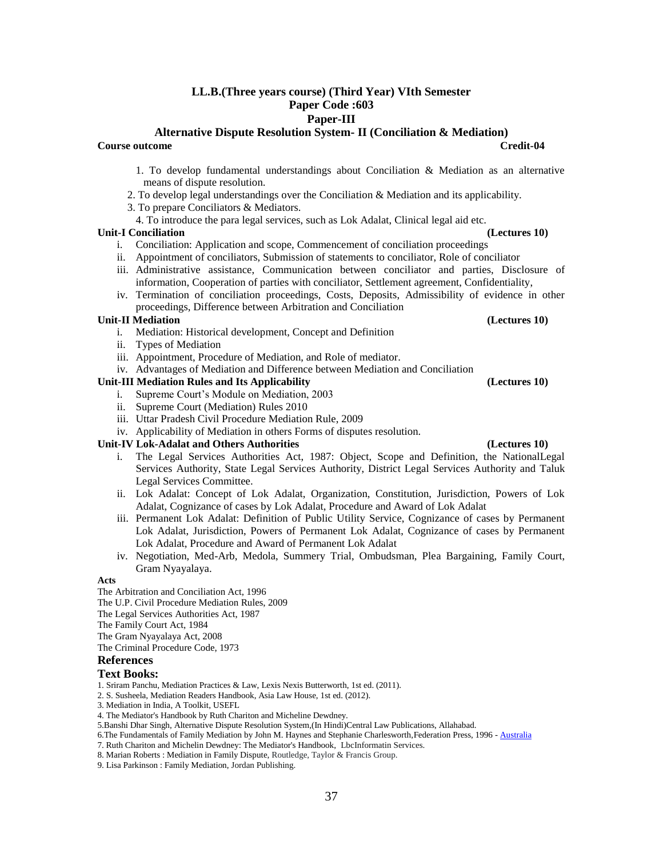# **LL.B.(Three years course) (Third Year) VIth Semester Paper Code :603**

# **Paper-III**

**Alternative Dispute Resolution System- II (Conciliation & Mediation)**

**Course outcome Credit-04**

- 1. To develop fundamental understandings about Conciliation & Mediation as an alternative means of dispute resolution.
- 2. To develop legal understandings over the Conciliation & Mediation and its applicability.
- 3. To prepare Conciliators & Mediators.
- 4. To introduce the para legal services, such as Lok Adalat, Clinical legal aid etc.

### **Unit-I Conciliation (Lectures 10)**

- i. Conciliation: Application and scope, Commencement of conciliation proceedings
- ii. Appointment of conciliators, Submission of statements to conciliator, Role of conciliator
- iii. Administrative assistance, Communication between conciliator and parties, Disclosure of information, Cooperation of parties with conciliator, Settlement agreement, Confidentiality,
- iv. Termination of conciliation proceedings, Costs, Deposits, Admissibility of evidence in other proceedings, Difference between Arbitration and Conciliation

### **Unit-II Mediation (Lectures 10)**

- i. Mediation: Historical development, Concept and Definition
- ii. Types of Mediation
- iii. Appointment, Procedure of Mediation, and Role of mediator.
- iv. Advantages of Mediation and Difference between Mediation and Conciliation

### **Unit-III Mediation Rules and Its Applicability (Lectures 10)**

- i. Supreme Court's Module on Mediation, 2003
- ii. Supreme Court (Mediation) Rules 2010
- iii. Uttar Pradesh Civil Procedure Mediation Rule, 2009
- iv. Applicability of Mediation in others Forms of disputes resolution.

### **Unit-IV Lok-Adalat and Others Authorities (Lectures 10)**

- i. The Legal Services Authorities Act, 1987: Object, Scope and Definition, the NationalLegal Services Authority, State Legal Services Authority, District Legal Services Authority and Taluk Legal Services Committee.
- ii. Lok Adalat: Concept of Lok Adalat, Organization, Constitution, Jurisdiction, Powers of Lok Adalat, Cognizance of cases by Lok Adalat, Procedure and Award of Lok Adalat
- iii. Permanent Lok Adalat: Definition of Public Utility Service, Cognizance of cases by Permanent Lok Adalat, Jurisdiction, Powers of Permanent Lok Adalat, Cognizance of cases by Permanent Lok Adalat, Procedure and Award of Permanent Lok Adalat
- iv. Negotiation, Med-Arb, Medola, Summery Trial, Ombudsman, Plea Bargaining, Family Court, Gram Nyayalaya.

### **Acts**

The Arbitration and Conciliation Act, 1996

The U.P. Civil Procedure Mediation Rules, 2009

The Legal Services Authorities Act, 1987

- The Family Court Act, 1984
- The Gram Nyayalaya Act, 2008

The Criminal Procedure Code, 1973

# **References**

### **Text Books:**

- 1. Sriram Panchu, Mediation Practices & Law, Lexis Nexis Butterworth, 1st ed. (2011).
- 2. S. Susheela, Mediation Readers Handbook, Asia Law House, 1st ed. (2012).
- 3. Mediation in India, A Toolkit, USEFL
- 4. The Mediator's Handbook by Ruth Chariton and Micheline Dewdney.
- 5.Banshi Dhar Singh, Alternative Dispute Resolution System,(In Hindi)Central Law Publications, Allahabad.
- 6.The Fundamentals of Family Mediation by John M. Haynes and Stephanie Charlesworth,Federation Press, 1996 [Australia](https://www.google.co.in/search?tbo=p&tbm=bks&q=subject:%22Australia%22&source=gbs_ge_summary_r&cad=0)
- 7. Ruth Chariton and Michelin Dewdney: The Mediator's Handbook, LbcInformatin Services.

9. Lisa Parkinson : Family Mediation, Jordan Publishing.

<sup>8.</sup> Marian Roberts : Mediation in Family Dispute, Routledge, Taylor & Francis Group.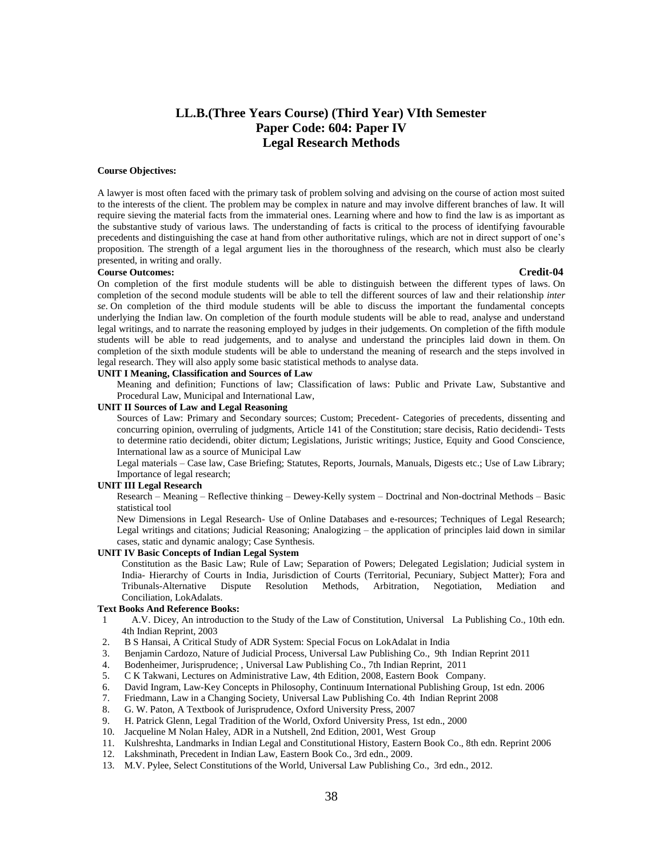# **LL.B.(Three Years Course) (Third Year) VIth Semester Paper Code: 604: Paper IV Legal Research Methods**

### **Course Objectives:**

A lawyer is most often faced with the primary task of problem solving and advising on the course of action most suited to the interests of the client. The problem may be complex in nature and may involve different branches of law. It will require sieving the material facts from the immaterial ones. Learning where and how to find the law is as important as the substantive study of various laws. The understanding of facts is critical to the process of identifying favourable precedents and distinguishing the case at hand from other authoritative rulings, which are not in direct support of one's proposition. The strength of a legal argument lies in the thoroughness of the research, which must also be clearly presented, in writing and orally.

### **Course Outcomes: Credit-04**

On completion of the first module students will be able to distinguish between the different types of laws. On completion of the second module students will be able to tell the different sources of law and their relationship *inter se*. On completion of the third module students will be able to discuss the important the fundamental concepts underlying the Indian law. On completion of the fourth module students will be able to read, analyse and understand legal writings, and to narrate the reasoning employed by judges in their judgements. On completion of the fifth module students will be able to read judgements, and to analyse and understand the principles laid down in them. On completion of the sixth module students will be able to understand the meaning of research and the steps involved in legal research. They will also apply some basic statistical methods to analyse data.

### **UNIT I Meaning, Classification and Sources of Law**

Meaning and definition; Functions of law; Classification of laws: Public and Private Law, Substantive and Procedural Law, Municipal and International Law,

### **UNIT II Sources of Law and Legal Reasoning**

Sources of Law: Primary and Secondary sources; Custom; Precedent- Categories of precedents, dissenting and concurring opinion, overruling of judgments, Article 141 of the Constitution; stare decisis, Ratio decidendi- Tests to determine ratio decidendi, obiter dictum; Legislations, Juristic writings; Justice, Equity and Good Conscience, International law as a source of Municipal Law

Legal materials – Case law, Case Briefing; Statutes, Reports, Journals, Manuals, Digests etc.; Use of Law Library; Importance of legal research;

### **UNIT III Legal Research**

Research – Meaning – Reflective thinking – Dewey-Kelly system – Doctrinal and Non-doctrinal Methods – Basic statistical tool

New Dimensions in Legal Research- Use of Online Databases and e-resources; Techniques of Legal Research; Legal writings and citations; Judicial Reasoning; Analogizing – the application of principles laid down in similar cases, static and dynamic analogy; Case Synthesis.

### **UNIT IV Basic Concepts of Indian Legal System**

Constitution as the Basic Law; Rule of Law; Separation of Powers; Delegated Legislation; Judicial system in India- Hierarchy of Courts in India, Jurisdiction of Courts (Territorial, Pecuniary, Subject Matter); Fora and Tribunals-Alternative Dispute Resolution Methods, Arbitration, Negotiation, Mediation and Conciliation, LokAdalats.

### **Text Books And Reference Books:**

- 1 A.V. Dicey, An introduction to the Study of the Law of Constitution, Universal La Publishing Co., 10th edn. 4th Indian Reprint, 2003
- 2. B S Hansai, A Critical Study of ADR System: Special Focus on LokAdalat in India
- 3. Benjamin Cardozo, Nature of Judicial Process, Universal Law Publishing Co., 9th Indian Reprint 2011
- 4. Bodenheimer, Jurisprudence; , Universal Law Publishing Co., 7th Indian Reprint, 2011
- 5. C K Takwani, Lectures on Administrative Law, 4th Edition, 2008, Eastern Book Company.
- 6. David Ingram, Law-Key Concepts in Philosophy, Continuum International Publishing Group, 1st edn. 2006
- 7. Friedmann, Law in a Changing Society, Universal Law Publishing Co. 4th Indian Reprint 2008
- 8. G. W. Paton, A Textbook of Jurisprudence, Oxford University Press, 2007
- 9. H. Patrick Glenn, Legal Tradition of the World, Oxford University Press, 1st edn., 2000
- 10. Jacqueline M Nolan Haley, ADR in a Nutshell, 2nd Edition, 2001, West Group
- 11. Kulshreshta, Landmarks in Indian Legal and Constitutional History, Eastern Book Co., 8th edn. Reprint 2006
- 12. Lakshminath, Precedent in Indian Law, Eastern Book Co., 3rd edn., 2009.
- 13. M.V. Pylee, Select Constitutions of the World, Universal Law Publishing Co., 3rd edn., 2012.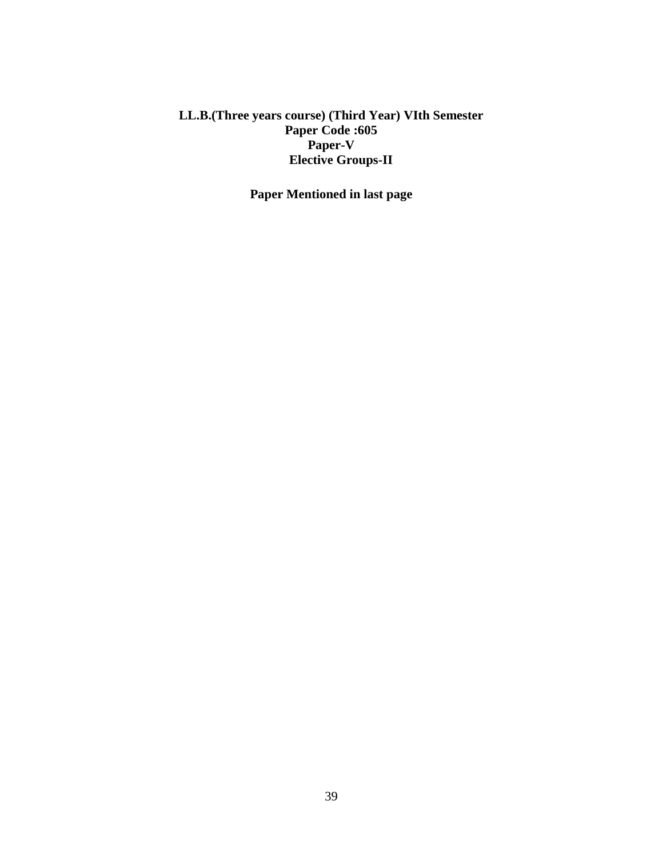# **LL.B.(Three years course) (Third Year) VIth Semester Paper Code :605 Paper-V Elective Groups-II**

**Paper Mentioned in last page**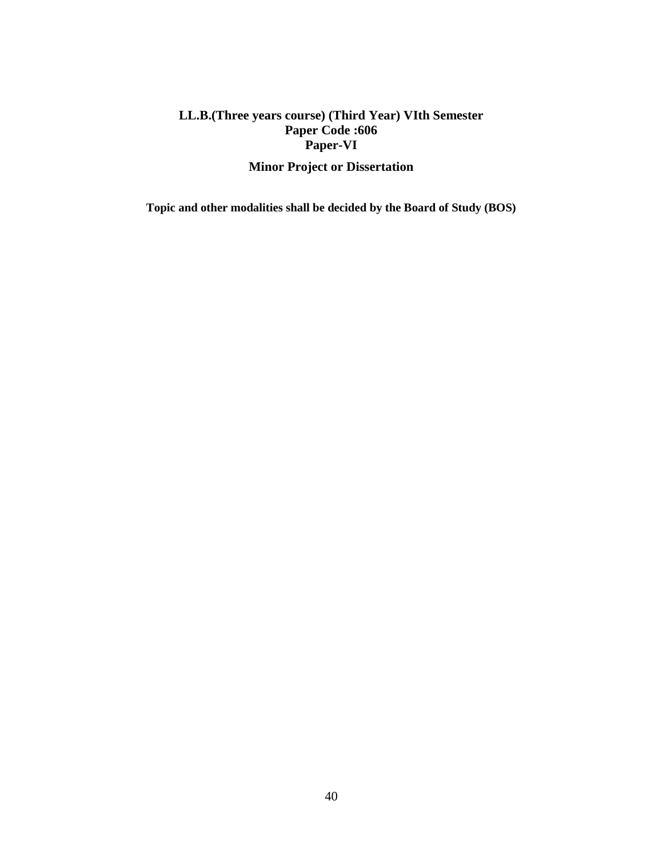# **LL.B.(Three years course) (Third Year) VIth Semester Paper Code :606 Paper-VI**

# **Minor Project or Dissertation**

**Topic and other modalities shall be decided by the Board of Study (BOS)**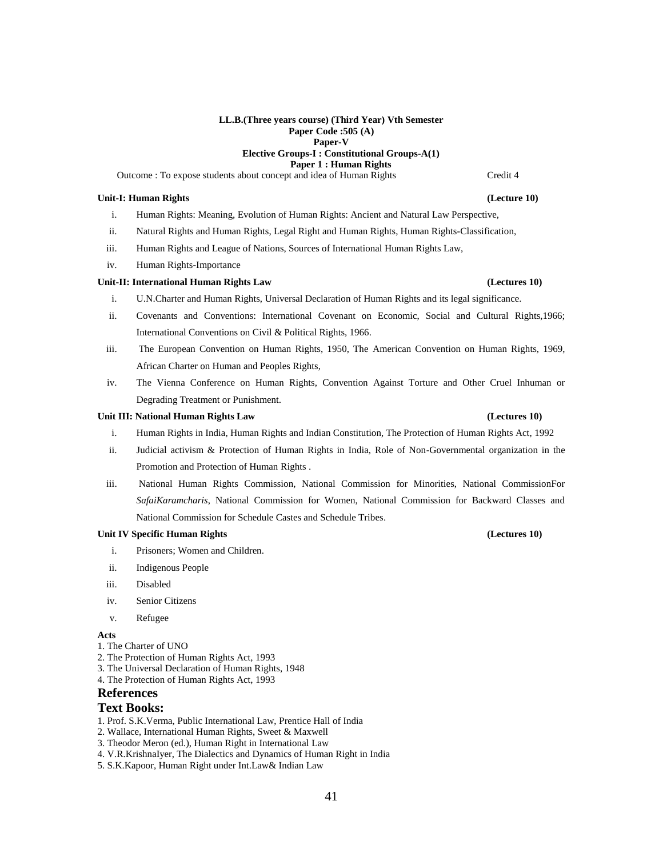### **LL.B.(Three years course) (Third Year) Vth Semester Paper Code :505 (A) Paper-V**

# **Elective Groups-I : Constitutional Groups-A(1)**

**Paper 1 : Human Rights**

Outcome : To expose students about concept and idea of Human Rights Credit 4

### **Unit-I: Human Rights (Lecture 10)**

- i. Human Rights: Meaning, Evolution of Human Rights: Ancient and Natural Law Perspective,
- ii. Natural Rights and Human Rights, Legal Right and Human Rights, Human Rights-Classification,
- iii. Human Rights and League of Nations, Sources of International Human Rights Law,
- iv. Human Rights-Importance

### **Unit-II: International Human Rights Law (Lectures 10)**

- i. U.N.Charter and Human Rights, Universal Declaration of Human Rights and its legal significance.
- ii. Covenants and Conventions: International Covenant on Economic, Social and Cultural Rights,1966; International Conventions on Civil & Political Rights, 1966.
- iii. The European Convention on Human Rights, 1950, The American Convention on Human Rights, 1969, African Charter on Human and Peoples Rights,
- iv. The Vienna Conference on Human Rights, Convention Against Torture and Other Cruel Inhuman or Degrading Treatment or Punishment.

### **Unit III: National Human Rights Law (Lectures 10)**

- i. Human Rights in India, Human Rights and Indian Constitution, The Protection of Human Rights Act, 1992
- ii. Judicial activism & Protection of Human Rights in India, Role of Non-Governmental organization in the Promotion and Protection of Human Rights .
- iii. National Human Rights Commission, National Commission for Minorities, National CommissionFor *SafaiKaramcharis*, National Commission for Women, National Commission for Backward Classes and National Commission for Schedule Castes and Schedule Tribes.

### **Unit IV Specific Human Rights (Lectures 10)**

- i. Prisoners; Women and Children.
- ii. Indigenous People
- iii. Disabled
- iv. Senior Citizens
- v. Refugee

### **Acts**

- 1. The Charter of UNO
- 2. The Protection of Human Rights Act, 1993
- 3. The Universal Declaration of Human Rights, 1948
- 4. The Protection of Human Rights Act, 1993

### **References**

### **Text Books:**

- 1. Prof. S.K.Verma, Public International Law, Prentice Hall of India
- 2. Wallace, International Human Rights, Sweet & Maxwell
- 3. Theodor Meron (ed.), Human Right in International Law
- 4. V.R.KrishnaIyer, The Dialectics and Dynamics of Human Right in India
- 5. S.K.Kapoor, Human Right under Int.Law& Indian Law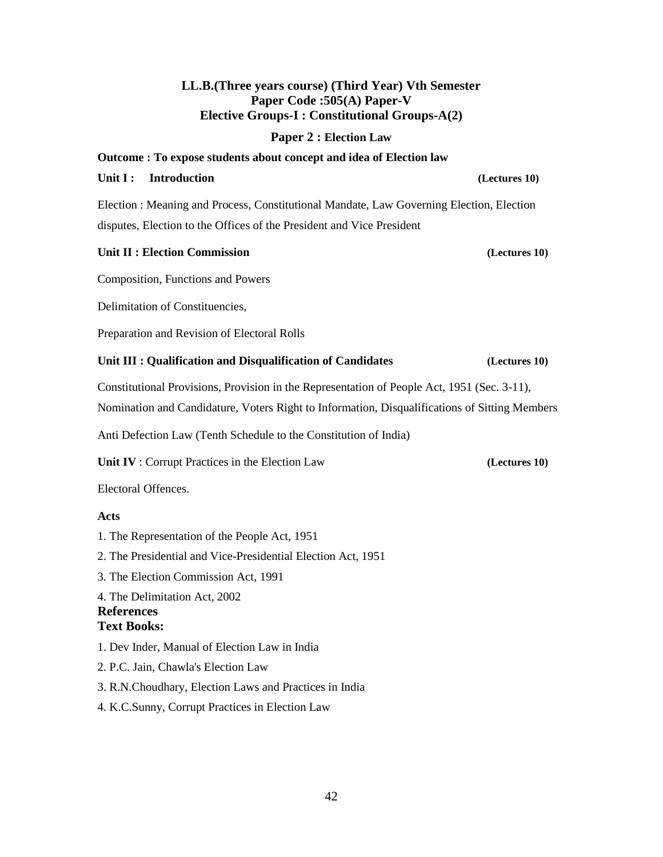# **LL.B.(Three years course) (Third Year) Vth Semester Paper Code :505(A) Paper-V Elective Groups-I : Constitutional Groups-A(2)**

# **Paper 2 : Election Law**

Election : Meaning and Process, Constitutional Mandate, Law Governing Election, Election disputes, Election to the Offices of the President and Vice President

**Outcome : To expose students about concept and idea of Election law**

# Unit II : Election Commission *(Lectures 10)*

Composition, Functions and Powers

Delimitation of Constituencies,

Preparation and Revision of Electoral Rolls

# **Unit III : Qualification and Disqualification of Candidates (Lectures 10)**

Constitutional Provisions, Provision in the Representation of People Act, 1951 (Sec. 3-11), Nomination and Candidature, Voters Right to Information, Disqualifications of Sitting Members

Anti Defection Law (Tenth Schedule to the Constitution of India)

**Unit IV** : Corrupt Practices in the Election Law **(Lectures 10)**

Electoral Offences.

# **Acts**

- 1. The Representation of the People Act, 1951
- 2. The Presidential and Vice-Presidential Election Act, 1951

3. The Election Commission Act, 1991

4. The Delimitation Act, 2002 **References**

# **Text Books:**

- 1. Dev Inder, Manual of Election Law in India
- 2. P.C. Jain, Chawla's Election Law
- 3. R.N.Choudhary, Election Laws and Practices in India
- 4. K.C.Sunny, Corrupt Practices in Election Law

# **Unit I : Introduction**  *(Lectures 10)*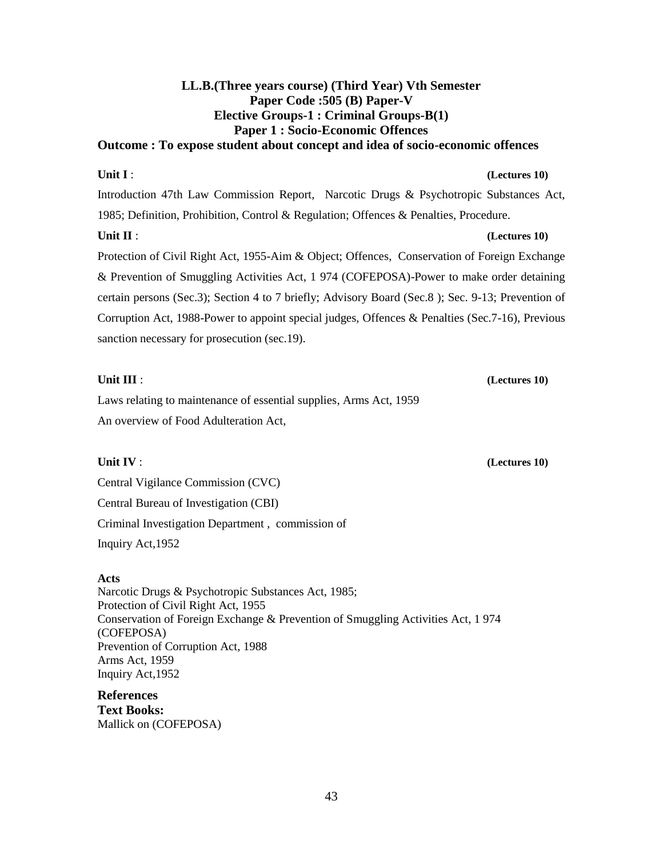# **LL.B.(Three years course) (Third Year) Vth Semester Paper Code :505 (B) Paper-V Elective Groups-1 : Criminal Groups-B(1) Paper 1 : Socio-Economic Offences Outcome : To expose student about concept and idea of socio-economic offences**

# **Unit I** : **(Lectures 10) (**

Introduction 47th Law Commission Report, Narcotic Drugs & Psychotropic Substances Act, 1985; Definition, Prohibition, Control & Regulation; Offences & Penalties, Procedure.

# **Unit II** : **(Lectures 10) (**

Protection of Civil Right Act, 1955-Aim & Object; Offences, Conservation of Foreign Exchange & Prevention of Smuggling Activities Act, 1 974 (COFEPOSA)-Power to make order detaining certain persons (Sec.3); Section 4 to 7 briefly; Advisory Board (Sec.8 ); Sec. 9-13; Prevention of Corruption Act, 1988-Power to appoint special judges, Offences & Penalties (Sec.7-16), Previous sanction necessary for prosecution (sec.19).

# **Unit III** : **(Lectures 10) (**

Laws relating to maintenance of essential supplies, Arms Act, 1959 An overview of Food Adulteration Act,

Central Vigilance Commission (CVC) Central Bureau of Investigation (CBI) Criminal Investigation Department , commission of Inquiry Act,1952

# **Acts**

Narcotic Drugs & Psychotropic Substances Act, 1985; Protection of Civil Right Act, 1955 Conservation of Foreign Exchange & Prevention of Smuggling Activities Act, 1 974 (COFEPOSA) Prevention of Corruption Act, 1988 Arms Act, 1959 Inquiry Act,1952

**References Text Books:**  Mallick on (COFEPOSA)

# **Unit IV** : **(Lectures 10) (**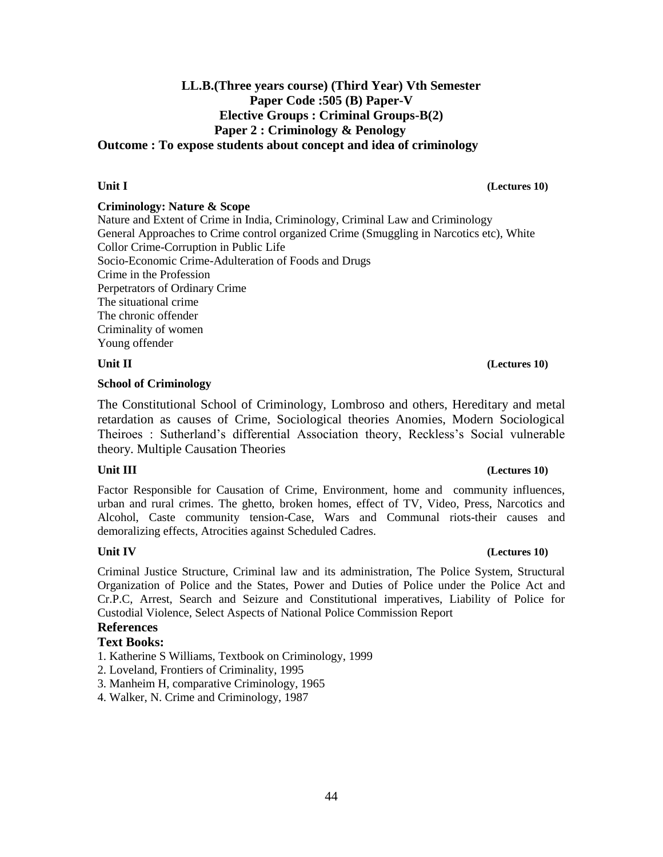# **LL.B.(Three years course) (Third Year) Vth Semester Paper Code :505 (B) Paper-V Elective Groups : Criminal Groups-B(2) Paper 2 : Criminology & Penology Outcome : To expose students about concept and idea of criminology**

## **Criminology: Nature & Scope**

Nature and Extent of Crime in India, Criminology, Criminal Law and Criminology General Approaches to Crime control organized Crime (Smuggling in Narcotics etc), White Collor Crime-Corruption in Public Life Socio-Economic Crime-Adulteration of Foods and Drugs Crime in the Profession Perpetrators of Ordinary Crime The situational crime The chronic offender Criminality of women Young offender

### **Unit II (Lectures 10) (Lectures 10)**

## **School of Criminology**

The Constitutional School of Criminology, Lombroso and others, Hereditary and metal retardation as causes of Crime, Sociological theories Anomies, Modern Sociological Theiroes : Sutherland's differential Association theory, Reckless's Social vulnerable theory. Multiple Causation Theories

Factor Responsible for Causation of Crime, Environment, home and community influences, urban and rural crimes. The ghetto, broken homes, effect of TV, Video, Press, Narcotics and Alcohol, Caste community tension-Case, Wars and Communal riots-their causes and demoralizing effects, Atrocities against Scheduled Cadres.

### **Unit IV (Lectures 10)**

Criminal Justice Structure, Criminal law and its administration, The Police System, Structural Organization of Police and the States, Power and Duties of Police under the Police Act and Cr.P.C, Arrest, Search and Seizure and Constitutional imperatives, Liability of Police for Custodial Violence, Select Aspects of National Police Commission Report

# **References**

# **Text Books:**

- 1. Katherine S Williams, Textbook on Criminology, 1999
- 2. Loveland, Frontiers of Criminality, 1995
- 3. Manheim H, comparative Criminology, 1965
- 4. Walker, N. Crime and Criminology, 1987

## **Unit III (Lectures 10) (Lectures 10)**

# **Unit I (Lectures 10)**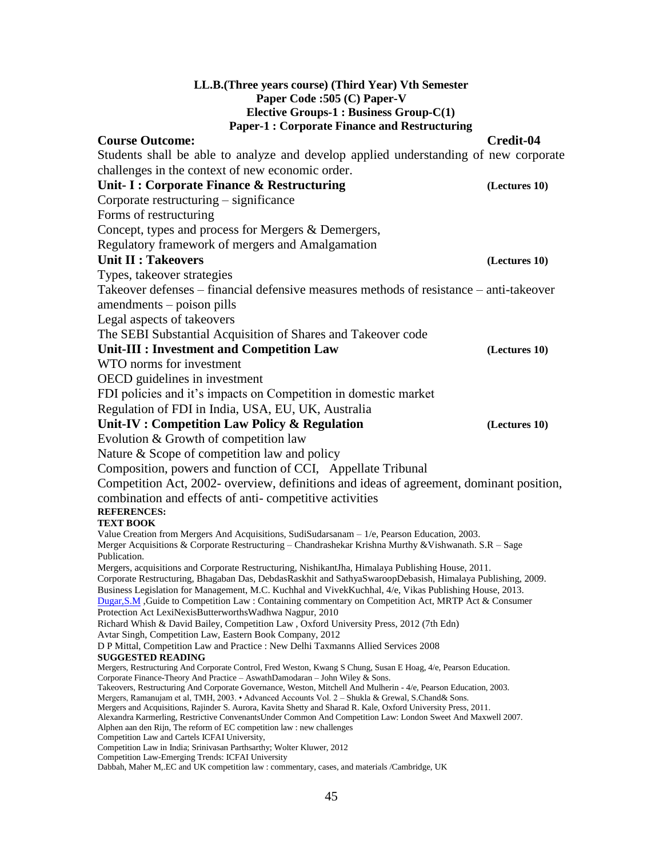## **LL.B.(Three years course) (Third Year) Vth Semester Paper Code :505 (C) Paper-V Elective Groups-1 : Business Group-C(1) Paper-1 : Corporate Finance and Restructuring Course Outcome: Credit-04** Students shall be able to analyze and develop applied understanding of new corporate challenges in the context of new economic order. **Unit- I : Corporate Finance & Restructuring (Lectures 10)** Corporate restructuring – significance Forms of restructuring Concept, types and process for Mergers & Demergers, Regulatory framework of mergers and Amalgamation **Unit II : Takeovers** *CLECTURES 10* Types, takeover strategies Takeover defenses – financial defensive measures methods of resistance – anti-takeover amendments – poison pills Legal aspects of takeovers The SEBI Substantial Acquisition of Shares and Takeover code **Unit-III : Investment and Competition Law (Lectures 10)** WTO norms for investment OECD guidelines in investment FDI policies and it's impacts on Competition in domestic market Regulation of FDI in India, USA, EU, UK, Australia **Unit-IV : Competition Law Policy & Regulation (Lectures 10)** Evolution & Growth of competition law Nature & Scope of competition law and policy Composition, powers and function of CCI, Appellate Tribunal Competition Act, 2002- overview, definitions and ideas of agreement, dominant position, combination and effects of anti- competitive activities **REFERENCES: TEXT BOOK** Value Creation from Mergers And Acquisitions, SudiSudarsanam – 1/e, Pearson Education, 2003. Merger Acquisitions & Corporate Restructuring – Chandrashekar Krishna Murthy &Vishwanath. S.R – Sage Publication. Mergers, acquisitions and Corporate Restructuring, NishikantJha, Himalaya Publishing House, 2011. Corporate Restructuring, Bhagaban Das, DebdasRaskhit and SathyaSwaroopDebasish, Himalaya Publishing, 2009. Business Legislation for Management, M.C. Kuchhal and VivekKuchhal, 4/e, Vikas Publishing House, 2013. [Dugar,S.M](http://61.12.18.164:8082/cgi-bin/koha/opac-search.pl?q=au:Dugar%2CS.M) ,Guide to Competition Law : Containing commentary on Competition Act, MRTP Act & Consumer Protection Act LexiNexisButterworthsWadhwa Nagpur, 2010 Richard Whish & David Bailey, Competition Law , Oxford University Press, 2012 (7th Edn) Avtar Singh, Competition Law, Eastern Book Company, 2012 D P Mittal, Competition Law and Practice : New Delhi Taxmanns Allied Services 2008 **SUGGESTED READING** Mergers, Restructuring And Corporate Control, Fred Weston, Kwang S Chung, Susan E Hoag, 4/e, Pearson Education. Corporate Finance-Theory And Practice – AswathDamodaran – John Wiley & Sons. Takeovers, Restructuring And Corporate Governance, Weston, Mitchell And Mulherin - 4/e, Pearson Education, 2003. Mergers, Ramanujam et al, TMH, 2003. • Advanced Accounts Vol. 2 – Shukla & Grewal, S.Chand& Sons. Mergers and Acquisitions, Rajinder S. Aurora, Kavita Shetty and Sharad R. Kale, Oxford University Press, 2011. Alexandra Karmerling, Restrictive ConvenantsUnder Common And Competition Law: London Sweet And Maxwell 2007. Alphen aan den Rijn, The reform of EC competition law : new challenges Competition Law and Cartels ICFAI University, Competition Law in India; Srinivasan Parthsarthy; Wolter Kluwer, 2012 Competition Law-Emerging Trends: ICFAI University Dabbah, Maher M,.EC and UK competition law : commentary, cases, and materials /Cambridge, UK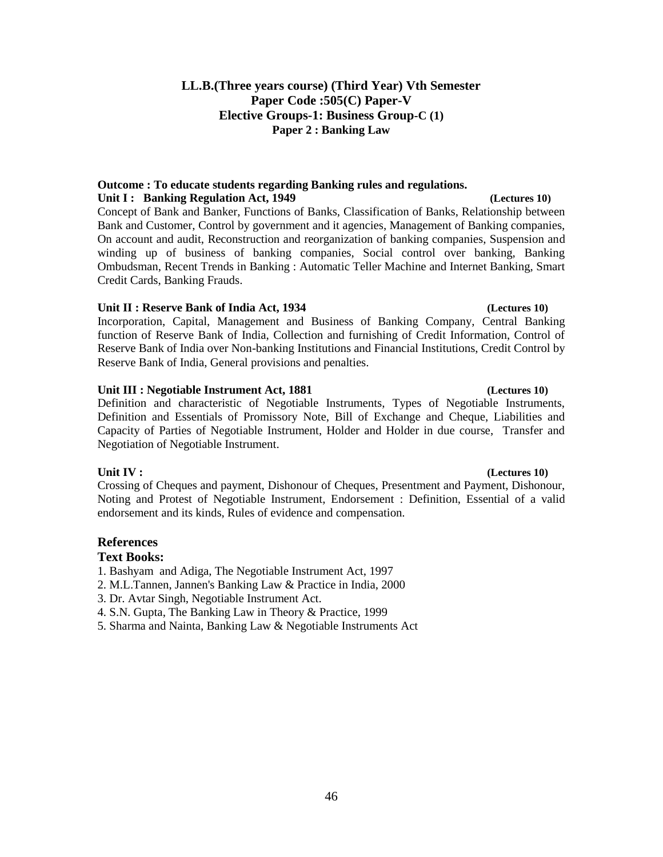# **LL.B.(Three years course) (Third Year) Vth Semester Paper Code :505(C) Paper-V Elective Groups-1: Business Group-C (1) Paper 2 : Banking Law**

# **Outcome : To educate students regarding Banking rules and regulations. Unit I : Banking Regulation Act, 1949** *(Lectures 10)*

Concept of Bank and Banker, Functions of Banks, Classification of Banks, Relationship between Bank and Customer, Control by government and it agencies, Management of Banking companies, On account and audit, Reconstruction and reorganization of banking companies, Suspension and winding up of business of banking companies, Social control over banking, Banking Ombudsman, Recent Trends in Banking : Automatic Teller Machine and Internet Banking, Smart Credit Cards, Banking Frauds.

# **Unit II : Reserve Bank of India Act, 1934 (Lectures 10)**

Incorporation, Capital, Management and Business of Banking Company, Central Banking function of Reserve Bank of India, Collection and furnishing of Credit Information, Control of Reserve Bank of India over Non-banking Institutions and Financial Institutions, Credit Control by Reserve Bank of India, General provisions and penalties.

# **Unit III : Negotiable Instrument Act, 1881 (Lectures 10)**

Definition and characteristic of Negotiable Instruments, Types of Negotiable Instruments, Definition and Essentials of Promissory Note, Bill of Exchange and Cheque, Liabilities and Capacity of Parties of Negotiable Instrument, Holder and Holder in due course, Transfer and Negotiation of Negotiable Instrument.

Crossing of Cheques and payment, Dishonour of Cheques, Presentment and Payment, Dishonour, Noting and Protest of Negotiable Instrument, Endorsement : Definition, Essential of a valid endorsement and its kinds, Rules of evidence and compensation.

# **References**

# **Text Books:**

- 1. Bashyam and Adiga, The Negotiable Instrument Act, 1997
- 2. M.L.Tannen, Jannen's Banking Law & Practice in India, 2000
- 3. Dr. Avtar Singh, Negotiable Instrument Act.
- 4. S.N. Gupta, The Banking Law in Theory & Practice, 1999
- 5. Sharma and Nainta, Banking Law & Negotiable Instruments Act

# **Unit IV : (Lectures 10)**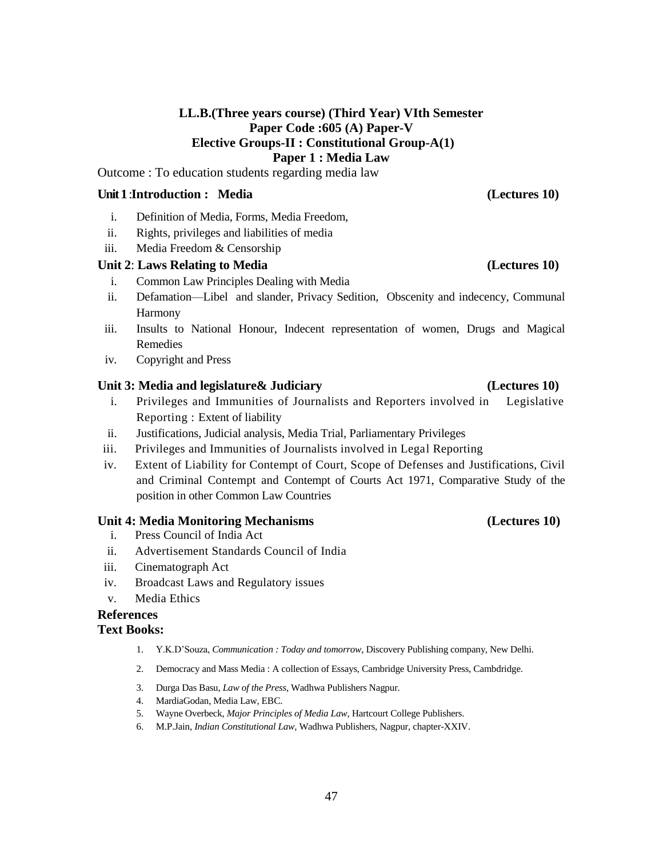# **LL.B.(Three years course) (Third Year) VIth Semester Paper Code :605 (A) Paper-V Elective Groups-II : Constitutional Group-A(1) Paper 1 : Media Law**

Outcome : To education students regarding media law

# **Unit 1**:**Introduction : Media (Lectures 10)**

- i. Definition of Media, Forms, Media Freedom,
- ii. Rights, privileges and liabilities of media
- iii. Media Freedom & Censorship

# **Unit 2**: **Laws Relating to Media (Lectures 10)**

- i. Common Law Principles Dealing with Media
- ii. Defamation—Libel and slander, Privacy Sedition, Obscenity and indecency, Communal Harmony
- iii. Insults to National Honour, Indecent representation of women, Drugs and Magical Remedies
- iv. Copyright and Press

# **Unit 3: Media and legislature& Judiciary (Lectures 10)**

- i. Privileges and Immunities of Journalists and Reporters involved in Legislative Reporting : Extent of liability
- ii. Justifications, Judicial analysis, Media Trial, Parliamentary Privileges
- iii. Privileges and Immunities of Journalists involved in Legal Reporting
- iv. Extent of Liability for Contempt of Court, Scope of Defenses and Justifications, Civil and Criminal Contempt and Contempt of Courts Act 1971, Comparative Study of the position in other Common Law Countries

# **Unit 4: Media Monitoring Mechanisms (Lectures 10)**

- i. Press Council of India Act
- ii. Advertisement Standards Council of India
- iii. Cinematograph Act
- iv. Broadcast Laws and Regulatory issues
- v. Media Ethics

## **References Text Books:**

- 1. Y.K.D'Souza, *Communication : Today and tomorrow*, Discovery Publishing company, New Delhi.
- 2. Democracy and Mass Media : A collection of Essays, Cambridge University Press, Cambdridge.
- 3. Durga Das Basu, *Law of the Press*, Wadhwa Publishers Nagpur.
- 4. MardiaGodan, Media Law, EBC.
- 5. Wayne Overbeck, *Major Principles of Media Law*, Hartcourt College Publishers.
- 6. M.P.Jain, *Indian Constitutional Law*, Wadhwa Publishers, Nagpur, chapter-XXIV.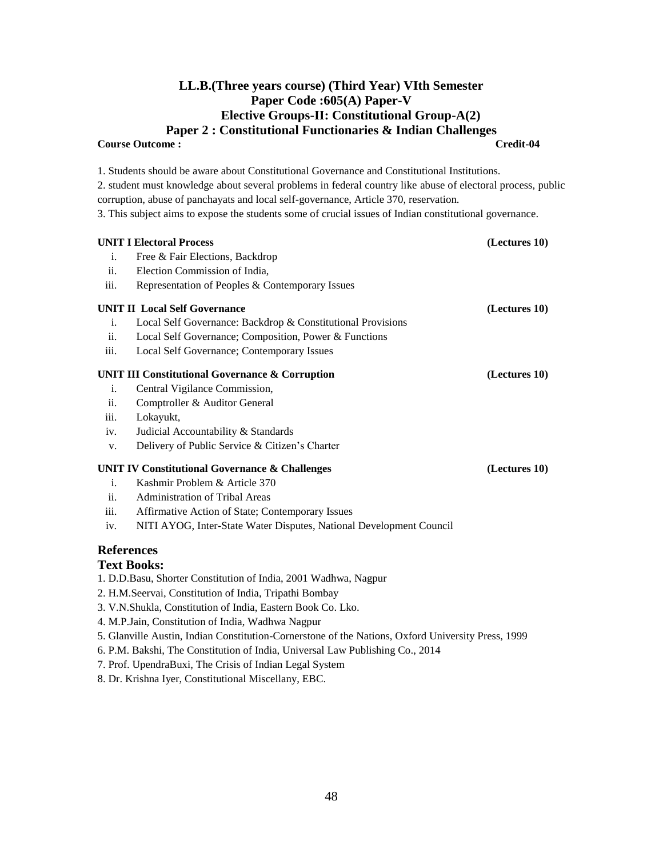# **LL.B.(Three years course) (Third Year) VIth Semester Paper Code :605(A) Paper-V Elective Groups-II: Constitutional Group-A(2) Paper 2 : Constitutional Functionaries & Indian Challenges**

**Course Outcome :** 

| 2. student must knowledge about several problems in federal country like abuse of electoral process, public<br>corruption, abuse of panchayats and local self-governance, Article 370, reservation.<br>3. This subject aims to expose the students some of crucial issues of Indian constitutional governance.<br><b>UNIT I Electoral Process</b><br>(Lectures 10)<br>Free & Fair Elections, Backdrop<br>i.<br>ii.<br>Election Commission of India,<br>iii.<br>Representation of Peoples & Contemporary Issues<br><b>UNIT II Local Self Governance</b><br>(Lectures 10)<br>Local Self Governance: Backdrop & Constitutional Provisions<br>i.<br>ii.<br>Local Self Governance; Composition, Power & Functions |
|--------------------------------------------------------------------------------------------------------------------------------------------------------------------------------------------------------------------------------------------------------------------------------------------------------------------------------------------------------------------------------------------------------------------------------------------------------------------------------------------------------------------------------------------------------------------------------------------------------------------------------------------------------------------------------------------------------------|
|                                                                                                                                                                                                                                                                                                                                                                                                                                                                                                                                                                                                                                                                                                              |
|                                                                                                                                                                                                                                                                                                                                                                                                                                                                                                                                                                                                                                                                                                              |
|                                                                                                                                                                                                                                                                                                                                                                                                                                                                                                                                                                                                                                                                                                              |
|                                                                                                                                                                                                                                                                                                                                                                                                                                                                                                                                                                                                                                                                                                              |
|                                                                                                                                                                                                                                                                                                                                                                                                                                                                                                                                                                                                                                                                                                              |
|                                                                                                                                                                                                                                                                                                                                                                                                                                                                                                                                                                                                                                                                                                              |
|                                                                                                                                                                                                                                                                                                                                                                                                                                                                                                                                                                                                                                                                                                              |
|                                                                                                                                                                                                                                                                                                                                                                                                                                                                                                                                                                                                                                                                                                              |
|                                                                                                                                                                                                                                                                                                                                                                                                                                                                                                                                                                                                                                                                                                              |
|                                                                                                                                                                                                                                                                                                                                                                                                                                                                                                                                                                                                                                                                                                              |
|                                                                                                                                                                                                                                                                                                                                                                                                                                                                                                                                                                                                                                                                                                              |
| Local Self Governance; Contemporary Issues<br>iii.                                                                                                                                                                                                                                                                                                                                                                                                                                                                                                                                                                                                                                                           |
| <b>UNIT III Constitutional Governance &amp; Corruption</b><br>(Lectures 10)                                                                                                                                                                                                                                                                                                                                                                                                                                                                                                                                                                                                                                  |
| Central Vigilance Commission,<br>i.                                                                                                                                                                                                                                                                                                                                                                                                                                                                                                                                                                                                                                                                          |
| ii.<br>Comptroller & Auditor General                                                                                                                                                                                                                                                                                                                                                                                                                                                                                                                                                                                                                                                                         |
| Lokayukt,<br>iii.                                                                                                                                                                                                                                                                                                                                                                                                                                                                                                                                                                                                                                                                                            |
| Judicial Accountability & Standards<br>iv.                                                                                                                                                                                                                                                                                                                                                                                                                                                                                                                                                                                                                                                                   |
| Delivery of Public Service & Citizen's Charter<br>V.                                                                                                                                                                                                                                                                                                                                                                                                                                                                                                                                                                                                                                                         |
| <b>UNIT IV Constitutional Governance &amp; Challenges</b><br>(Lectures 10)                                                                                                                                                                                                                                                                                                                                                                                                                                                                                                                                                                                                                                   |
| Kashmir Problem & Article 370<br>$\mathbf{i}$ .                                                                                                                                                                                                                                                                                                                                                                                                                                                                                                                                                                                                                                                              |
| ii.<br>Administration of Tribal Areas                                                                                                                                                                                                                                                                                                                                                                                                                                                                                                                                                                                                                                                                        |
| Affirmative Action of State; Contemporary Issues<br>iii.                                                                                                                                                                                                                                                                                                                                                                                                                                                                                                                                                                                                                                                     |
| NITI AYOG, Inter-State Water Disputes, National Development Council<br>iv.                                                                                                                                                                                                                                                                                                                                                                                                                                                                                                                                                                                                                                   |
| <b>References</b>                                                                                                                                                                                                                                                                                                                                                                                                                                                                                                                                                                                                                                                                                            |
| <b>Text Books:</b>                                                                                                                                                                                                                                                                                                                                                                                                                                                                                                                                                                                                                                                                                           |
| 1. D.D.Basu, Shorter Constitution of India, 2001 Wadhwa, Nagpur                                                                                                                                                                                                                                                                                                                                                                                                                                                                                                                                                                                                                                              |
| 2. H.M.Seervai, Constitution of India, Tripathi Bombay                                                                                                                                                                                                                                                                                                                                                                                                                                                                                                                                                                                                                                                       |
| 3. V.N.Shukla, Constitution of India, Eastern Book Co. Lko.                                                                                                                                                                                                                                                                                                                                                                                                                                                                                                                                                                                                                                                  |
| 4. M.P.Jain, Constitution of India, Wadhwa Nagpur                                                                                                                                                                                                                                                                                                                                                                                                                                                                                                                                                                                                                                                            |
| 5. Glanville Austin, Indian Constitution-Cornerstone of the Nations, Oxford University Press, 1999                                                                                                                                                                                                                                                                                                                                                                                                                                                                                                                                                                                                           |
| 6. P.M. Bakshi, The Constitution of India, Universal Law Publishing Co., 2014                                                                                                                                                                                                                                                                                                                                                                                                                                                                                                                                                                                                                                |

- 7. Prof. UpendraBuxi, The Crisis of Indian Legal System
- 8. Dr. Krishna Iyer, Constitutional Miscellany, EBC.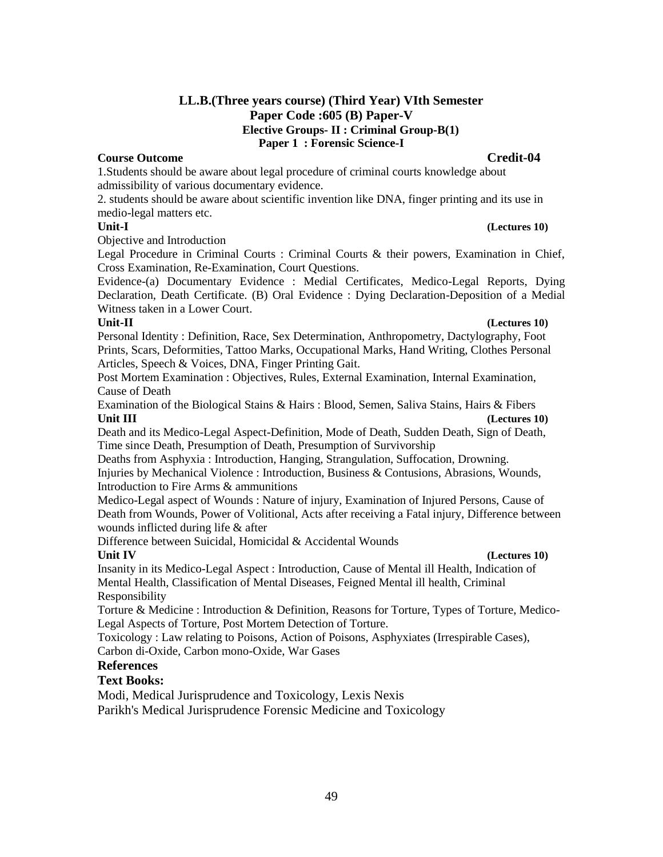# **LL.B.(Three years course) (Third Year) VIth Semester Paper Code :605 (B) Paper-V Elective Groups- II : Criminal Group-B(1) Paper 1 : Forensic Science-I**

# **Course Outcome Credit-04**

1.Students should be aware about legal procedure of criminal courts knowledge about admissibility of various documentary evidence.

2. students should be aware about scientific invention like DNA, finger printing and its use in medio-legal matters etc.

# **Unit-I (Lectures 10)**

Objective and Introduction

Legal Procedure in Criminal Courts : Criminal Courts & their powers, Examination in Chief, Cross Examination, Re-Examination, Court Questions.

Evidence-(a) Documentary Evidence : Medial Certificates, Medico-Legal Reports, Dying Declaration, Death Certificate. (B) Oral Evidence : Dying Declaration-Deposition of a Medial Witness taken in a Lower Court.

## **Unit-II (Lectures 10)**

Personal Identity : Definition, Race, Sex Determination, Anthropometry, Dactylography, Foot Prints, Scars, Deformities, Tattoo Marks, Occupational Marks, Hand Writing, Clothes Personal Articles, Speech & Voices, DNA, Finger Printing Gait.

Post Mortem Examination : Objectives, Rules, External Examination, Internal Examination, Cause of Death

Examination of the Biological Stains & Hairs : Blood, Semen, Saliva Stains, Hairs & Fibers **Unit III (Lectures 10) (Lectures 10)** 

Death and its Medico-Legal Aspect-Definition, Mode of Death, Sudden Death, Sign of Death, Time since Death, Presumption of Death, Presumption of Survivorship

Deaths from Asphyxia : Introduction, Hanging, Strangulation, Suffocation, Drowning. Injuries by Mechanical Violence : Introduction, Business & Contusions, Abrasions, Wounds, Introduction to Fire Arms & ammunitions

Medico-Legal aspect of Wounds : Nature of injury, Examination of Injured Persons, Cause of Death from Wounds, Power of Volitional, Acts after receiving a Fatal injury, Difference between wounds inflicted during life & after

Difference between Suicidal, Homicidal & Accidental Wounds

### **Unit IV (Lectures 10) (**

Insanity in its Medico-Legal Aspect : Introduction, Cause of Mental ill Health, Indication of Mental Health, Classification of Mental Diseases, Feigned Mental ill health, Criminal Responsibility

Torture & Medicine : Introduction & Definition, Reasons for Torture, Types of Torture, Medico-Legal Aspects of Torture, Post Mortem Detection of Torture.

Toxicology : Law relating to Poisons, Action of Poisons, Asphyxiates (Irrespirable Cases), Carbon di-Oxide, Carbon mono-Oxide, War Gases

# **References**

# **Text Books:**

Modi, Medical Jurisprudence and Toxicology, Lexis Nexis

Parikh's Medical Jurisprudence Forensic Medicine and Toxicology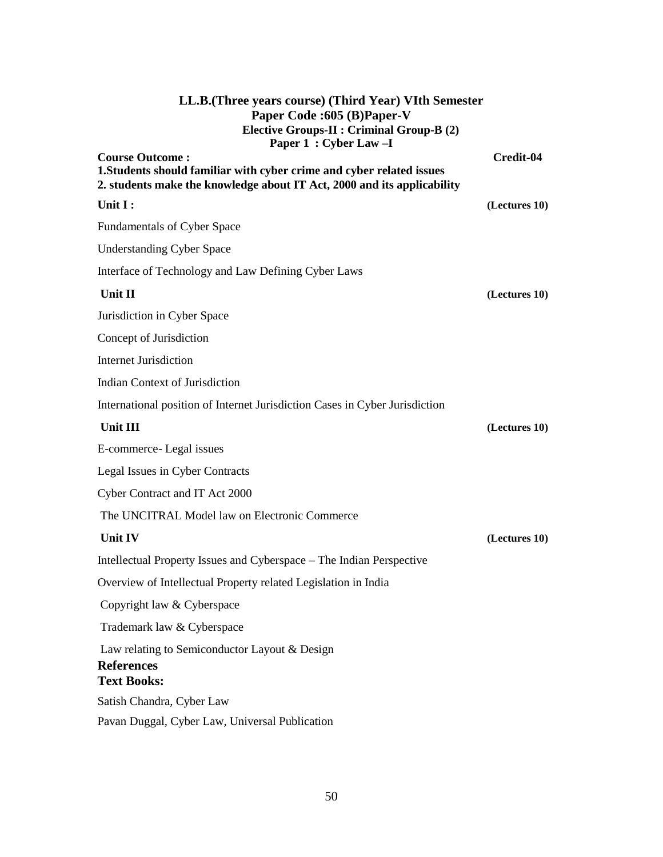| LL.B. (Three years course) (Third Year) VIth Semester<br>Paper Code : 605 (B) Paper-V<br><b>Elective Groups-II : Criminal Group-B (2)</b><br>Paper 1 : Cyber Law -I        |               |
|----------------------------------------------------------------------------------------------------------------------------------------------------------------------------|---------------|
| <b>Course Outcome:</b><br>1. Students should familiar with cyber crime and cyber related issues<br>2. students make the knowledge about IT Act, 2000 and its applicability | Credit-04     |
| Unit I:                                                                                                                                                                    | (Lectures 10) |
| <b>Fundamentals of Cyber Space</b>                                                                                                                                         |               |
| <b>Understanding Cyber Space</b>                                                                                                                                           |               |
| Interface of Technology and Law Defining Cyber Laws                                                                                                                        |               |
| Unit II                                                                                                                                                                    | (Lectures 10) |
| Jurisdiction in Cyber Space                                                                                                                                                |               |
| Concept of Jurisdiction                                                                                                                                                    |               |
| <b>Internet Jurisdiction</b>                                                                                                                                               |               |
| Indian Context of Jurisdiction                                                                                                                                             |               |
| International position of Internet Jurisdiction Cases in Cyber Jurisdiction                                                                                                |               |
| Unit III                                                                                                                                                                   | (Lectures 10) |
| E-commerce-Legal issues                                                                                                                                                    |               |
| Legal Issues in Cyber Contracts                                                                                                                                            |               |
| Cyber Contract and IT Act 2000                                                                                                                                             |               |
| The UNCITRAL Model law on Electronic Commerce                                                                                                                              |               |
| <b>Unit IV</b>                                                                                                                                                             | (Lectures 10) |
| Intellectual Property Issues and Cyberspace – The Indian Perspective                                                                                                       |               |
| Overview of Intellectual Property related Legislation in India                                                                                                             |               |
| Copyright law & Cyberspace                                                                                                                                                 |               |
| Trademark law & Cyberspace                                                                                                                                                 |               |
| Law relating to Semiconductor Layout & Design<br><b>References</b><br><b>Text Books:</b>                                                                                   |               |
| Satish Chandra, Cyber Law                                                                                                                                                  |               |
| Pavan Duggal, Cyber Law, Universal Publication                                                                                                                             |               |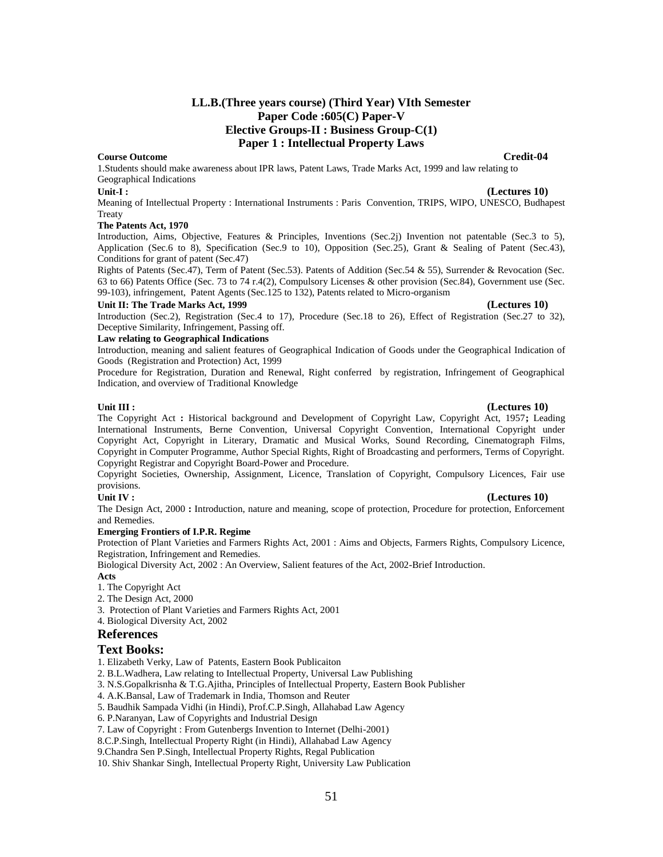## **LL.B.(Three years course) (Third Year) VIth Semester Paper Code :605(C) Paper-V Elective Groups-II : Business Group-C(1) Paper 1 : Intellectual Property Laws**

### **Course Outcome Credit-04**

1.Students should make awareness about IPR laws, Patent Laws, Trade Marks Act, 1999 and law relating to Geographical Indications

**Unit-I : (Lectures 10)**

Meaning of Intellectual Property : International Instruments : Paris Convention, TRIPS, WIPO, UNESCO, Budhapest **Treaty** 

### **The Patents Act, 1970**

Introduction, Aims, Objective, Features & Principles, Inventions (Sec.2j) Invention not patentable (Sec.3 to 5), Application (Sec.6 to 8), Specification (Sec.9 to 10), Opposition (Sec.25), Grant & Sealing of Patent (Sec.43), Conditions for grant of patent (Sec.47)

Rights of Patents (Sec.47), Term of Patent (Sec.53). Patents of Addition (Sec.54 & 55), Surrender & Revocation (Sec. 63 to 66) Patents Office (Sec. 73 to 74 r.4(2), Compulsory Licenses & other provision (Sec.84), Government use (Sec. 99-103), infringement, Patent Agents (Sec.125 to 132), Patents related to Micro-organism

### **Unit II: The Trade Marks Act, 1999 (Lectures 10)**

Introduction (Sec.2), Registration (Sec.4 to 17), Procedure (Sec.18 to 26), Effect of Registration (Sec.27 to 32), Deceptive Similarity, Infringement, Passing off.

### **Law relating to Geographical Indications**

Introduction, meaning and salient features of Geographical Indication of Goods under the Geographical Indication of Goods (Registration and Protection) Act, 1999

Procedure for Registration, Duration and Renewal, Right conferred by registration, Infringement of Geographical Indication, and overview of Traditional Knowledge

### **Unit III : (Lectures 10)**

The Copyright Act **:** Historical background and Development of Copyright Law, Copyright Act, 1957**;** Leading International Instruments, Berne Convention, Universal Copyright Convention, International Copyright under Copyright Act, Copyright in Literary, Dramatic and Musical Works, Sound Recording, Cinematograph Films, Copyright in Computer Programme, Author Special Rights, Right of Broadcasting and performers, Terms of Copyright. Copyright Registrar and Copyright Board-Power and Procedure.

Copyright Societies, Ownership, Assignment, Licence, Translation of Copyright, Compulsory Licences, Fair use provisions.

### **Unit IV : (Lectures 10)**

The Design Act, 2000 **:** Introduction, nature and meaning, scope of protection, Procedure for protection, Enforcement and Remedies.

### **Emerging Frontiers of I.P.R. Regime**

Protection of Plant Varieties and Farmers Rights Act, 2001 : Aims and Objects, Farmers Rights, Compulsory Licence, Registration, Infringement and Remedies.

Biological Diversity Act, 2002 : An Overview, Salient features of the Act, 2002-Brief Introduction.

**Acts**

- 1. The Copyright Act
- 2. The Design Act, 2000
- 3. Protection of Plant Varieties and Farmers Rights Act, 2001
- 4. Biological Diversity Act, 2002

### **References**

### **Text Books:**

1. Elizabeth Verky, Law of Patents, Eastern Book Publicaiton

2. B.L.Wadhera, Law relating to Intellectual Property, Universal Law Publishing

3. N.S.Gopalkrisnha & T.G.Ajitha, Principles of Intellectual Property, Eastern Book Publisher

4. A.K.Bansal, Law of Trademark in India, Thomson and Reuter

5. Baudhik Sampada Vidhi (in Hindi), Prof.C.P.Singh, Allahabad Law Agency

6. P.Naranyan, Law of Copyrights and Industrial Design

7. Law of Copyright : From Gutenbergs Invention to Internet (Delhi-2001)

8.C.P.Singh, Intellectual Property Right (in Hindi), Allahabad Law Agency

9.Chandra Sen P.Singh, Intellectual Property Rights, Regal Publication

10. Shiv Shankar Singh, Intellectual Property Right, University Law Publication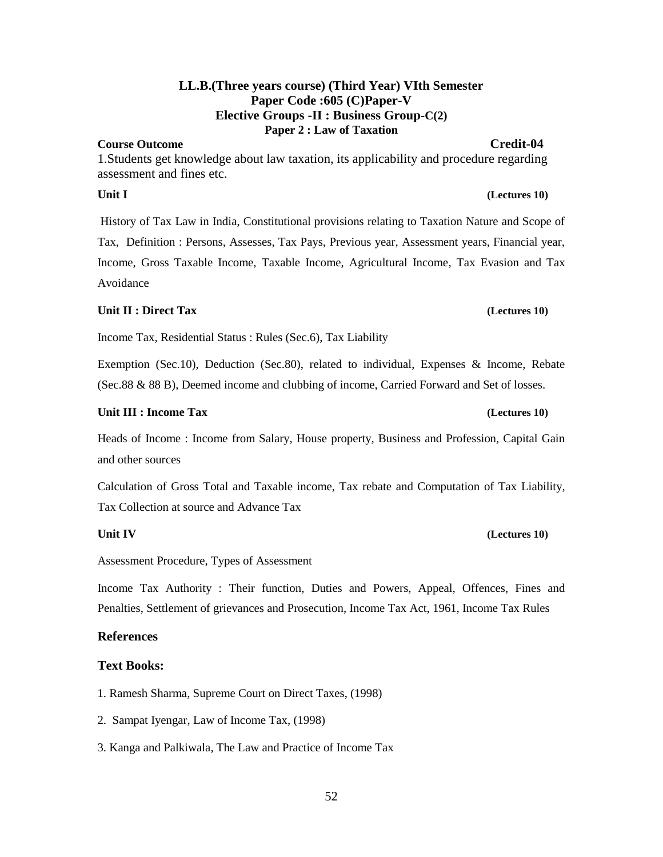# **LL.B.(Three years course) (Third Year) VIth Semester Paper Code :605 (C)Paper-V Elective Groups -II : Business Group-C(2) Paper 2 : Law of Taxation**

# **Course Outcome Credit-04**

1.Students get knowledge about law taxation, its applicability and procedure regarding assessment and fines etc.

History of Tax Law in India, Constitutional provisions relating to Taxation Nature and Scope of Tax, Definition : Persons, Assesses, Tax Pays, Previous year, Assessment years, Financial year, Income, Gross Taxable Income, Taxable Income, Agricultural Income, Tax Evasion and Tax Avoidance

# **Unit II : Direct Tax (Lectures 10)**

Income Tax, Residential Status : Rules (Sec.6), Tax Liability

Exemption (Sec.10), Deduction (Sec.80), related to individual, Expenses & Income, Rebate (Sec.88 & 88 B), Deemed income and clubbing of income, Carried Forward and Set of losses.

# **Unit III : Income Tax (Lectures 10)**

Heads of Income : Income from Salary, House property, Business and Profession, Capital Gain and other sources

Calculation of Gross Total and Taxable income, Tax rebate and Computation of Tax Liability, Tax Collection at source and Advance Tax

Assessment Procedure, Types of Assessment

Income Tax Authority : Their function, Duties and Powers, Appeal, Offences, Fines and Penalties, Settlement of grievances and Prosecution, Income Tax Act, 1961, Income Tax Rules

# **References**

# **Text Books:**

- 1. Ramesh Sharma, Supreme Court on Direct Taxes, (1998)
- 2. Sampat Iyengar, Law of Income Tax, (1998)
- 3. Kanga and Palkiwala, The Law and Practice of Income Tax

# **Unit IV (Lectures 10)**

# **Unit I** (Lectures 10)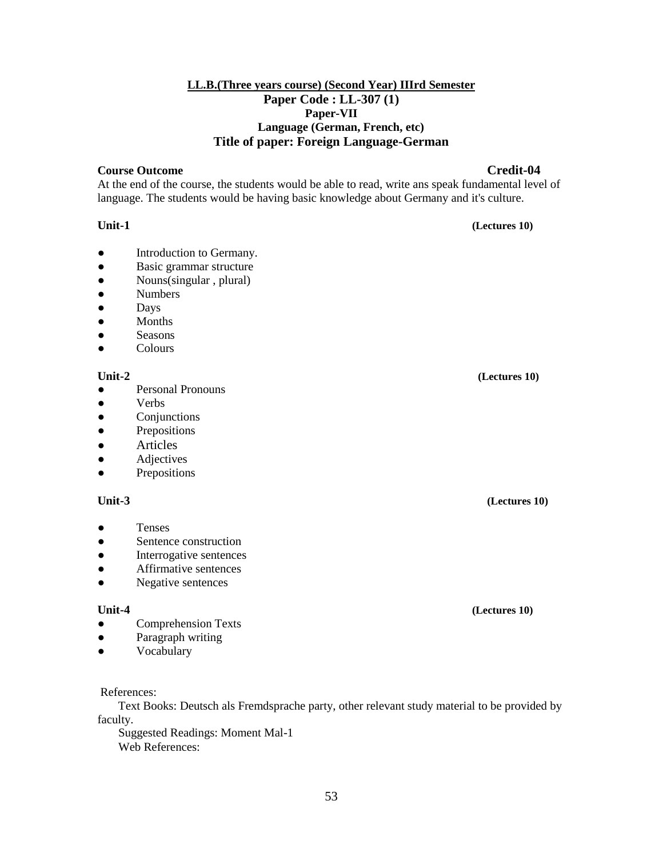# **LL.B.(Three years course) (Second Year) IIIrd Semester Paper Code : LL-307 (1) Paper-VII Language (German, French, etc) Title of paper: Foreign Language-German**

## **Course Outcome Credit-04**

At the end of the course, the students would be able to read, write ans speak fundamental level of language. The students would be having basic knowledge about Germany and it's culture.

## **Unit-1 (Lectures 10)**

- Introduction to Germany.
- Basic grammar structure
- Nouns(singular, plural)
- Numbers
- Days
- Months
- Seasons
- Colours

# **Unit-2 (Lectures 10)**

- Personal Pronouns
- **Verbs**
- Conjunctions
- Prepositions
- Articles
- Adjectives
- Prepositions

# **Unit-3 (Lectures 10)**

- Tenses
- Sentence construction
- Interrogative sentences
- Affirmative sentences
- Negative sentences

### **Unit-4 (Lectures 10)**

- Comprehension Texts
- Paragraph writing
- Vocabulary

# References:

 Text Books: Deutsch als Fremdsprache party, other relevant study material to be provided by faculty.

 Suggested Readings: Moment Mal-1 Web References: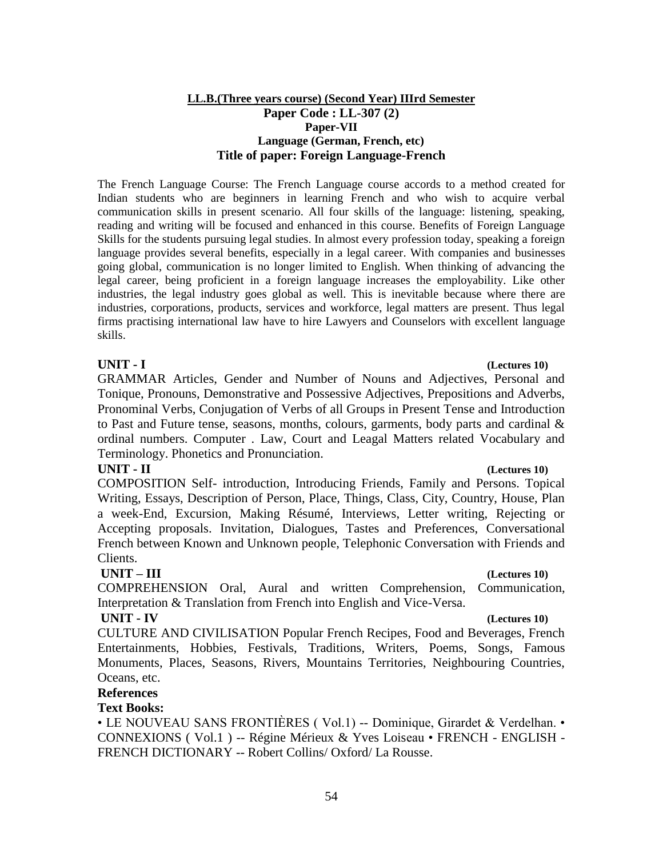# **LL.B.(Three years course) (Second Year) IIIrd Semester Paper Code : LL-307 (2) Paper-VII Language (German, French, etc) Title of paper: Foreign Language-French**

The French Language Course: The French Language course accords to a method created for Indian students who are beginners in learning French and who wish to acquire verbal communication skills in present scenario. All four skills of the language: listening, speaking, reading and writing will be focused and enhanced in this course. Benefits of Foreign Language Skills for the students pursuing legal studies. In almost every profession today, speaking a foreign language provides several benefits, especially in a legal career. With companies and businesses going global, communication is no longer limited to English. When thinking of advancing the legal career, being proficient in a foreign language increases the employability. Like other industries, the legal industry goes global as well. This is inevitable because where there are industries, corporations, products, services and workforce, legal matters are present. Thus legal firms practising international law have to hire Lawyers and Counselors with excellent language skills.

GRAMMAR Articles, Gender and Number of Nouns and Adjectives, Personal and Tonique, Pronouns, Demonstrative and Possessive Adjectives, Prepositions and Adverbs, Pronominal Verbs, Conjugation of Verbs of all Groups in Present Tense and Introduction to Past and Future tense, seasons, months, colours, garments, body parts and cardinal  $\&$ ordinal numbers. Computer . Law, Court and Leagal Matters related Vocabulary and Terminology. Phonetics and Pronunciation.

# **UNIT - II (Lectures 10)**

COMPOSITION Self- introduction, Introducing Friends, Family and Persons. Topical Writing, Essays, Description of Person, Place, Things, Class, City, Country, House, Plan a week-End, Excursion, Making Résumé, Interviews, Letter writing, Rejecting or Accepting proposals. Invitation, Dialogues, Tastes and Preferences, Conversational French between Known and Unknown people, Telephonic Conversation with Friends and Clients.

# **UNIT – III (Lectures 10)**

COMPREHENSION Oral, Aural and written Comprehension, Communication, Interpretation & Translation from French into English and Vice-Versa.

# **UNIT - IV (Lectures 10)**

CULTURE AND CIVILISATION Popular French Recipes, Food and Beverages, French Entertainments, Hobbies, Festivals, Traditions, Writers, Poems, Songs, Famous Monuments, Places, Seasons, Rivers, Mountains Territories, Neighbouring Countries, Oceans, etc.

# **References**

# **Text Books:**

• LE NOUVEAU SANS FRONTIÈRES (Vol.1) -- Dominique, Girardet & Verdelhan. • CONNEXIONS ( Vol.1 ) -- Régine Mérieux & Yves Loiseau • FRENCH - ENGLISH - FRENCH DICTIONARY -- Robert Collins/ Oxford/ La Rousse.

# **UNIT - I (Lectures 10)**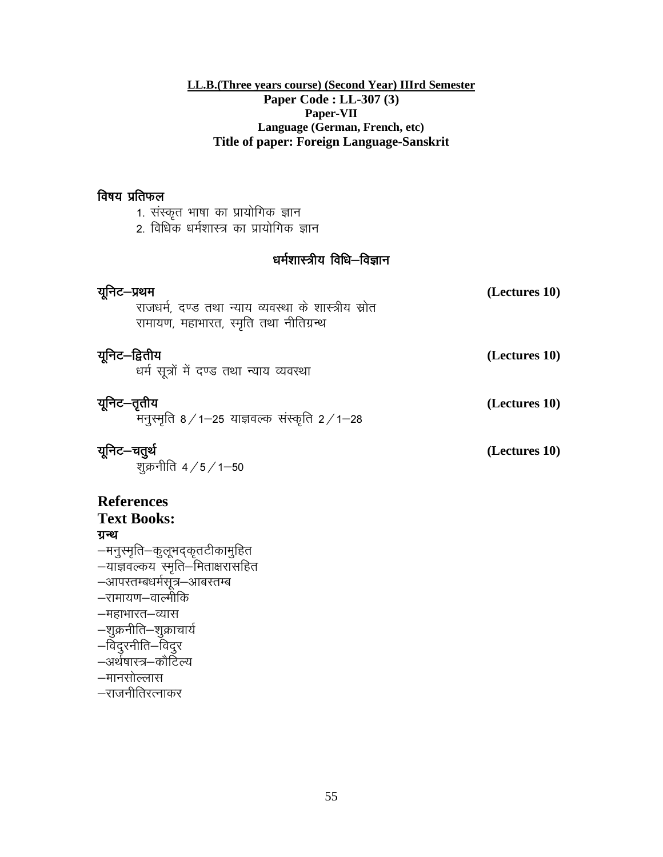# **LL.B.(Three years course) (Second Year) IIIrd Semester Paper Code : LL-307 (3) Paper-VII Language (German, French, etc) Title of paper: Foreign Language-Sanskrit**

# विषय प्रतिफल

| 1. संस्कृत भाषा का प्रायोगिक ज्ञान                                                                                                                                                                                     |               |  |  |
|------------------------------------------------------------------------------------------------------------------------------------------------------------------------------------------------------------------------|---------------|--|--|
| 2. विधिक धर्मशास्त्र का प्रायोगिक ज्ञान                                                                                                                                                                                |               |  |  |
| धर्मशास्त्रीय विधि–विज्ञान                                                                                                                                                                                             |               |  |  |
| यूनिट—प्रथम<br>राजधर्म, दण्ड तथा न्याय व्यवस्था के शास्त्रीय स्रोत<br>रामायण, महाभारत, स्मृति तथा नीतिग्रन्थ                                                                                                           | (Lectures 10) |  |  |
| यूनिट–द्वितीय<br>धर्म सूत्रों में दण्ड तथा न्याय व्यवस्था                                                                                                                                                              | (Lectures 10) |  |  |
| यूनिट—तृतीय<br>मनुस्मृति $8/1-25$ याज्ञवल्क संस्कृति $2/1-28$                                                                                                                                                          | (Lectures 10) |  |  |
| यूनिट—चतुर्थ<br>शुक्रनीति 4/5/1–50                                                                                                                                                                                     | (Lectures 10) |  |  |
| <b>References</b><br><b>Text Books:</b><br>ग्रन्थ<br>—मनुस्मृति—कुलूभद्कृतटीकामुहित<br>-याज्ञवल्कय स्मृति-मिताक्षरासहित<br>—आपस्तम्बधर्मसूत्र—आबस्तम्ब<br>—रामायण—वाल्मीकि<br>—महाभारत—व्यास<br>—शुक्रनीति—शुक्राचार्य |               |  |  |
| —विदुरनीति—विदुर<br>–अर्थषास्त्र–कौटिल्य                                                                                                                                                                               |               |  |  |

- —मानसोल्लास
- $-$ राजनीतिरत्नाकर